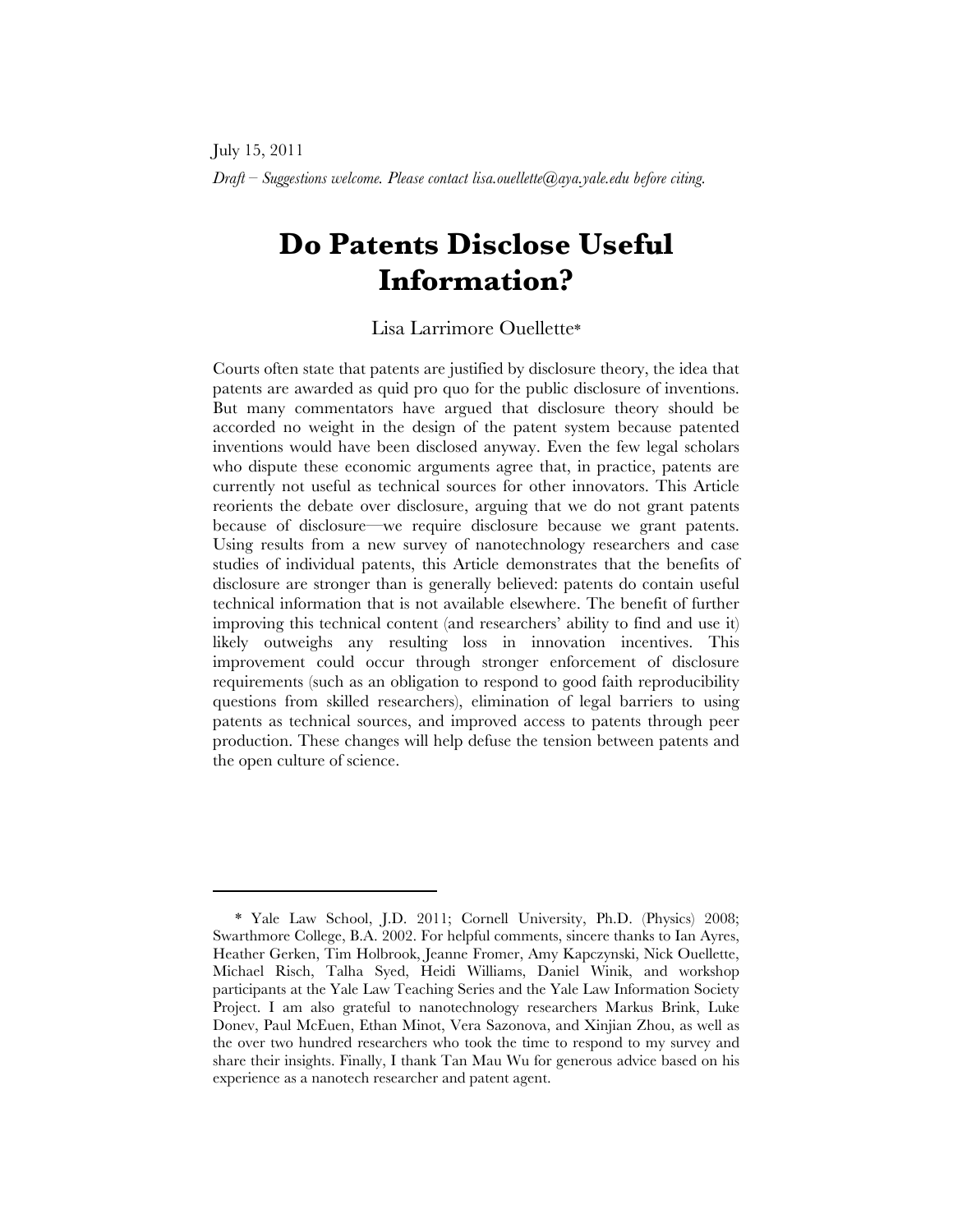# **Do Patents Disclose Useful Information?**

#### Lisa Larrimore Ouellette\*

Courts often state that patents are justified by disclosure theory, the idea that patents are awarded as quid pro quo for the public disclosure of inventions. But many commentators have argued that disclosure theory should be accorded no weight in the design of the patent system because patented inventions would have been disclosed anyway. Even the few legal scholars who dispute these economic arguments agree that, in practice, patents are currently not useful as technical sources for other innovators. This Article reorients the debate over disclosure, arguing that we do not grant patents because of disclosure—we require disclosure because we grant patents. Using results from a new survey of nanotechnology researchers and case studies of individual patents, this Article demonstrates that the benefits of disclosure are stronger than is generally believed: patents do contain useful technical information that is not available elsewhere. The benefit of further improving this technical content (and researchers' ability to find and use it) likely outweighs any resulting loss in innovation incentives. This improvement could occur through stronger enforcement of disclosure requirements (such as an obligation to respond to good faith reproducibility questions from skilled researchers), elimination of legal barriers to using patents as technical sources, and improved access to patents through peer production. These changes will help defuse the tension between patents and the open culture of science.

<sup>\*</sup> Yale Law School, J.D. 2011; Cornell University, Ph.D. (Physics) 2008; Swarthmore College, B.A. 2002. For helpful comments, sincere thanks to Ian Ayres, Heather Gerken, Tim Holbrook, Jeanne Fromer, Amy Kapczynski, Nick Ouellette, Michael Risch, Talha Syed, Heidi Williams, Daniel Winik, and workshop participants at the Yale Law Teaching Series and the Yale Law Information Society Project. I am also grateful to nanotechnology researchers Markus Brink, Luke Donev, Paul McEuen, Ethan Minot, Vera Sazonova, and Xinjian Zhou, as well as the over two hundred researchers who took the time to respond to my survey and share their insights. Finally, I thank Tan Mau Wu for generous advice based on his experience as a nanotech researcher and patent agent.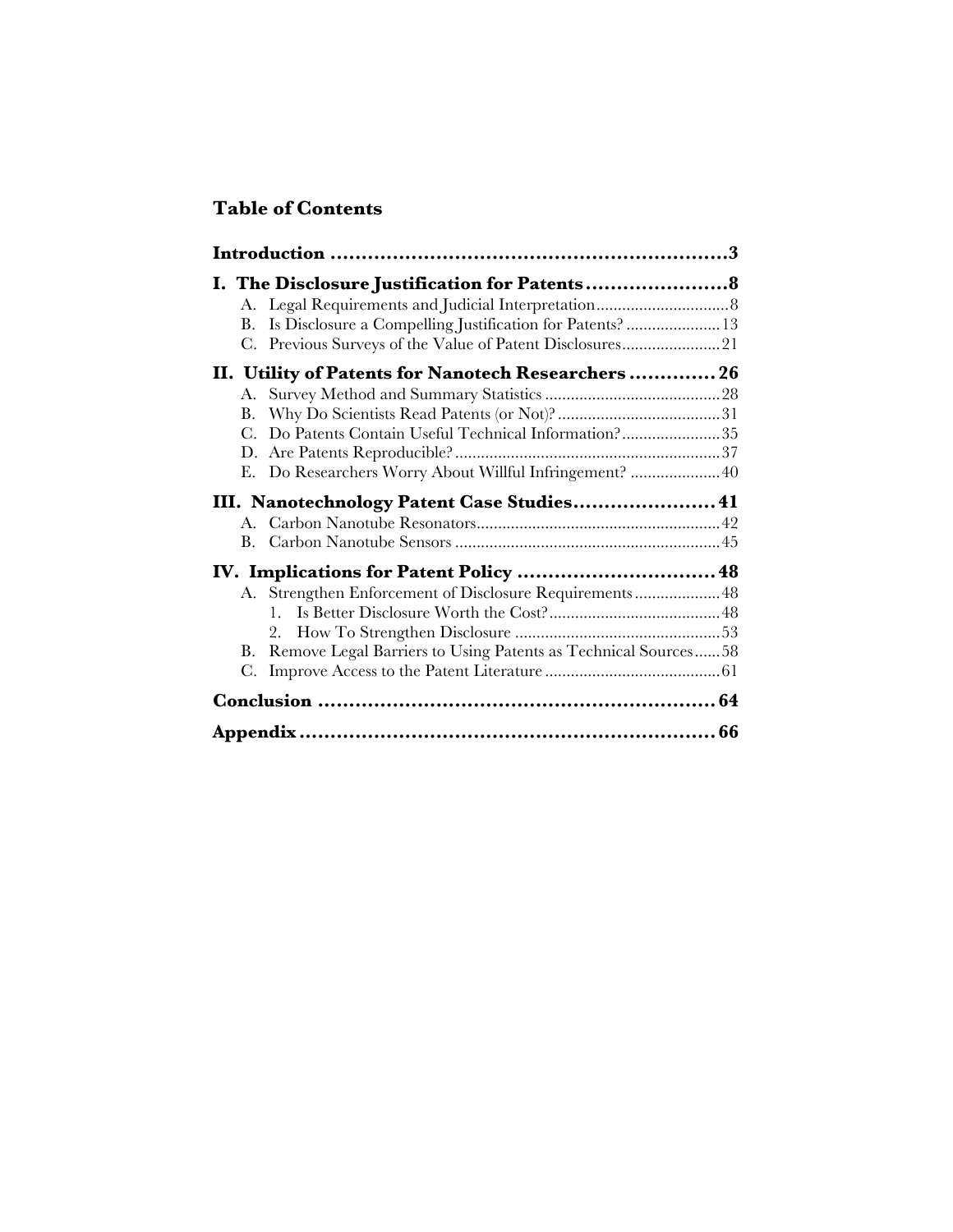## **Table of Contents**

| В. | Is Disclosure a Compelling Justification for Patents?  13     |  |
|----|---------------------------------------------------------------|--|
| C. | Previous Surveys of the Value of Patent Disclosures21         |  |
|    | II. Utility of Patents for Nanotech Researchers 26            |  |
| A. |                                                               |  |
| В. |                                                               |  |
| С. | Do Patents Contain Useful Technical Information?35            |  |
|    |                                                               |  |
| Е. | Do Researchers Worry About Willful Infringement?  40          |  |
|    | III. Nanotechnology Patent Case Studies 41                    |  |
|    |                                                               |  |
| В. |                                                               |  |
|    |                                                               |  |
|    | A. Strengthen Enforcement of Disclosure Requirements48        |  |
|    | 1.                                                            |  |
|    | 2.                                                            |  |
| В. | Remove Legal Barriers to Using Patents as Technical Sources58 |  |
| C. |                                                               |  |
|    |                                                               |  |
|    |                                                               |  |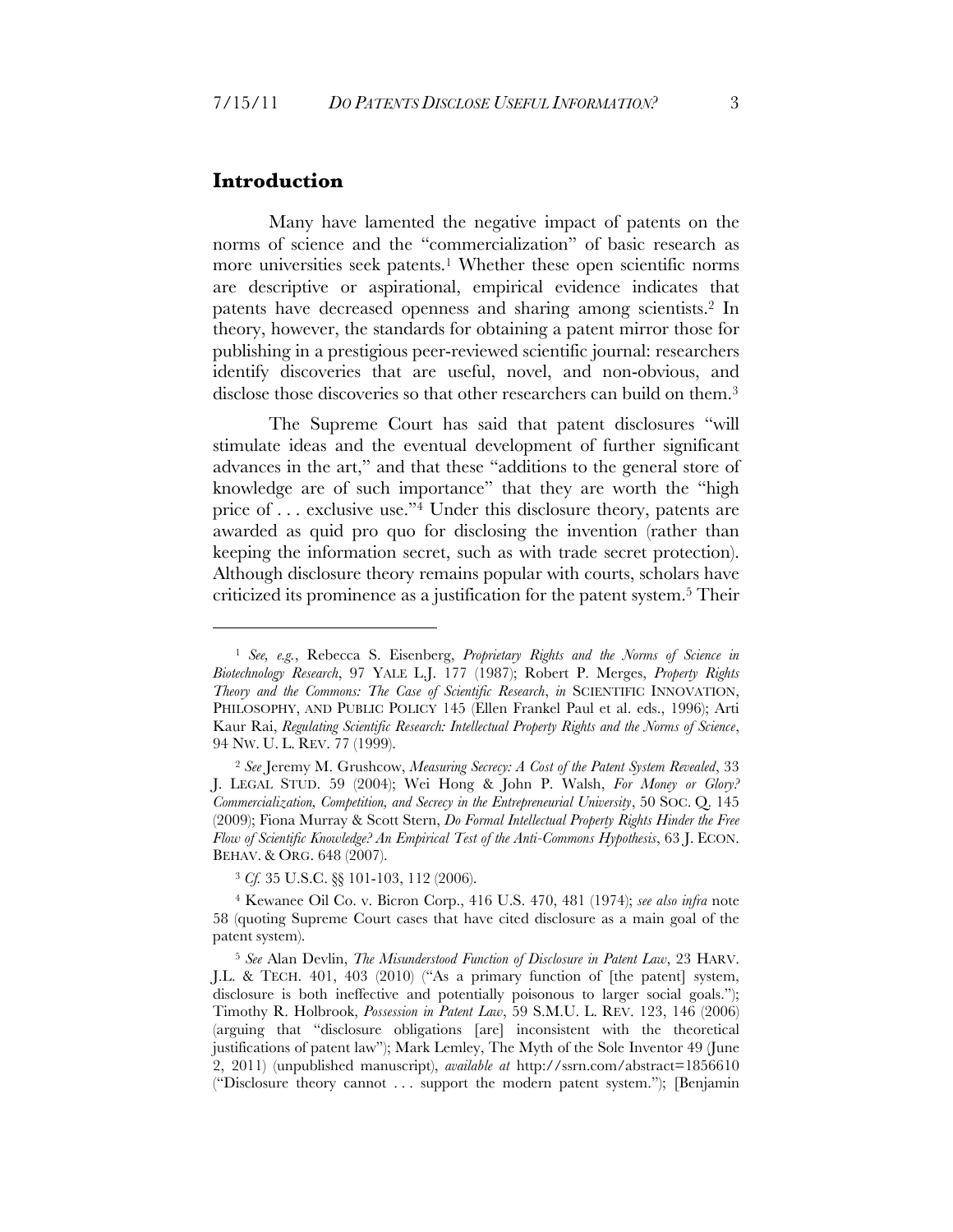#### **Introduction**

 $\overline{a}$ 

Many have lamented the negative impact of patents on the norms of science and the "commercialization" of basic research as more universities seek patents.<sup>1</sup> Whether these open scientific norms are descriptive or aspirational, empirical evidence indicates that patents have decreased openness and sharing among scientists.2 In theory, however, the standards for obtaining a patent mirror those for publishing in a prestigious peer-reviewed scientific journal: researchers identify discoveries that are useful, novel, and non-obvious, and disclose those discoveries so that other researchers can build on them.<sup>3</sup>

The Supreme Court has said that patent disclosures "will stimulate ideas and the eventual development of further significant advances in the art," and that these "additions to the general store of knowledge are of such importance" that they are worth the "high price of . . . exclusive use."4 Under this disclosure theory, patents are awarded as quid pro quo for disclosing the invention (rather than keeping the information secret, such as with trade secret protection). Although disclosure theory remains popular with courts, scholars have criticized its prominence as a justification for the patent system.5 Their

<sup>1</sup> *See, e.g.*, Rebecca S. Eisenberg, *Proprietary Rights and the Norms of Science in Biotechnology Research*, 97 YALE L.J. 177 (1987); Robert P. Merges, *Property Rights Theory and the Commons: The Case of Scientific Research*, *in* SCIENTIFIC INNOVATION, PHILOSOPHY, AND PUBLIC POLICY 145 (Ellen Frankel Paul et al. eds., 1996); Arti Kaur Rai, *Regulating Scientific Research: Intellectual Property Rights and the Norms of Science*, 94 NW. U. L. REV. 77 (1999).

<sup>2</sup> *See* Jeremy M. Grushcow, *Measuring Secrecy: A Cost of the Patent System Revealed*, 33 J. LEGAL STUD. 59 (2004); Wei Hong & John P. Walsh, *For Money or Glory? Commercialization, Competition, and Secrecy in the Entrepreneurial University*, 50 SOC. Q. 145 (2009); Fiona Murray & Scott Stern, *Do Formal Intellectual Property Rights Hinder the Free Flow of Scientific Knowledge? An Empirical Test of the Anti-Commons Hypothesis*, 63 J. ECON. BEHAV. & ORG. 648 (2007).

<sup>3</sup> *Cf.* 35 U.S.C. §§ 101-103, 112 (2006).

<sup>4</sup> Kewanee Oil Co. v. Bicron Corp., 416 U.S. 470, 481 (1974); *see also infra* note 58 (quoting Supreme Court cases that have cited disclosure as a main goal of the patent system).

<sup>5</sup> *See* Alan Devlin, *The Misunderstood Function of Disclosure in Patent Law*, 23 HARV. J.L. & TECH. 401, 403 (2010) ("As a primary function of [the patent] system, disclosure is both ineffective and potentially poisonous to larger social goals."); Timothy R. Holbrook, *Possession in Patent Law*, 59 S.M.U. L. REV. 123, 146 (2006) (arguing that "disclosure obligations [are] inconsistent with the theoretical justifications of patent law"); Mark Lemley, The Myth of the Sole Inventor 49 (June 2, 2011) (unpublished manuscript), *available at* http://ssrn.com/abstract=1856610 ("Disclosure theory cannot . . . support the modern patent system."); [Benjamin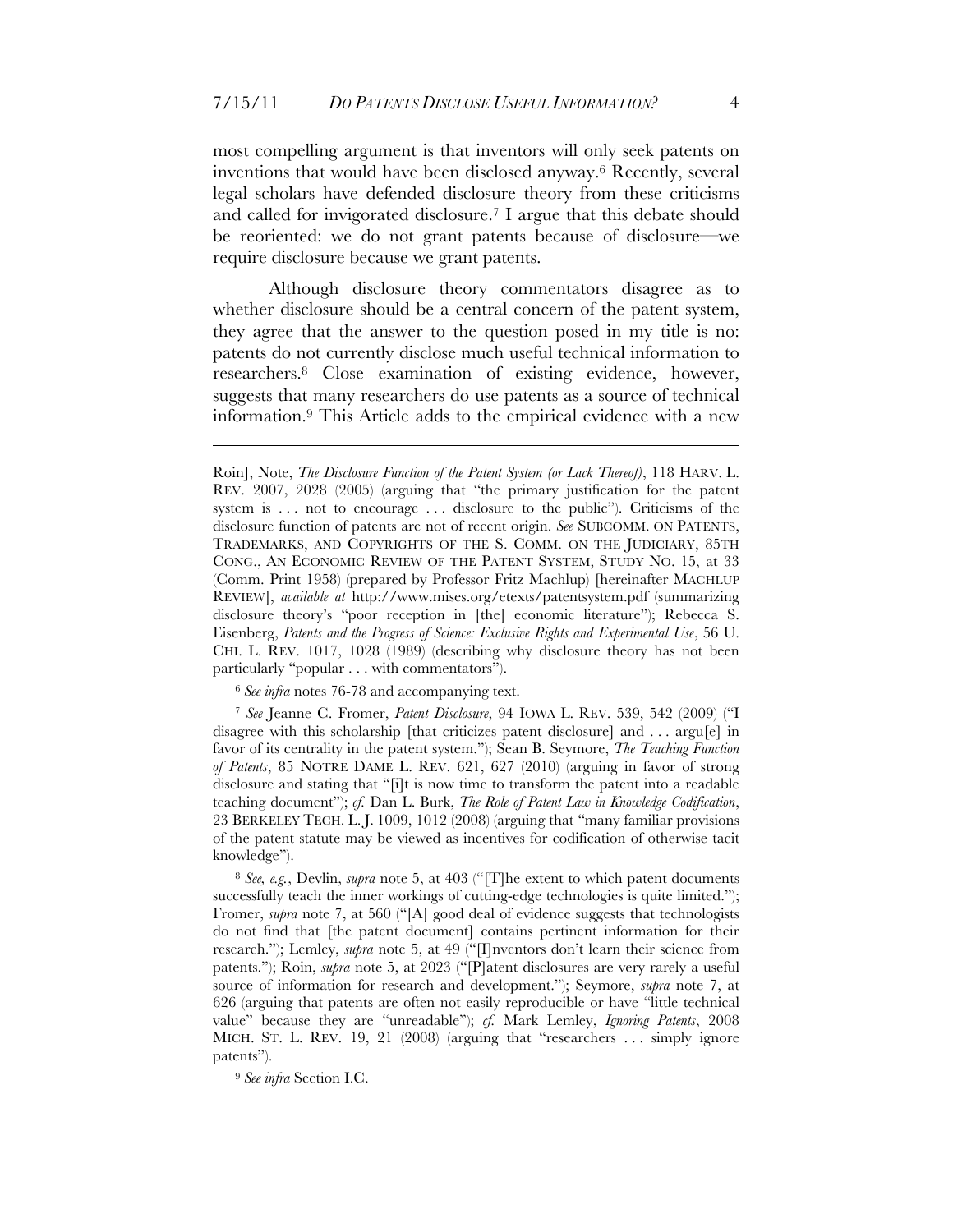most compelling argument is that inventors will only seek patents on inventions that would have been disclosed anyway.6 Recently, several legal scholars have defended disclosure theory from these criticisms and called for invigorated disclosure.7 I argue that this debate should be reoriented: we do not grant patents because of disclosure—we require disclosure because we grant patents.

Although disclosure theory commentators disagree as to whether disclosure should be a central concern of the patent system, they agree that the answer to the question posed in my title is no: patents do not currently disclose much useful technical information to researchers.8 Close examination of existing evidence, however, suggests that many researchers do use patents as a source of technical information.9 This Article adds to the empirical evidence with a new

<sup>6</sup> *See infra* notes 76-78 and accompanying text.

<u>.</u>

<sup>7</sup> *See* Jeanne C. Fromer, *Patent Disclosure*, 94 IOWA L. REV. 539, 542 (2009) ("I disagree with this scholarship [that criticizes patent disclosure] and . . . argu[e] in favor of its centrality in the patent system."); Sean B. Seymore, *The Teaching Function of Patents*, 85 NOTRE DAME L. REV. 621, 627 (2010) (arguing in favor of strong disclosure and stating that "[i]t is now time to transform the patent into a readable teaching document"); *cf.* Dan L. Burk, *The Role of Patent Law in Knowledge Codification*, 23 BERKELEY TECH. L. J. 1009, 1012 (2008) (arguing that "many familiar provisions of the patent statute may be viewed as incentives for codification of otherwise tacit knowledge").

<sup>8</sup> *See, e.g.*, Devlin, *supra* note 5, at 403 ("[T]he extent to which patent documents successfully teach the inner workings of cutting-edge technologies is quite limited."); Fromer, *supra* note 7, at 560 ("[A] good deal of evidence suggests that technologists do not find that [the patent document] contains pertinent information for their research."); Lemley, *supra* note 5, at 49 ("[I]nventors don't learn their science from patents."); Roin, *supra* note 5, at 2023 ("[P]atent disclosures are very rarely a useful source of information for research and development."); Seymore, *supra* note 7, at 626 (arguing that patents are often not easily reproducible or have "little technical value" because they are "unreadable"); *cf.* Mark Lemley, *Ignoring Patents*, 2008 MICH. ST. L. REV. 19, 21 (2008) (arguing that "researchers . . . simply ignore patents").

<sup>9</sup> *See infra* Section I.C.

Roin], Note, *The Disclosure Function of the Patent System (or Lack Thereof)*, 118 HARV. L. REV. 2007, 2028 (2005) (arguing that "the primary justification for the patent system is ... not to encourage ... disclosure to the public"). Criticisms of the disclosure function of patents are not of recent origin. *See* SUBCOMM. ON PATENTS, TRADEMARKS, AND COPYRIGHTS OF THE S. COMM. ON THE JUDICIARY, 85TH CONG., AN ECONOMIC REVIEW OF THE PATENT SYSTEM, STUDY NO. 15, at 33 (Comm. Print 1958) (prepared by Professor Fritz Machlup) [hereinafter MACHLUP REVIEW], *available at* http://www.mises.org/etexts/patentsystem.pdf (summarizing disclosure theory's "poor reception in [the] economic literature"); Rebecca S. Eisenberg, *Patents and the Progress of Science: Exclusive Rights and Experimental Use*, 56 U. CHI. L. REV. 1017, 1028 (1989) (describing why disclosure theory has not been particularly "popular . . . with commentators").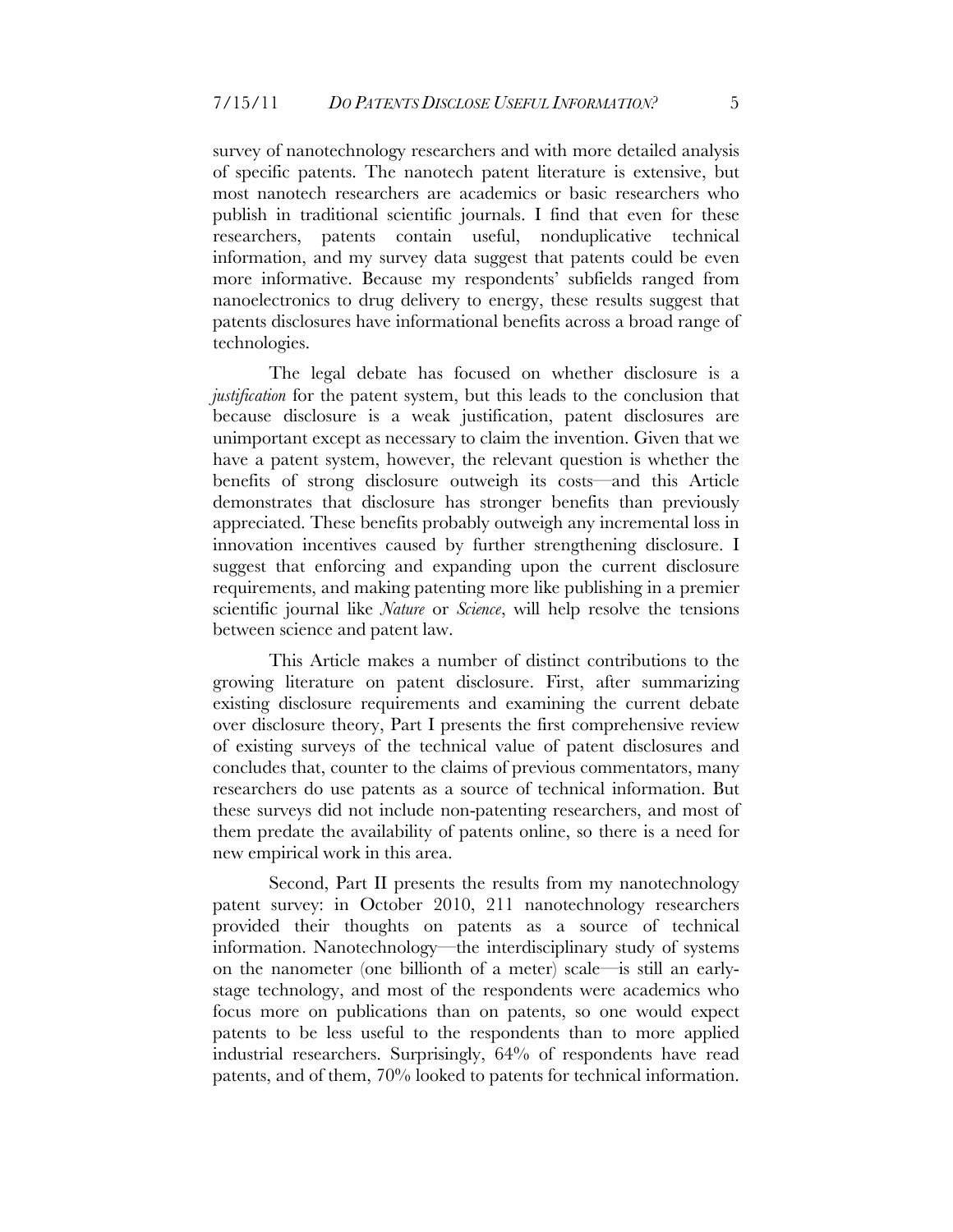survey of nanotechnology researchers and with more detailed analysis of specific patents. The nanotech patent literature is extensive, but most nanotech researchers are academics or basic researchers who publish in traditional scientific journals. I find that even for these researchers, patents contain useful, nonduplicative technical information, and my survey data suggest that patents could be even more informative. Because my respondents' subfields ranged from nanoelectronics to drug delivery to energy, these results suggest that patents disclosures have informational benefits across a broad range of technologies.

The legal debate has focused on whether disclosure is a *justification* for the patent system, but this leads to the conclusion that because disclosure is a weak justification, patent disclosures are unimportant except as necessary to claim the invention. Given that we have a patent system, however, the relevant question is whether the benefits of strong disclosure outweigh its costs—and this Article demonstrates that disclosure has stronger benefits than previously appreciated. These benefits probably outweigh any incremental loss in innovation incentives caused by further strengthening disclosure. I suggest that enforcing and expanding upon the current disclosure requirements, and making patenting more like publishing in a premier scientific journal like *Nature* or *Science*, will help resolve the tensions between science and patent law.

This Article makes a number of distinct contributions to the growing literature on patent disclosure. First, after summarizing existing disclosure requirements and examining the current debate over disclosure theory, Part I presents the first comprehensive review of existing surveys of the technical value of patent disclosures and concludes that, counter to the claims of previous commentators, many researchers do use patents as a source of technical information. But these surveys did not include non-patenting researchers, and most of them predate the availability of patents online, so there is a need for new empirical work in this area.

Second, Part II presents the results from my nanotechnology patent survey: in October 2010, 211 nanotechnology researchers provided their thoughts on patents as a source of technical information. Nanotechnology—the interdisciplinary study of systems on the nanometer (one billionth of a meter) scale—is still an earlystage technology, and most of the respondents were academics who focus more on publications than on patents, so one would expect patents to be less useful to the respondents than to more applied industrial researchers. Surprisingly, 64% of respondents have read patents, and of them, 70% looked to patents for technical information.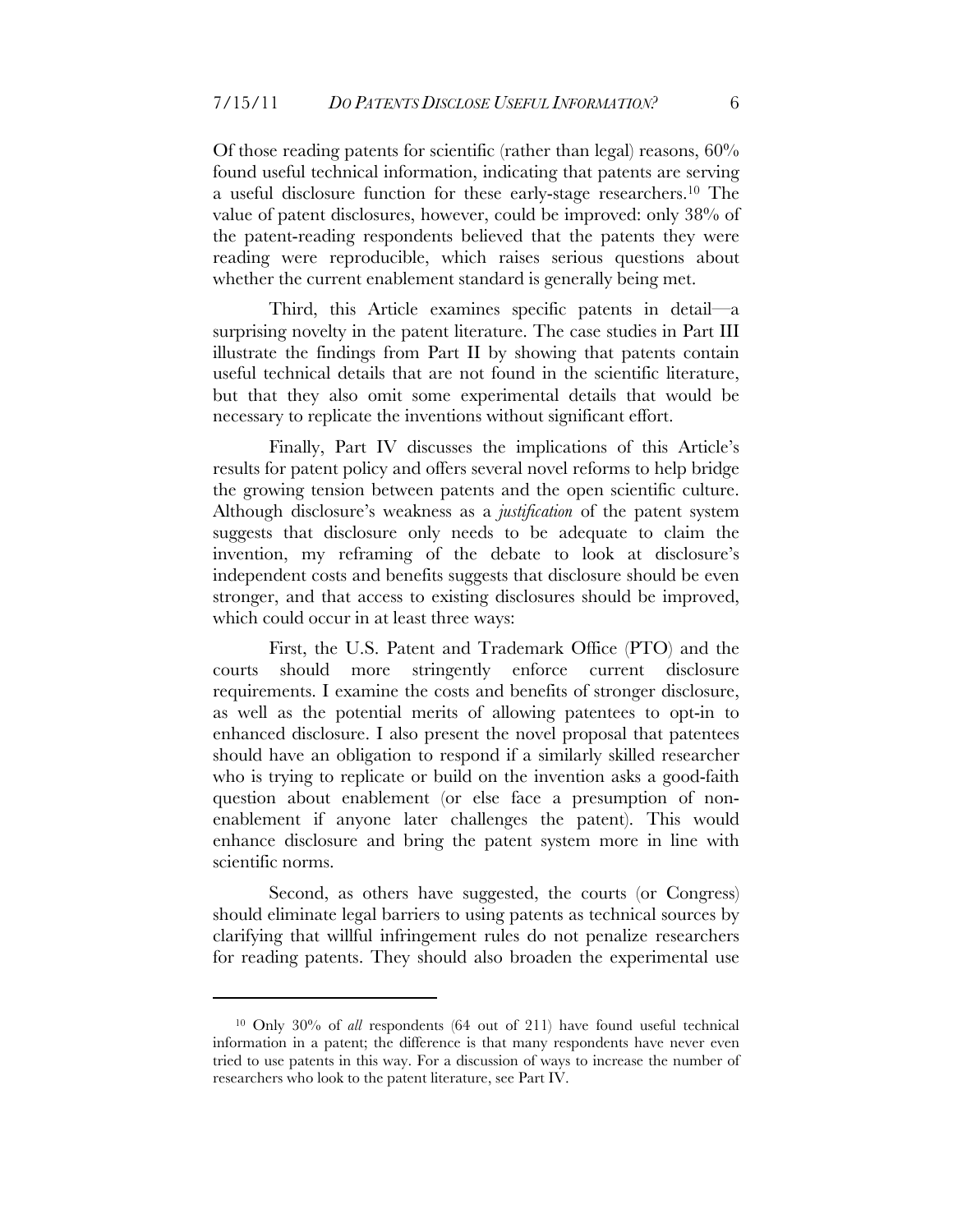Of those reading patents for scientific (rather than legal) reasons, 60% found useful technical information, indicating that patents are serving a useful disclosure function for these early-stage researchers.10 The value of patent disclosures, however, could be improved: only 38% of the patent-reading respondents believed that the patents they were reading were reproducible, which raises serious questions about whether the current enablement standard is generally being met.

Third, this Article examines specific patents in detail—a surprising novelty in the patent literature. The case studies in Part III illustrate the findings from Part II by showing that patents contain useful technical details that are not found in the scientific literature, but that they also omit some experimental details that would be necessary to replicate the inventions without significant effort.

Finally, Part IV discusses the implications of this Article's results for patent policy and offers several novel reforms to help bridge the growing tension between patents and the open scientific culture. Although disclosure's weakness as a *justification* of the patent system suggests that disclosure only needs to be adequate to claim the invention, my reframing of the debate to look at disclosure's independent costs and benefits suggests that disclosure should be even stronger, and that access to existing disclosures should be improved, which could occur in at least three ways:

First, the U.S. Patent and Trademark Office (PTO) and the courts should more stringently enforce current disclosure requirements. I examine the costs and benefits of stronger disclosure, as well as the potential merits of allowing patentees to opt-in to enhanced disclosure. I also present the novel proposal that patentees should have an obligation to respond if a similarly skilled researcher who is trying to replicate or build on the invention asks a good-faith question about enablement (or else face a presumption of nonenablement if anyone later challenges the patent). This would enhance disclosure and bring the patent system more in line with scientific norms.

Second, as others have suggested, the courts (or Congress) should eliminate legal barriers to using patents as technical sources by clarifying that willful infringement rules do not penalize researchers for reading patents. They should also broaden the experimental use

<sup>10</sup> Only 30% of *all* respondents (64 out of 211) have found useful technical information in a patent; the difference is that many respondents have never even tried to use patents in this way. For a discussion of ways to increase the number of researchers who look to the patent literature, see Part IV.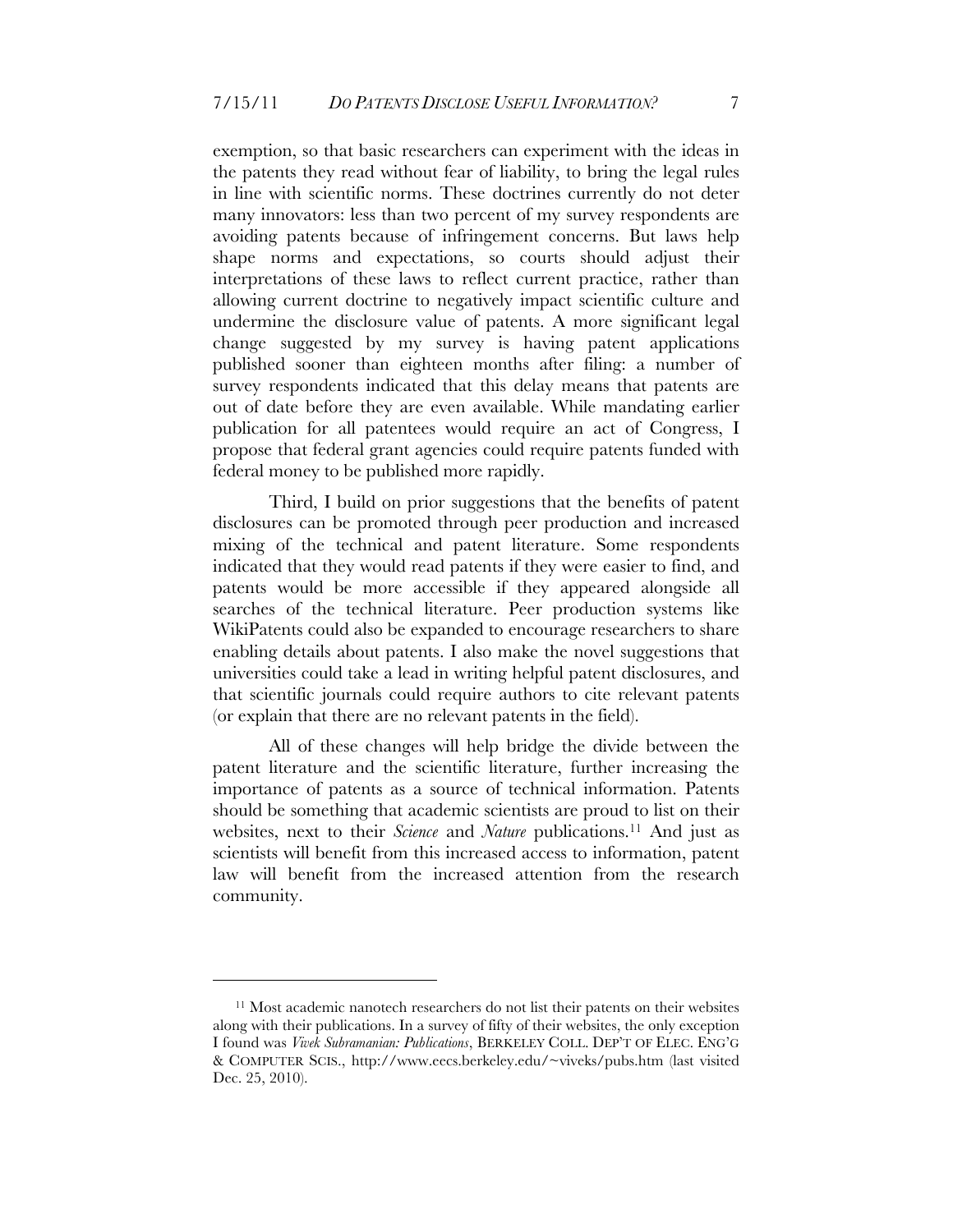exemption, so that basic researchers can experiment with the ideas in the patents they read without fear of liability, to bring the legal rules in line with scientific norms. These doctrines currently do not deter many innovators: less than two percent of my survey respondents are avoiding patents because of infringement concerns. But laws help shape norms and expectations, so courts should adjust their interpretations of these laws to reflect current practice, rather than allowing current doctrine to negatively impact scientific culture and undermine the disclosure value of patents. A more significant legal change suggested by my survey is having patent applications published sooner than eighteen months after filing: a number of survey respondents indicated that this delay means that patents are out of date before they are even available. While mandating earlier publication for all patentees would require an act of Congress, I propose that federal grant agencies could require patents funded with federal money to be published more rapidly.

Third, I build on prior suggestions that the benefits of patent disclosures can be promoted through peer production and increased mixing of the technical and patent literature. Some respondents indicated that they would read patents if they were easier to find, and patents would be more accessible if they appeared alongside all searches of the technical literature. Peer production systems like WikiPatents could also be expanded to encourage researchers to share enabling details about patents. I also make the novel suggestions that universities could take a lead in writing helpful patent disclosures, and that scientific journals could require authors to cite relevant patents (or explain that there are no relevant patents in the field).

All of these changes will help bridge the divide between the patent literature and the scientific literature, further increasing the importance of patents as a source of technical information. Patents should be something that academic scientists are proud to list on their websites, next to their *Science* and *Nature* publications.11 And just as scientists will benefit from this increased access to information, patent law will benefit from the increased attention from the research community.

<sup>11</sup> Most academic nanotech researchers do not list their patents on their websites along with their publications. In a survey of fifty of their websites, the only exception I found was *Vivek Subramanian: Publications*, BERKELEY COLL. DEP'T OF ELEC. ENG'G & COMPUTER SCIS., http://www.eecs.berkeley.edu/~viveks/pubs.htm (last visited Dec. 25, 2010).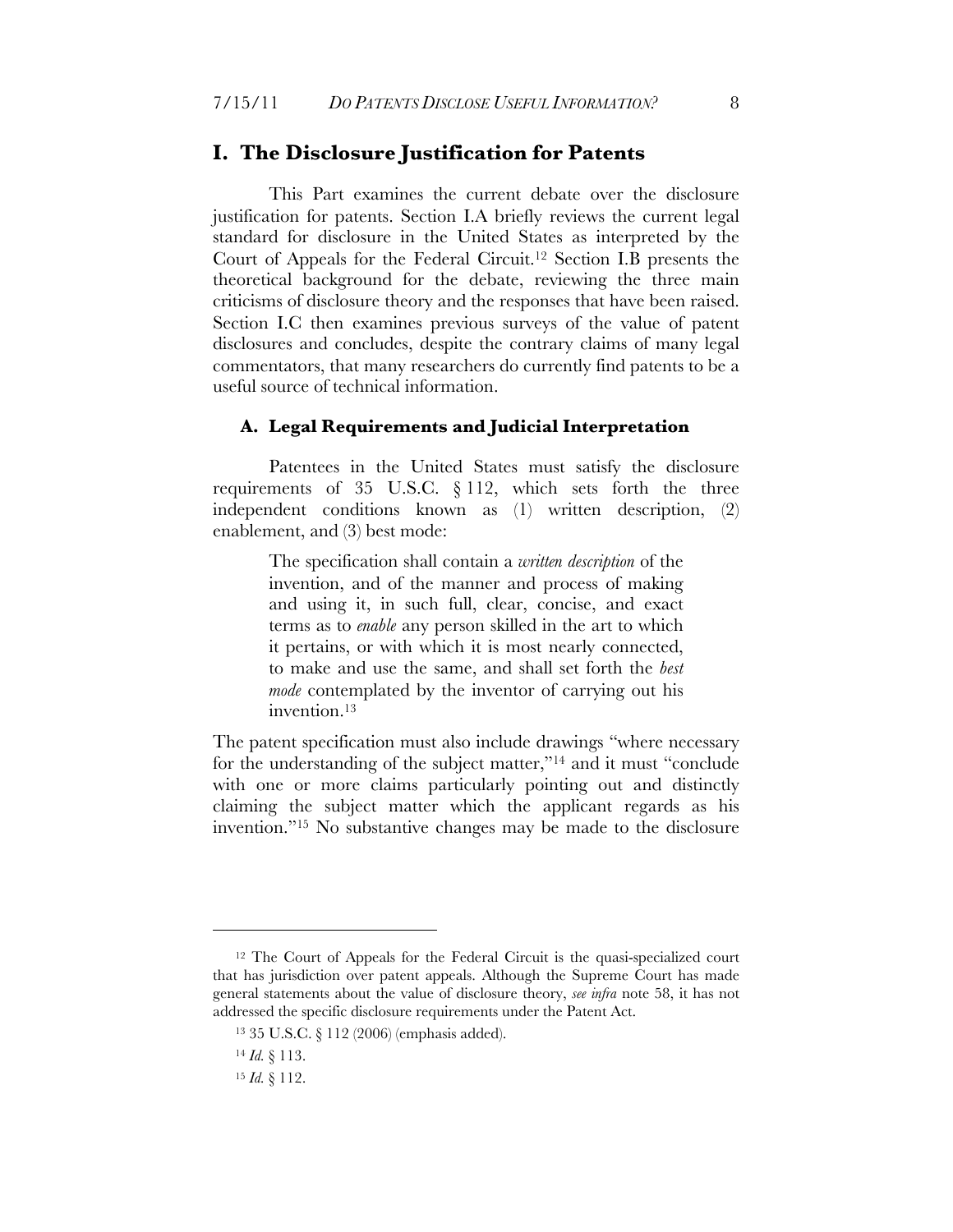#### **I. The Disclosure Justification for Patents**

This Part examines the current debate over the disclosure justification for patents. Section I.A briefly reviews the current legal standard for disclosure in the United States as interpreted by the Court of Appeals for the Federal Circuit.12 Section I.B presents the theoretical background for the debate, reviewing the three main criticisms of disclosure theory and the responses that have been raised. Section I.C then examines previous surveys of the value of patent disclosures and concludes, despite the contrary claims of many legal commentators, that many researchers do currently find patents to be a useful source of technical information.

#### **A. Legal Requirements and Judicial Interpretation**

Patentees in the United States must satisfy the disclosure requirements of 35 U.S.C. § 112, which sets forth the three independent conditions known as (1) written description, (2) enablement, and (3) best mode:

> The specification shall contain a *written description* of the invention, and of the manner and process of making and using it, in such full, clear, concise, and exact terms as to *enable* any person skilled in the art to which it pertains, or with which it is most nearly connected, to make and use the same, and shall set forth the *best mode* contemplated by the inventor of carrying out his invention.13

The patent specification must also include drawings "where necessary for the understanding of the subject matter,"14 and it must "conclude with one or more claims particularly pointing out and distinctly claiming the subject matter which the applicant regards as his invention."15 No substantive changes may be made to the disclosure

<sup>&</sup>lt;sup>12</sup> The Court of Appeals for the Federal Circuit is the quasi-specialized court that has jurisdiction over patent appeals. Although the Supreme Court has made general statements about the value of disclosure theory, *see infra* note 58, it has not addressed the specific disclosure requirements under the Patent Act.

<sup>13 35</sup> U.S.C. § 112 (2006) (emphasis added).

<sup>14</sup> *Id.* § 113.

<sup>15</sup> *Id.* § 112.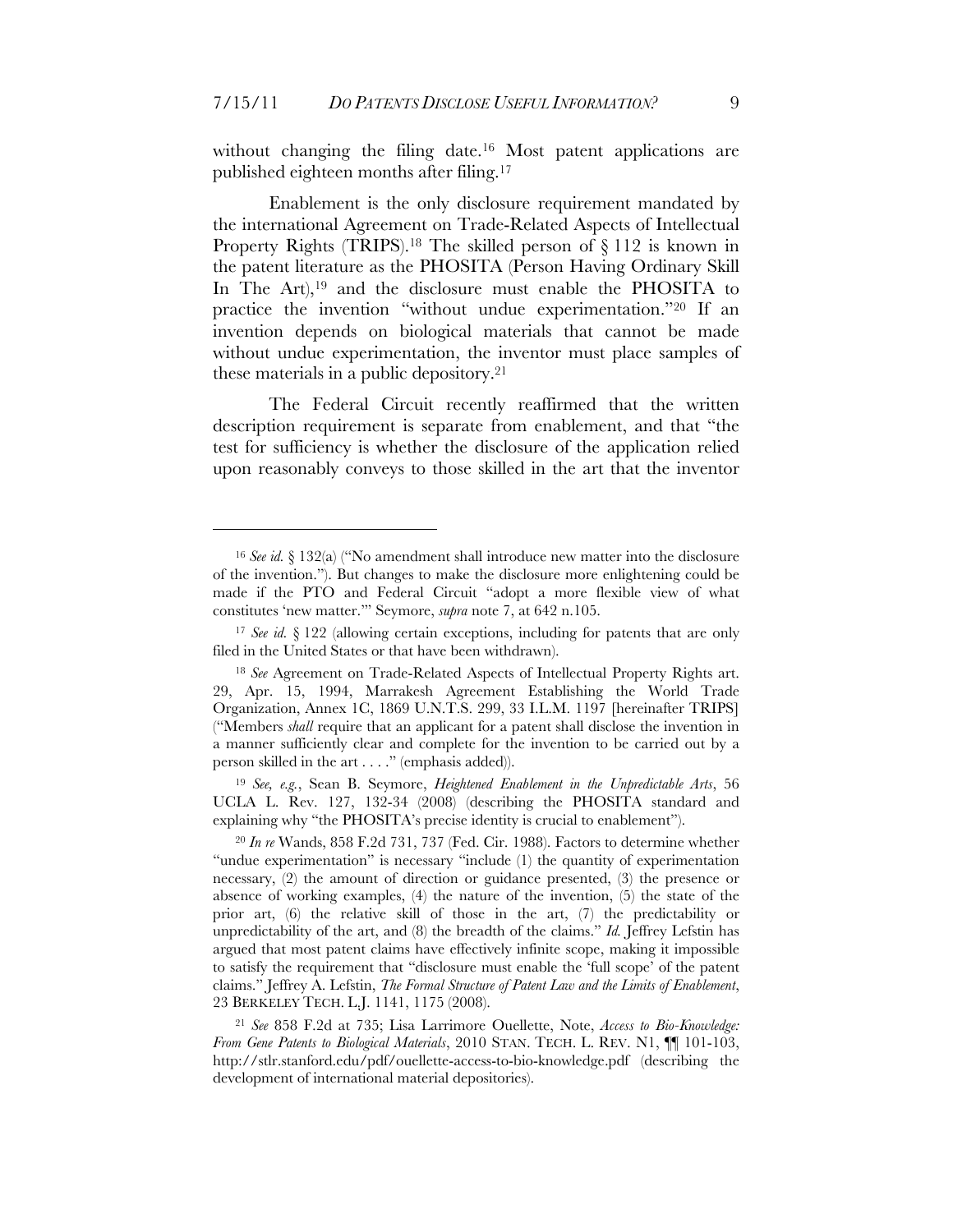without changing the filing date.<sup>16</sup> Most patent applications are published eighteen months after filing.17

Enablement is the only disclosure requirement mandated by the international Agreement on Trade-Related Aspects of Intellectual Property Rights (TRIPS).<sup>18</sup> The skilled person of § 112 is known in the patent literature as the PHOSITA (Person Having Ordinary Skill In The Art),<sup>19</sup> and the disclosure must enable the PHOSITA to practice the invention "without undue experimentation."20 If an invention depends on biological materials that cannot be made without undue experimentation, the inventor must place samples of these materials in a public depository.21

The Federal Circuit recently reaffirmed that the written description requirement is separate from enablement, and that "the test for sufficiency is whether the disclosure of the application relied upon reasonably conveys to those skilled in the art that the inventor

 $\overline{a}$ 

<sup>19</sup> *See, e.g.*, Sean B. Seymore, *Heightened Enablement in the Unpredictable Arts*, 56 UCLA L. Rev. 127, 132-34 (2008) (describing the PHOSITA standard and explaining why "the PHOSITA's precise identity is crucial to enablement").

<sup>16</sup> *See id.* § 132(a) ("No amendment shall introduce new matter into the disclosure of the invention."). But changes to make the disclosure more enlightening could be made if the PTO and Federal Circuit "adopt a more flexible view of what constitutes 'new matter.'" Seymore, *supra* note 7, at 642 n.105.

<sup>17</sup> *See id.* § 122 (allowing certain exceptions, including for patents that are only filed in the United States or that have been withdrawn).

<sup>18</sup> *See* Agreement on Trade-Related Aspects of Intellectual Property Rights art. 29, Apr. 15, 1994, Marrakesh Agreement Establishing the World Trade Organization, Annex 1C, 1869 U.N.T.S. 299, 33 I.L.M. 1197 [hereinafter TRIPS] ("Members *shall* require that an applicant for a patent shall disclose the invention in a manner sufficiently clear and complete for the invention to be carried out by a person skilled in the art . . . ." (emphasis added)).

<sup>20</sup> *In re* Wands, 858 F.2d 731, 737 (Fed. Cir. 1988). Factors to determine whether "undue experimentation" is necessary "include (1) the quantity of experimentation necessary, (2) the amount of direction or guidance presented, (3) the presence or absence of working examples, (4) the nature of the invention, (5) the state of the prior art, (6) the relative skill of those in the art, (7) the predictability or unpredictability of the art, and (8) the breadth of the claims." *Id.* Jeffrey Lefstin has argued that most patent claims have effectively infinite scope, making it impossible to satisfy the requirement that "disclosure must enable the 'full scope' of the patent claims." Jeffrey A. Lefstin, *The Formal Structure of Patent Law and the Limits of Enablement*, 23 BERKELEY TECH. L.J. 1141, 1175 (2008).

<sup>21</sup> *See* 858 F.2d at 735; Lisa Larrimore Ouellette, Note, *Access to Bio-Knowledge: From Gene Patents to Biological Materials*, 2010 STAN. TECH. L. REV. N1, ¶¶ 101-103, http://stlr.stanford.edu/pdf/ouellette-access-to-bio-knowledge.pdf (describing the development of international material depositories).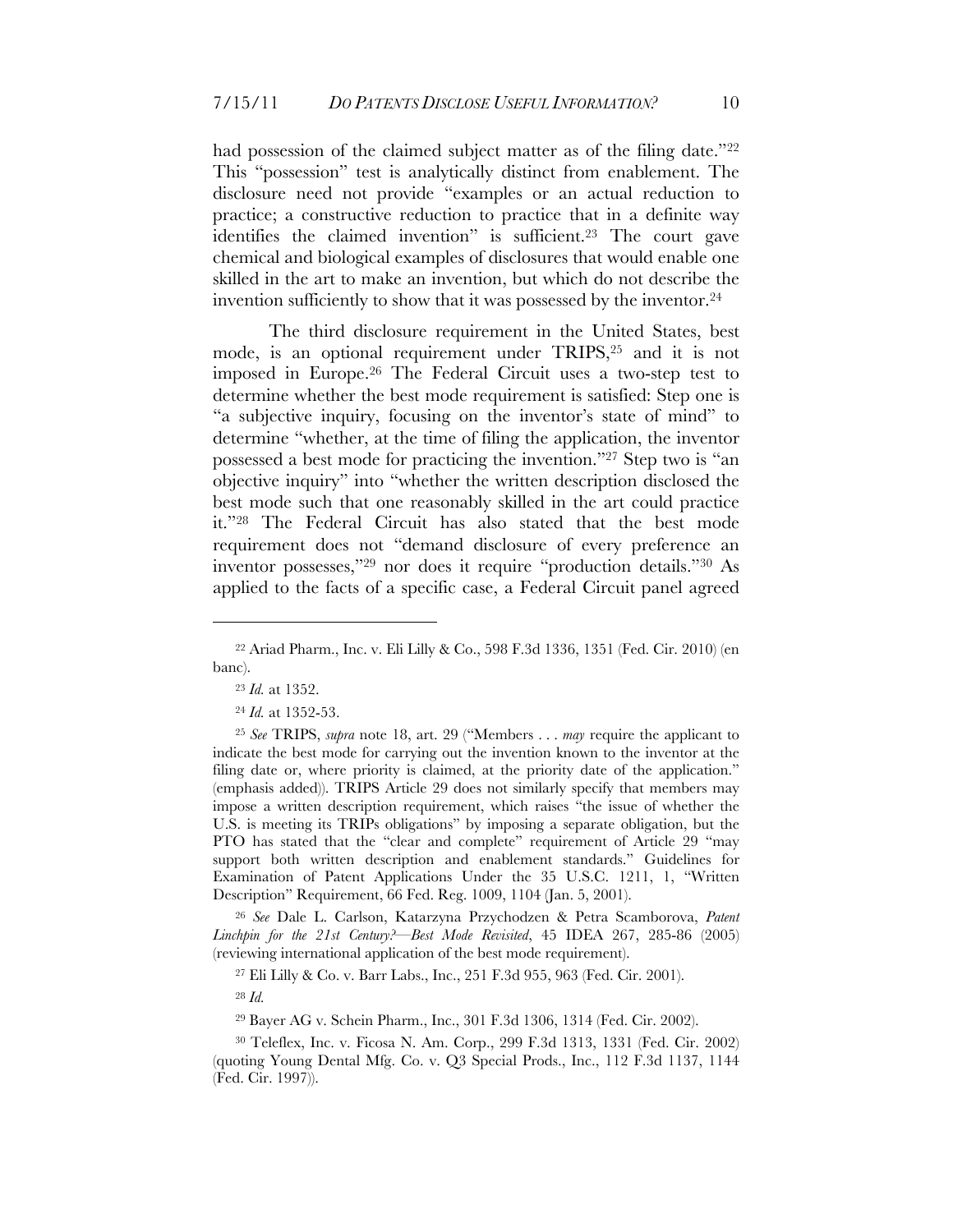had possession of the claimed subject matter as of the filing date."<sup>22</sup> This "possession" test is analytically distinct from enablement. The disclosure need not provide "examples or an actual reduction to practice; a constructive reduction to practice that in a definite way identifies the claimed invention" is sufficient.23 The court gave chemical and biological examples of disclosures that would enable one skilled in the art to make an invention, but which do not describe the invention sufficiently to show that it was possessed by the inventor.24

The third disclosure requirement in the United States, best mode, is an optional requirement under TRIPS,25 and it is not imposed in Europe.26 The Federal Circuit uses a two-step test to determine whether the best mode requirement is satisfied: Step one is "a subjective inquiry, focusing on the inventor's state of mind" to determine "whether, at the time of filing the application, the inventor possessed a best mode for practicing the invention."27 Step two is "an objective inquiry" into "whether the written description disclosed the best mode such that one reasonably skilled in the art could practice it."28 The Federal Circuit has also stated that the best mode requirement does not "demand disclosure of every preference an inventor possesses,"29 nor does it require "production details."30 As applied to the facts of a specific case, a Federal Circuit panel agreed

<sup>26</sup> *See* Dale L. Carlson, Katarzyna Przychodzen & Petra Scamborova, *Patent Linchpin for the 21st Century?—Best Mode Revisited*, 45 IDEA 267, 285-86 (2005) (reviewing international application of the best mode requirement).

27 Eli Lilly & Co. v. Barr Labs., Inc., 251 F.3d 955, 963 (Fed. Cir. 2001).

<sup>28</sup> *Id.*

29 Bayer AG v. Schein Pharm., Inc., 301 F.3d 1306, 1314 (Fed. Cir. 2002).

30 Teleflex, Inc. v. Ficosa N. Am. Corp., 299 F.3d 1313, 1331 (Fed. Cir. 2002) (quoting Young Dental Mfg. Co. v. Q3 Special Prods., Inc., 112 F.3d 1137, 1144 (Fed. Cir. 1997)).

<sup>22</sup> Ariad Pharm., Inc. v. Eli Lilly & Co., 598 F.3d 1336, 1351 (Fed. Cir. 2010) (en banc).

<sup>23</sup> *Id.* at 1352.

<sup>24</sup> *Id.* at 1352-53.

<sup>25</sup> *See* TRIPS, *supra* note 18, art. 29 ("Members . . . *may* require the applicant to indicate the best mode for carrying out the invention known to the inventor at the filing date or, where priority is claimed, at the priority date of the application." (emphasis added)). TRIPS Article 29 does not similarly specify that members may impose a written description requirement, which raises "the issue of whether the U.S. is meeting its TRIPs obligations" by imposing a separate obligation, but the PTO has stated that the "clear and complete" requirement of Article 29 "may support both written description and enablement standards." Guidelines for Examination of Patent Applications Under the 35 U.S.C. 1211, 1, "Written Description" Requirement, 66 Fed. Reg. 1009, 1104 (Jan. 5, 2001).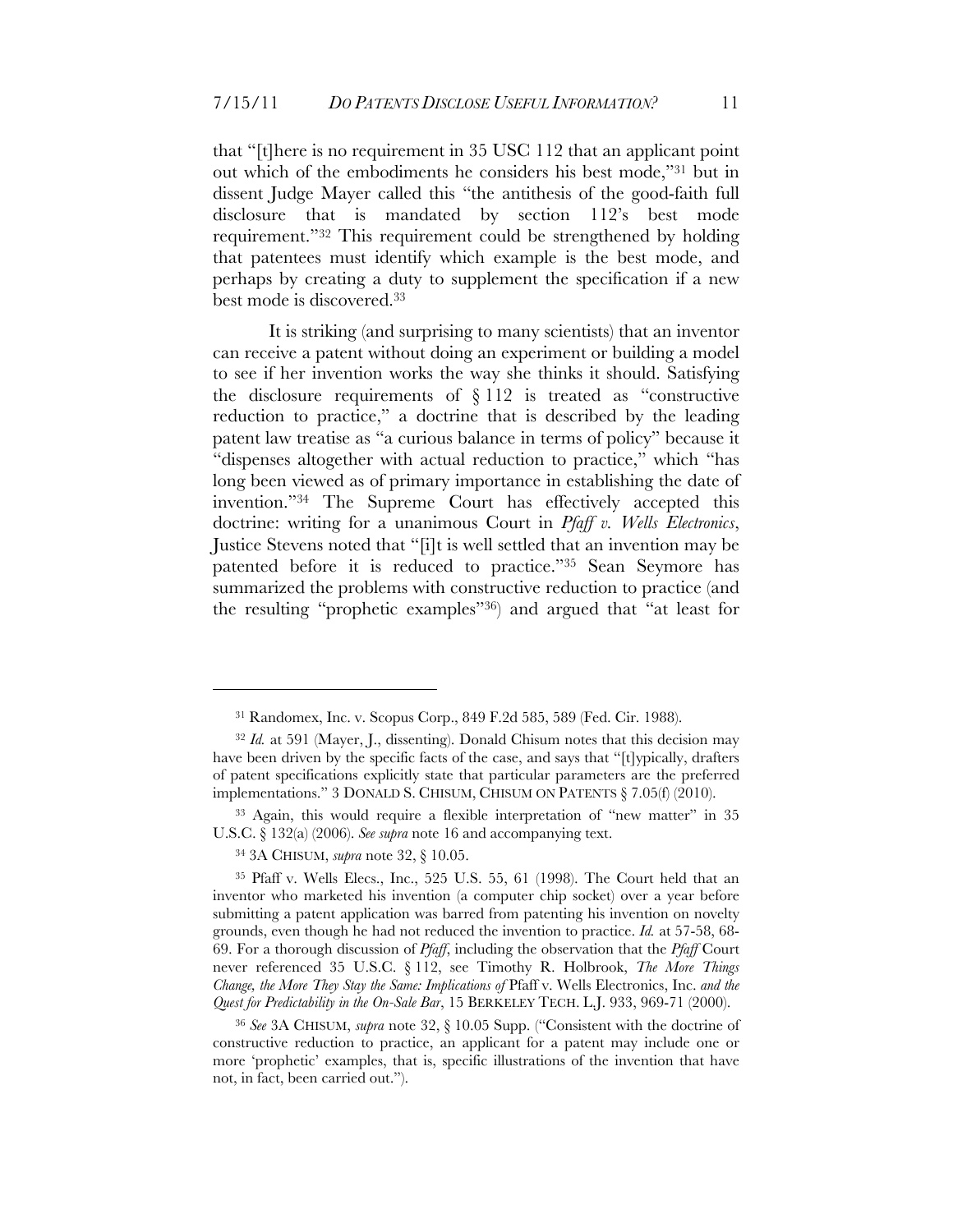that "[t]here is no requirement in 35 USC 112 that an applicant point out which of the embodiments he considers his best mode,"31 but in dissent Judge Mayer called this "the antithesis of the good-faith full disclosure that is mandated by section 112's best mode requirement."32 This requirement could be strengthened by holding that patentees must identify which example is the best mode, and perhaps by creating a duty to supplement the specification if a new best mode is discovered.33

It is striking (and surprising to many scientists) that an inventor can receive a patent without doing an experiment or building a model to see if her invention works the way she thinks it should. Satisfying the disclosure requirements of  $\S 112$  is treated as "constructive reduction to practice," a doctrine that is described by the leading patent law treatise as "a curious balance in terms of policy" because it "dispenses altogether with actual reduction to practice," which "has long been viewed as of primary importance in establishing the date of invention."34 The Supreme Court has effectively accepted this doctrine: writing for a unanimous Court in *Pfaff v. Wells Electronics*, Justice Stevens noted that "[i]t is well settled that an invention may be patented before it is reduced to practice."35 Sean Seymore has summarized the problems with constructive reduction to practice (and the resulting "prophetic examples"36) and argued that "at least for

33 Again, this would require a flexible interpretation of "new matter" in 35 U.S.C. § 132(a) (2006). *See supra* note 16 and accompanying text.

34 3A CHISUM, *supra* note 32, § 10.05.

<sup>31</sup> Randomex, Inc. v. Scopus Corp., 849 F.2d 585, 589 (Fed. Cir. 1988).

<sup>32</sup> *Id.* at 591 (Mayer, J., dissenting). Donald Chisum notes that this decision may have been driven by the specific facts of the case, and says that "[t]ypically, drafters of patent specifications explicitly state that particular parameters are the preferred implementations." 3 DONALD S. CHISUM, CHISUM ON PATENTS § 7.05(f) (2010).

<sup>35</sup> Pfaff v. Wells Elecs., Inc., 525 U.S. 55, 61 (1998). The Court held that an inventor who marketed his invention (a computer chip socket) over a year before submitting a patent application was barred from patenting his invention on novelty grounds, even though he had not reduced the invention to practice. *Id.* at 57-58, 68- 69. For a thorough discussion of *Pfaff*, including the observation that the *Pfaff* Court never referenced 35 U.S.C. § 112, see Timothy R. Holbrook, *The More Things Change, the More They Stay the Same: Implications of* Pfaff v. Wells Electronics, Inc. *and the Quest for Predictability in the On-Sale Bar*, 15 BERKELEY TECH. L.J. 933, 969-71 (2000).

<sup>36</sup> *See* 3A CHISUM, *supra* note 32, § 10.05 Supp. ("Consistent with the doctrine of constructive reduction to practice, an applicant for a patent may include one or more 'prophetic' examples, that is, specific illustrations of the invention that have not, in fact, been carried out.").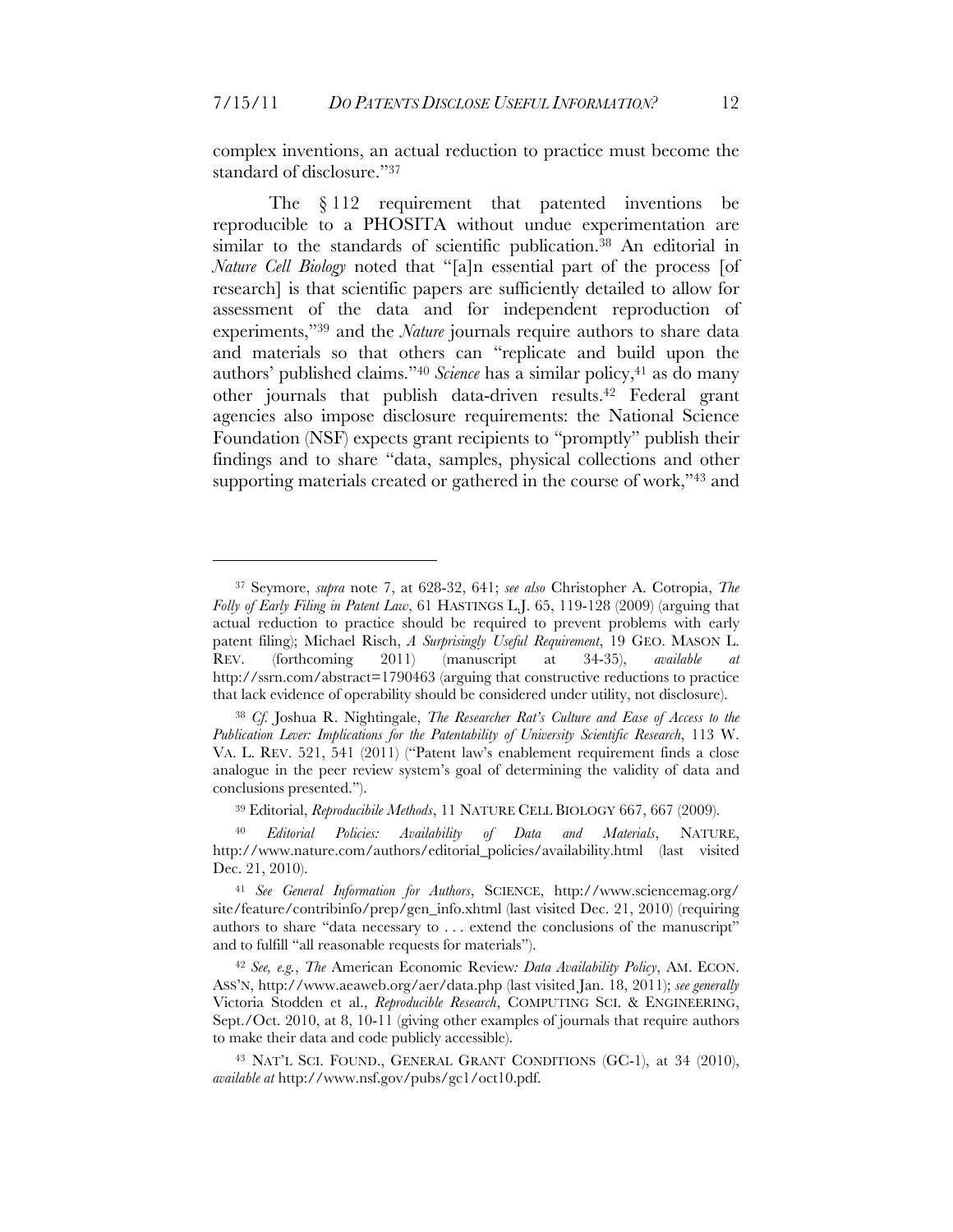complex inventions, an actual reduction to practice must become the standard of disclosure."37

The § 112 requirement that patented inventions be reproducible to a PHOSITA without undue experimentation are similar to the standards of scientific publication.38 An editorial in *Nature Cell Biology* noted that "[a]n essential part of the process [of research] is that scientific papers are sufficiently detailed to allow for assessment of the data and for independent reproduction of experiments,"39 and the *Nature* journals require authors to share data and materials so that others can "replicate and build upon the authors' published claims."<sup>40</sup> *Science* has a similar policy,<sup>41</sup> as do many other journals that publish data-driven results.42 Federal grant agencies also impose disclosure requirements: the National Science Foundation (NSF) expects grant recipients to "promptly" publish their findings and to share "data, samples, physical collections and other supporting materials created or gathered in the course of work,"43 and

<sup>37</sup> Seymore, *supra* note 7, at 628-32, 641; *see also* Christopher A. Cotropia, *The Folly of Early Filing in Patent Law*, 61 HASTINGS L.J. 65, 119-128 (2009) (arguing that actual reduction to practice should be required to prevent problems with early patent filing); Michael Risch, *A Surprisingly Useful Requirement*, 19 GEO. MASON L. REV. (forthcoming 2011) (manuscript at 34-35), *available at* http://ssrn.com/abstract=1790463 (arguing that constructive reductions to practice that lack evidence of operability should be considered under utility, not disclosure).

<sup>38</sup> *Cf.* Joshua R. Nightingale, *The Researcher Rat's Culture and Ease of Access to the Publication Lever: Implications for the Patentability of University Scientific Research*, 113 W. VA. L. REV. 521, 541 (2011) ("Patent law's enablement requirement finds a close analogue in the peer review system's goal of determining the validity of data and conclusions presented.").

<sup>39</sup> Editorial, *Reproducibile Methods*, 11 NATURE CELL BIOLOGY 667, 667 (2009).

<sup>40</sup> *Editorial Policies: Availability of Data and Materials*, NATURE, http://www.nature.com/authors/editorial\_policies/availability.html (last visited Dec. 21, 2010).

<sup>41</sup> *See General Information for Authors*, SCIENCE, http://www.sciencemag.org/ site/feature/contribinfo/prep/gen\_info.xhtml (last visited Dec. 21, 2010) (requiring authors to share "data necessary to . . . extend the conclusions of the manuscript" and to fulfill "all reasonable requests for materials").

<sup>42</sup> *See, e.g.*, *The* American Economic Review*: Data Availability Policy*, AM. ECON. ASS'N, http://www.aeaweb.org/aer/data.php (last visited Jan. 18, 2011); *see generally*  Victoria Stodden et al., *Reproducible Research*, COMPUTING SCI. & ENGINEERING, Sept./Oct. 2010, at 8, 10-11 (giving other examples of journals that require authors to make their data and code publicly accessible).

<sup>43</sup> NAT'L SCI. FOUND., GENERAL GRANT CONDITIONS (GC-1), at 34 (2010), *available at* http://www.nsf.gov/pubs/gc1/oct10.pdf.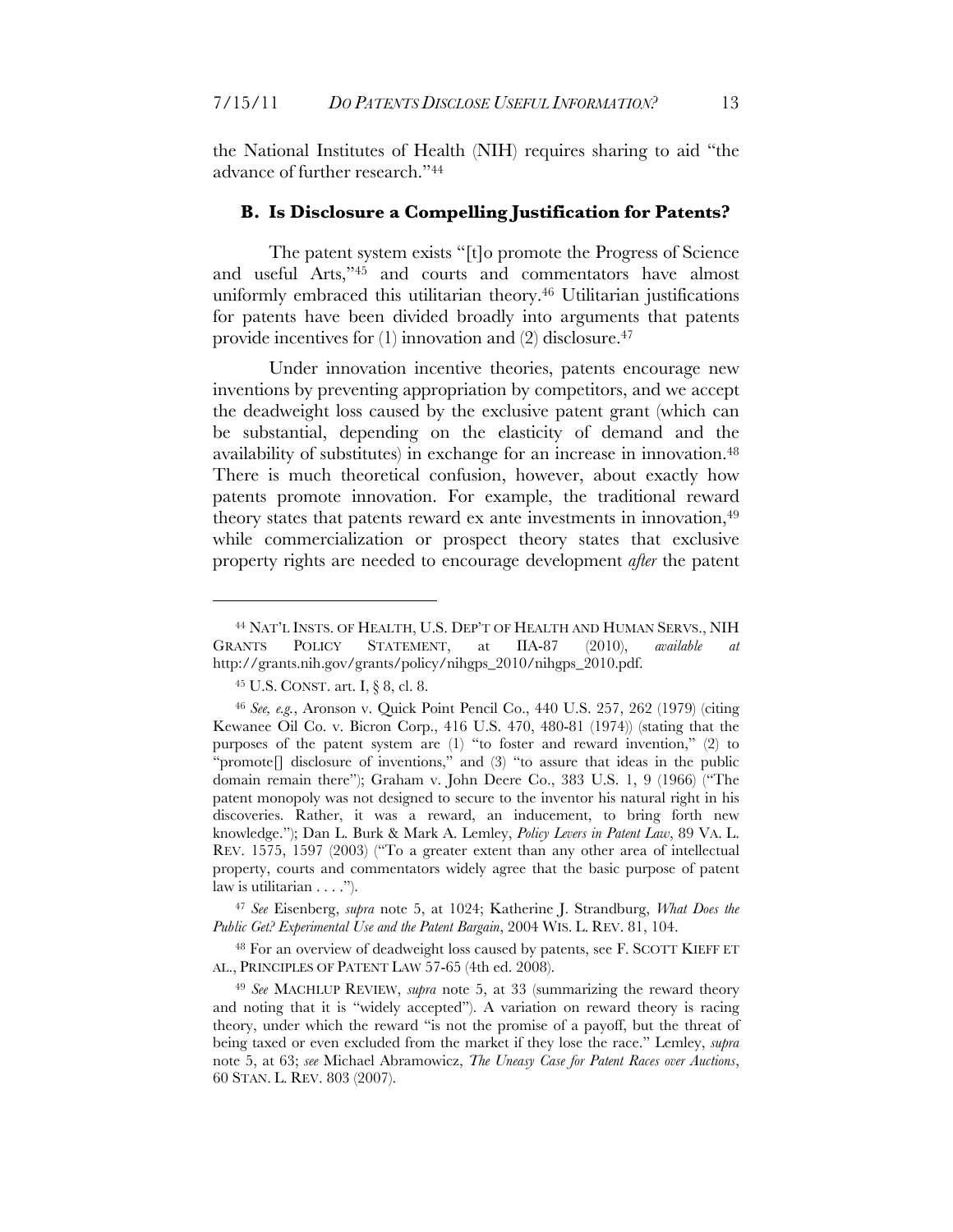the National Institutes of Health (NIH) requires sharing to aid "the advance of further research."44

#### **B. Is Disclosure a Compelling Justification for Patents?**

The patent system exists "[t]o promote the Progress of Science and useful Arts,"45 and courts and commentators have almost uniformly embraced this utilitarian theory.46 Utilitarian justifications for patents have been divided broadly into arguments that patents provide incentives for  $(1)$  innovation and  $(2)$  disclosure.<sup>47</sup>

Under innovation incentive theories, patents encourage new inventions by preventing appropriation by competitors, and we accept the deadweight loss caused by the exclusive patent grant (which can be substantial, depending on the elasticity of demand and the availability of substitutes) in exchange for an increase in innovation.48 There is much theoretical confusion, however, about exactly how patents promote innovation. For example, the traditional reward theory states that patents reward ex ante investments in innovation,49 while commercialization or prospect theory states that exclusive property rights are needed to encourage development *after* the patent

 $\overline{a}$ 

<sup>47</sup> *See* Eisenberg, *supra* note 5, at 1024; Katherine J. Strandburg, *What Does the Public Get? Experimental Use and the Patent Bargain*, 2004 WIS. L. REV. 81, 104.

48 For an overview of deadweight loss caused by patents, see F. SCOTT KIEFF ET AL., PRINCIPLES OF PATENT LAW 57-65 (4th ed. 2008).

<sup>44</sup> NAT'L INSTS. OF HEALTH, U.S. DEP'T OF HEALTH AND HUMAN SERVS., NIH GRANTS POLICY STATEMENT, at IIA-87 (2010), *available at* http://grants.nih.gov/grants/policy/nihgps\_2010/nihgps\_2010.pdf.

<sup>45</sup> U.S. CONST. art. I, § 8, cl. 8.

<sup>46</sup> *See, e.g.*, Aronson v. Quick Point Pencil Co., 440 U.S. 257, 262 (1979) (citing Kewanee Oil Co. v. Bicron Corp., 416 U.S. 470, 480-81 (1974)) (stating that the purposes of the patent system are (1) "to foster and reward invention," (2) to "promote[] disclosure of inventions," and (3) "to assure that ideas in the public domain remain there"); Graham v. John Deere Co., 383 U.S. 1, 9 (1966) ("The patent monopoly was not designed to secure to the inventor his natural right in his discoveries. Rather, it was a reward, an inducement, to bring forth new knowledge."); Dan L. Burk & Mark A. Lemley, *Policy Levers in Patent Law*, 89 VA. L. REV. 1575, 1597 (2003) ("To a greater extent than any other area of intellectual property, courts and commentators widely agree that the basic purpose of patent law is utilitarian  $\dots$ .").

<sup>49</sup> *See* MACHLUP REVIEW, *supra* note 5, at 33 (summarizing the reward theory and noting that it is "widely accepted"). A variation on reward theory is racing theory, under which the reward "is not the promise of a payoff, but the threat of being taxed or even excluded from the market if they lose the race." Lemley, *supra* note 5, at 63; *see* Michael Abramowicz, *The Uneasy Case for Patent Races over Auctions*, 60 STAN. L. REV. 803 (2007).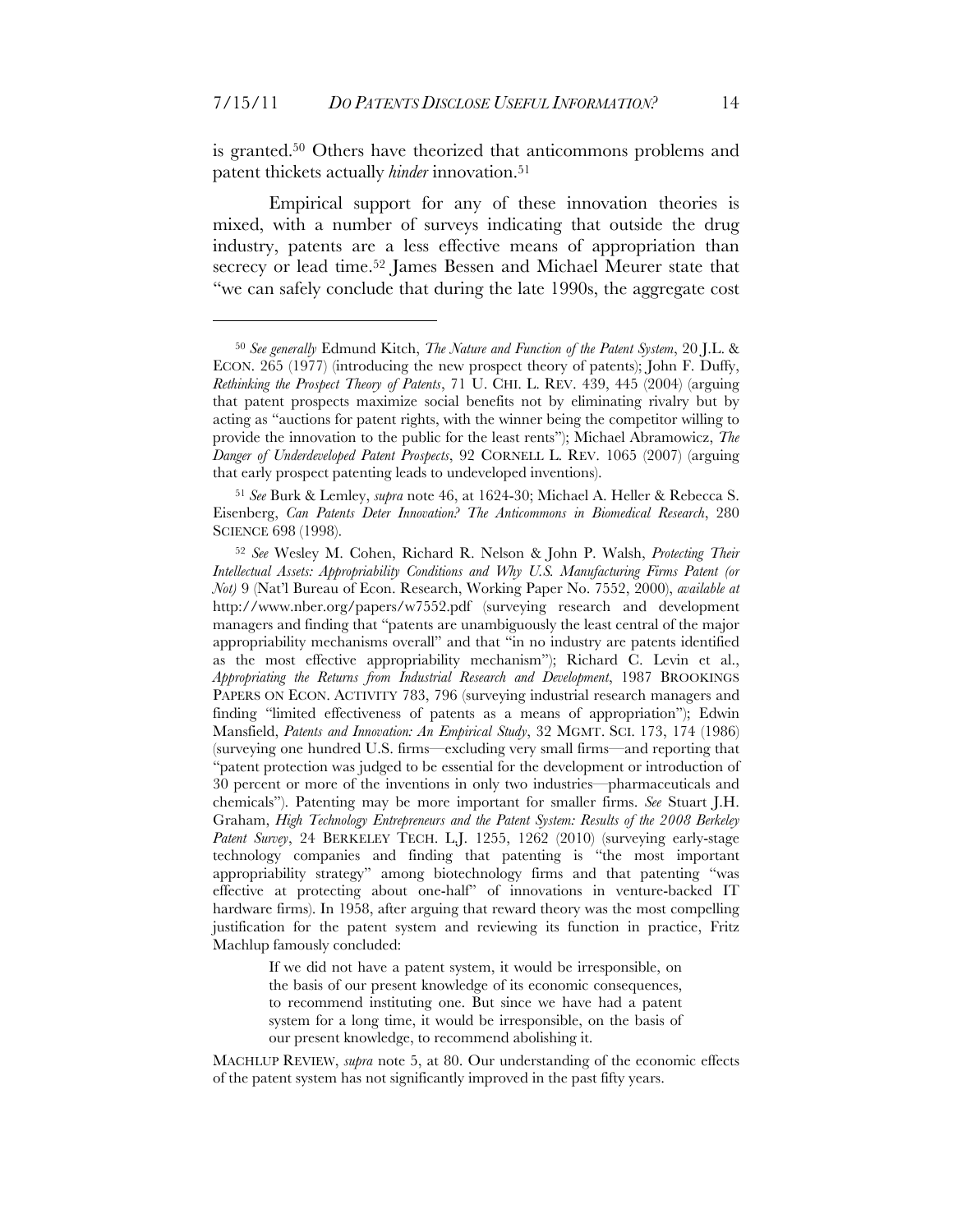$\overline{a}$ 

is granted.50 Others have theorized that anticommons problems and patent thickets actually *hinder* innovation.51

Empirical support for any of these innovation theories is mixed, with a number of surveys indicating that outside the drug industry, patents are a less effective means of appropriation than secrecy or lead time.<sup>52</sup> James Bessen and Michael Meurer state that "we can safely conclude that during the late 1990s, the aggregate cost

If we did not have a patent system, it would be irresponsible, on the basis of our present knowledge of its economic consequences, to recommend instituting one. But since we have had a patent system for a long time, it would be irresponsible, on the basis of our present knowledge, to recommend abolishing it.

MACHLUP REVIEW, *supra* note 5, at 80. Our understanding of the economic effects of the patent system has not significantly improved in the past fifty years.

<sup>50</sup> *See generally* Edmund Kitch, *The Nature and Function of the Patent System*, 20 J.L. & ECON. 265 (1977) (introducing the new prospect theory of patents); John F. Duffy, *Rethinking the Prospect Theory of Patents*, 71 U. CHI. L. REV. 439, 445 (2004) (arguing that patent prospects maximize social benefits not by eliminating rivalry but by acting as "auctions for patent rights, with the winner being the competitor willing to provide the innovation to the public for the least rents"); Michael Abramowicz, *The Danger of Underdeveloped Patent Prospects*, 92 CORNELL L. REV. 1065 (2007) (arguing that early prospect patenting leads to undeveloped inventions).

<sup>51</sup> *See* Burk & Lemley, *supra* note 46, at 1624-30; Michael A. Heller & Rebecca S. Eisenberg, *Can Patents Deter Innovation? The Anticommons in Biomedical Research*, 280 SCIENCE 698 (1998).

<sup>52</sup> *See* Wesley M. Cohen, Richard R. Nelson & John P. Walsh, *Protecting Their Intellectual Assets: Appropriability Conditions and Why U.S. Manufacturing Firms Patent (or Not)* 9 (Nat'l Bureau of Econ. Research, Working Paper No. 7552, 2000), *available at* http://www.nber.org/papers/w7552.pdf (surveying research and development managers and finding that "patents are unambiguously the least central of the major appropriability mechanisms overall" and that "in no industry are patents identified as the most effective appropriability mechanism"); Richard C. Levin et al., *Appropriating the Returns from Industrial Research and Development*, 1987 BROOKINGS PAPERS ON ECON. ACTIVITY 783, 796 (surveying industrial research managers and finding "limited effectiveness of patents as a means of appropriation"); Edwin Mansfield, *Patents and Innovation: An Empirical Study*, 32 MGMT. SCI. 173, 174 (1986) (surveying one hundred U.S. firms—excluding very small firms—and reporting that "patent protection was judged to be essential for the development or introduction of 30 percent or more of the inventions in only two industries—pharmaceuticals and chemicals"). Patenting may be more important for smaller firms. *See* Stuart J.H. Graham, *High Technology Entrepreneurs and the Patent System: Results of the 2008 Berkeley*  Patent Survey, 24 BERKELEY TECH. L.J. 1255, 1262 (2010) (surveying early-stage technology companies and finding that patenting is "the most important appropriability strategy" among biotechnology firms and that patenting "was effective at protecting about one-half" of innovations in venture-backed IT hardware firms). In 1958, after arguing that reward theory was the most compelling justification for the patent system and reviewing its function in practice, Fritz Machlup famously concluded: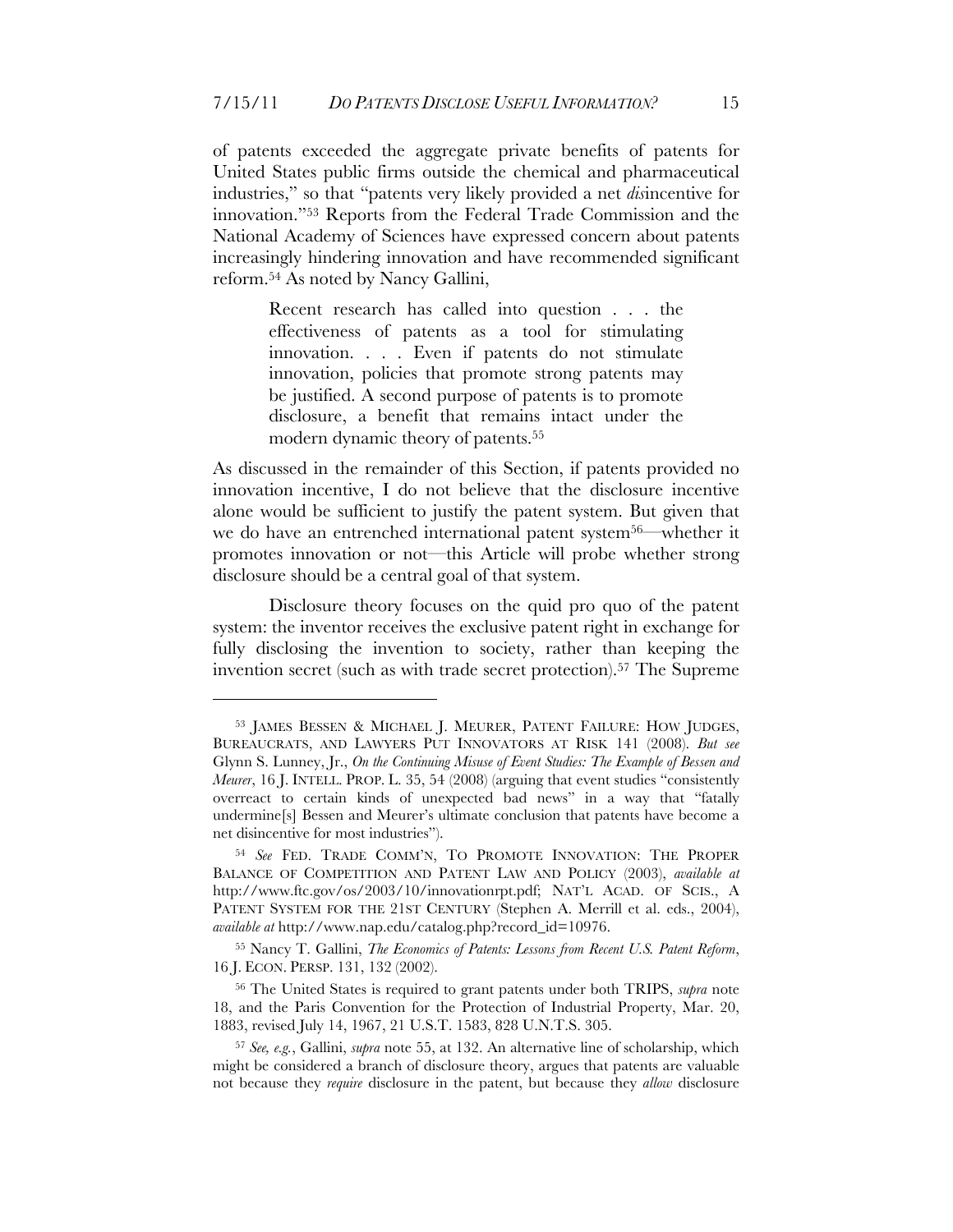of patents exceeded the aggregate private benefits of patents for United States public firms outside the chemical and pharmaceutical industries," so that "patents very likely provided a net *dis*incentive for innovation."53 Reports from the Federal Trade Commission and the National Academy of Sciences have expressed concern about patents increasingly hindering innovation and have recommended significant reform.54 As noted by Nancy Gallini,

> Recent research has called into question . . . the effectiveness of patents as a tool for stimulating innovation. . . . Even if patents do not stimulate innovation, policies that promote strong patents may be justified. A second purpose of patents is to promote disclosure, a benefit that remains intact under the modern dynamic theory of patents.<sup>55</sup>

As discussed in the remainder of this Section, if patents provided no innovation incentive, I do not believe that the disclosure incentive alone would be sufficient to justify the patent system. But given that we do have an entrenched international patent system56—whether it promotes innovation or not—this Article will probe whether strong disclosure should be a central goal of that system.

Disclosure theory focuses on the quid pro quo of the patent system: the inventor receives the exclusive patent right in exchange for fully disclosing the invention to society, rather than keeping the invention secret (such as with trade secret protection). <sup>57</sup> The Supreme

<sup>53</sup> JAMES BESSEN & MICHAEL J. MEURER, PATENT FAILURE: HOW JUDGES, BUREAUCRATS, AND LAWYERS PUT INNOVATORS AT RISK 141 (2008). *But see* Glynn S. Lunney, Jr., *On the Continuing Misuse of Event Studies: The Example of Bessen and Meurer*, 16 J. INTELL. PROP. L. 35, 54 (2008) (arguing that event studies "consistently overreact to certain kinds of unexpected bad news" in a way that "fatally undermine[s] Bessen and Meurer's ultimate conclusion that patents have become a net disincentive for most industries").

<sup>54</sup> *See* FED. TRADE COMM'N, TO PROMOTE INNOVATION: THE PROPER BALANCE OF COMPETITION AND PATENT LAW AND POLICY (2003), *available at* http://www.ftc.gov/os/2003/10/innovationrpt.pdf; NAT'L ACAD. OF SCIS., A PATENT SYSTEM FOR THE 21ST CENTURY (Stephen A. Merrill et al. eds., 2004), *available at* http://www.nap.edu/catalog.php?record\_id=10976.

<sup>55</sup> Nancy T. Gallini, *The Economics of Patents: Lessons from Recent U.S. Patent Reform*, 16 J. ECON. PERSP. 131, 132 (2002).

<sup>56</sup> The United States is required to grant patents under both TRIPS, *supra* note 18, and the Paris Convention for the Protection of Industrial Property, Mar. 20, 1883, revised July 14, 1967, 21 U.S.T. 1583, 828 U.N.T.S. 305.

<sup>57</sup> *See, e.g.*, Gallini, *supra* note 55, at 132. An alternative line of scholarship, which might be considered a branch of disclosure theory, argues that patents are valuable not because they *require* disclosure in the patent, but because they *allow* disclosure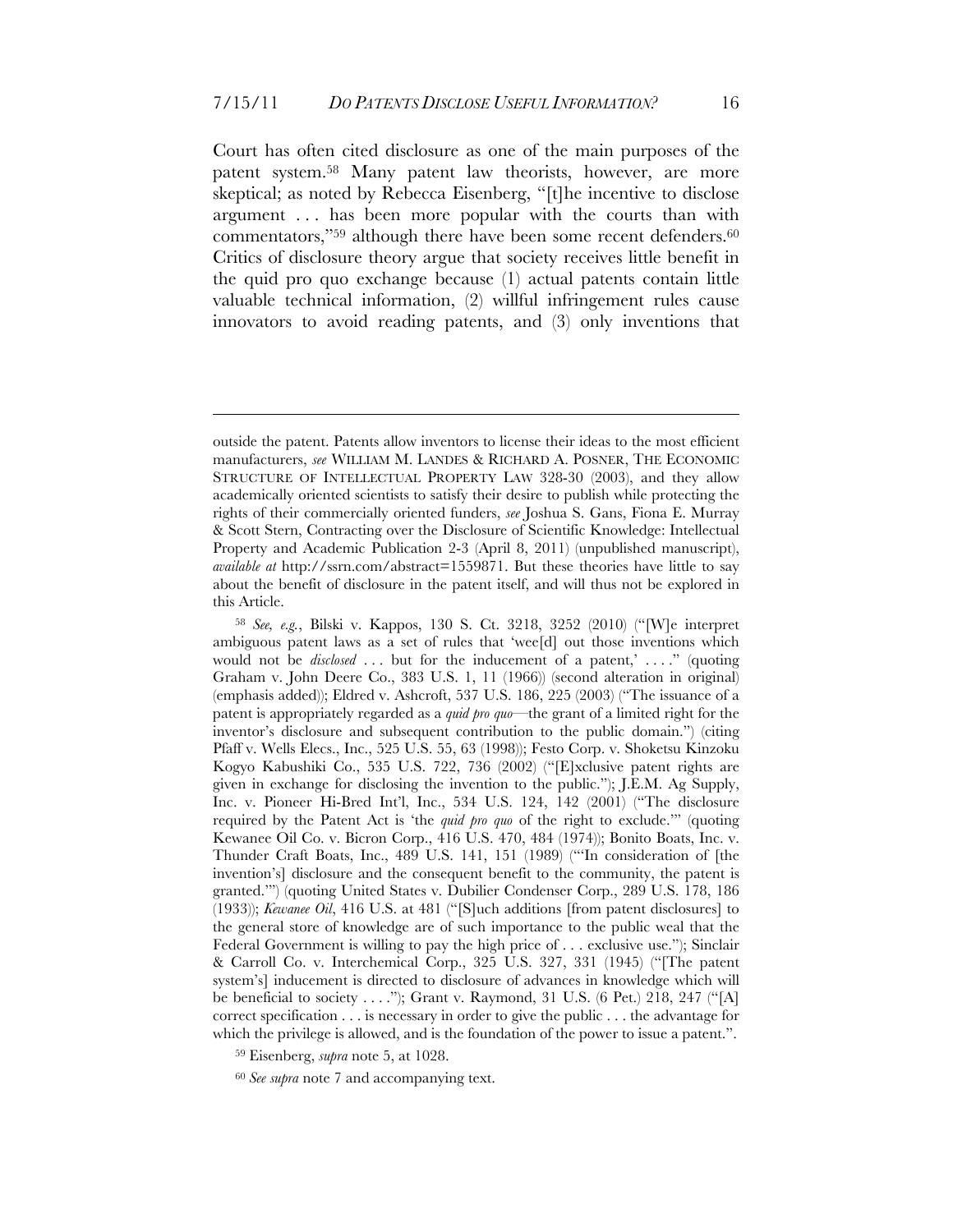Court has often cited disclosure as one of the main purposes of the patent system.58 Many patent law theorists, however, are more skeptical; as noted by Rebecca Eisenberg, "[t]he incentive to disclose argument . . . has been more popular with the courts than with commentators,"<sup>59</sup> although there have been some recent defenders.<sup>60</sup> Critics of disclosure theory argue that society receives little benefit in the quid pro quo exchange because (1) actual patents contain little valuable technical information, (2) willful infringement rules cause innovators to avoid reading patents, and (3) only inventions that

<u>.</u>

<sup>60</sup> *See supra* note 7 and accompanying text.

outside the patent. Patents allow inventors to license their ideas to the most efficient manufacturers, *see* WILLIAM M. LANDES & RICHARD A. POSNER, THE ECONOMIC STRUCTURE OF INTELLECTUAL PROPERTY LAW 328-30 (2003), and they allow academically oriented scientists to satisfy their desire to publish while protecting the rights of their commercially oriented funders, *see* Joshua S. Gans, Fiona E. Murray & Scott Stern, Contracting over the Disclosure of Scientific Knowledge: Intellectual Property and Academic Publication 2-3 (April 8, 2011) (unpublished manuscript), *available at* http://ssrn.com/abstract=1559871. But these theories have little to say about the benefit of disclosure in the patent itself, and will thus not be explored in this Article.

<sup>58</sup> *See, e.g.*, Bilski v. Kappos, 130 S. Ct. 3218, 3252 (2010) ("[W]e interpret ambiguous patent laws as a set of rules that 'wee[d] out those inventions which would not be *disclosed* ... but for the inducement of a patent,' ...." (quoting Graham v. John Deere Co., 383 U.S. 1, 11 (1966)) (second alteration in original) (emphasis added)); Eldred v. Ashcroft, 537 U.S. 186, 225 (2003) ("The issuance of a patent is appropriately regarded as a *quid pro quo*—the grant of a limited right for the inventor's disclosure and subsequent contribution to the public domain.") (citing Pfaff v. Wells Elecs., Inc., 525 U.S. 55, 63 (1998)); Festo Corp. v. Shoketsu Kinzoku Kogyo Kabushiki Co., 535 U.S. 722, 736 (2002) ("[E]xclusive patent rights are given in exchange for disclosing the invention to the public."); J.E.M. Ag Supply, Inc. v. Pioneer Hi-Bred Int'l, Inc., 534 U.S. 124, 142 (2001) ("The disclosure required by the Patent Act is 'the *quid pro quo* of the right to exclude.'" (quoting Kewanee Oil Co. v. Bicron Corp., 416 U.S. 470, 484 (1974)); Bonito Boats, Inc. v. Thunder Craft Boats, Inc., 489 U.S. 141, 151 (1989) ("'In consideration of [the invention's] disclosure and the consequent benefit to the community, the patent is granted.'") (quoting United States v. Dubilier Condenser Corp., 289 U.S. 178, 186 (1933)); *Kewanee Oil*, 416 U.S. at 481 ("[S]uch additions [from patent disclosures] to the general store of knowledge are of such importance to the public weal that the Federal Government is willing to pay the high price of . . . exclusive use."); Sinclair & Carroll Co. v. Interchemical Corp., 325 U.S. 327, 331 (1945) ("[The patent system's] inducement is directed to disclosure of advances in knowledge which will be beneficial to society . . . ."); Grant v. Raymond, 31 U.S. (6 Pet.) 218, 247 ("[A] correct specification . . . is necessary in order to give the public . . . the advantage for which the privilege is allowed, and is the foundation of the power to issue a patent.".

<sup>59</sup> Eisenberg, *supra* note 5, at 1028.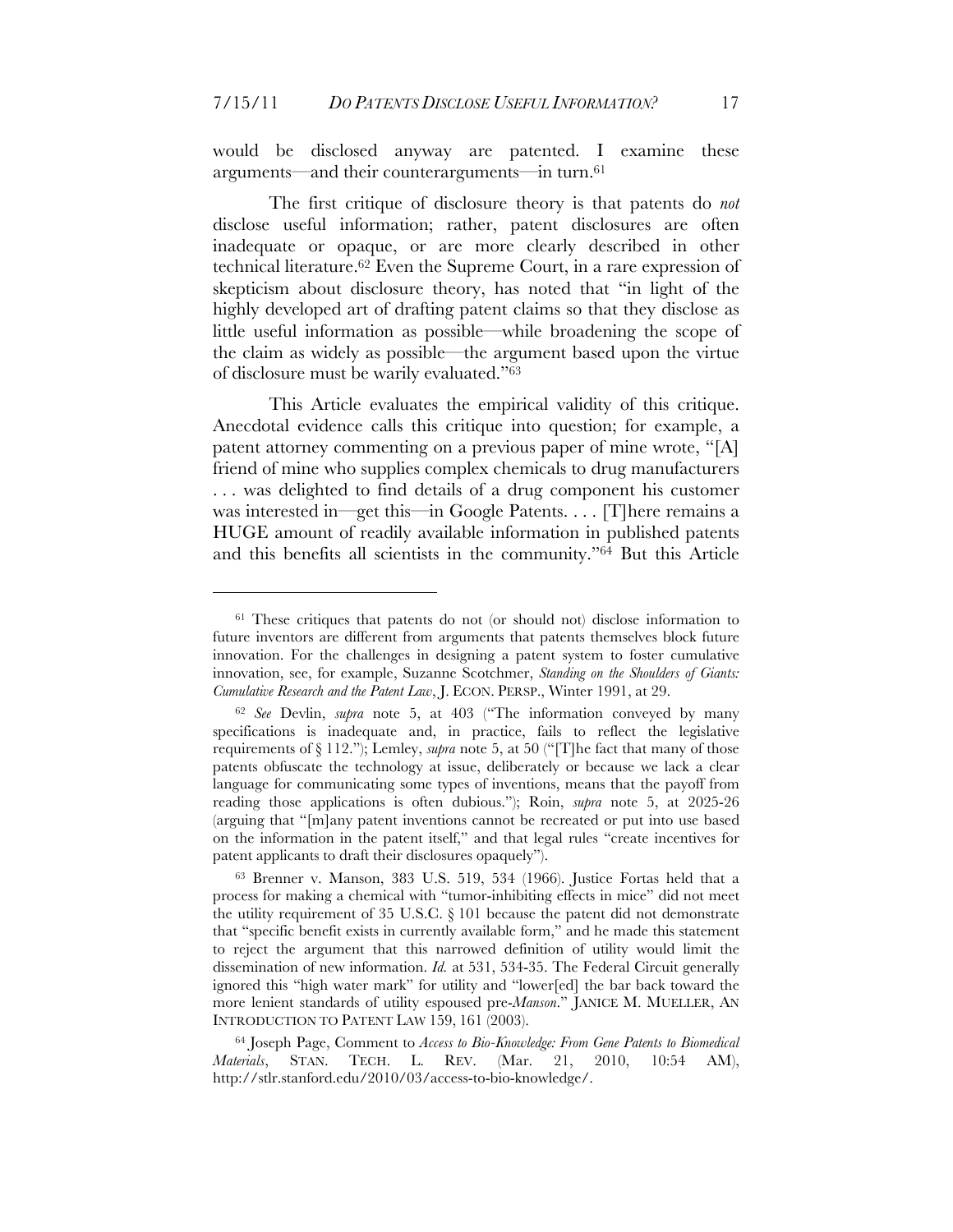would be disclosed anyway are patented. I examine these arguments—and their counterarguments—in turn.61

The first critique of disclosure theory is that patents do *not* disclose useful information; rather, patent disclosures are often inadequate or opaque, or are more clearly described in other technical literature. <sup>62</sup> Even the Supreme Court, in a rare expression of skepticism about disclosure theory, has noted that "in light of the highly developed art of drafting patent claims so that they disclose as little useful information as possible—while broadening the scope of the claim as widely as possible—the argument based upon the virtue of disclosure must be warily evaluated."63

This Article evaluates the empirical validity of this critique. Anecdotal evidence calls this critique into question; for example, a patent attorney commenting on a previous paper of mine wrote, "[A] friend of mine who supplies complex chemicals to drug manufacturers . . . was delighted to find details of a drug component his customer was interested in—get this—in Google Patents. . . . [T] here remains a HUGE amount of readily available information in published patents and this benefits all scientists in the community."64 But this Article

<sup>&</sup>lt;sup>61</sup> These critiques that patents do not (or should not) disclose information to future inventors are different from arguments that patents themselves block future innovation. For the challenges in designing a patent system to foster cumulative innovation, see, for example, Suzanne Scotchmer, *Standing on the Shoulders of Giants: Cumulative Research and the Patent Law*, J. ECON. PERSP., Winter 1991, at 29.

<sup>62</sup> *See* Devlin, *supra* note 5, at 403 ("The information conveyed by many specifications is inadequate and, in practice, fails to reflect the legislative requirements of § 112."); Lemley, *supra* note 5, at 50 ("[T]he fact that many of those patents obfuscate the technology at issue, deliberately or because we lack a clear language for communicating some types of inventions, means that the payoff from reading those applications is often dubious."); Roin, *supra* note 5, at 2025-26 (arguing that "[m]any patent inventions cannot be recreated or put into use based on the information in the patent itself," and that legal rules "create incentives for patent applicants to draft their disclosures opaquely").

<sup>63</sup> Brenner v. Manson, 383 U.S. 519, 534 (1966). Justice Fortas held that a process for making a chemical with "tumor-inhibiting effects in mice" did not meet the utility requirement of 35 U.S.C. § 101 because the patent did not demonstrate that "specific benefit exists in currently available form," and he made this statement to reject the argument that this narrowed definition of utility would limit the dissemination of new information. *Id.* at 531, 534-35. The Federal Circuit generally ignored this "high water mark" for utility and "lower[ed] the bar back toward the more lenient standards of utility espoused pre-*Manson*." JANICE M. MUELLER, AN INTRODUCTION TO PATENT LAW 159, 161 (2003).

<sup>64</sup> Joseph Page, Comment to *Access to Bio-Knowledge: From Gene Patents to Biomedical Materials*, STAN. TECH. L. REV. (Mar. 21, 2010, 10:54 AM), http://stlr.stanford.edu/2010/03/access-to-bio-knowledge/.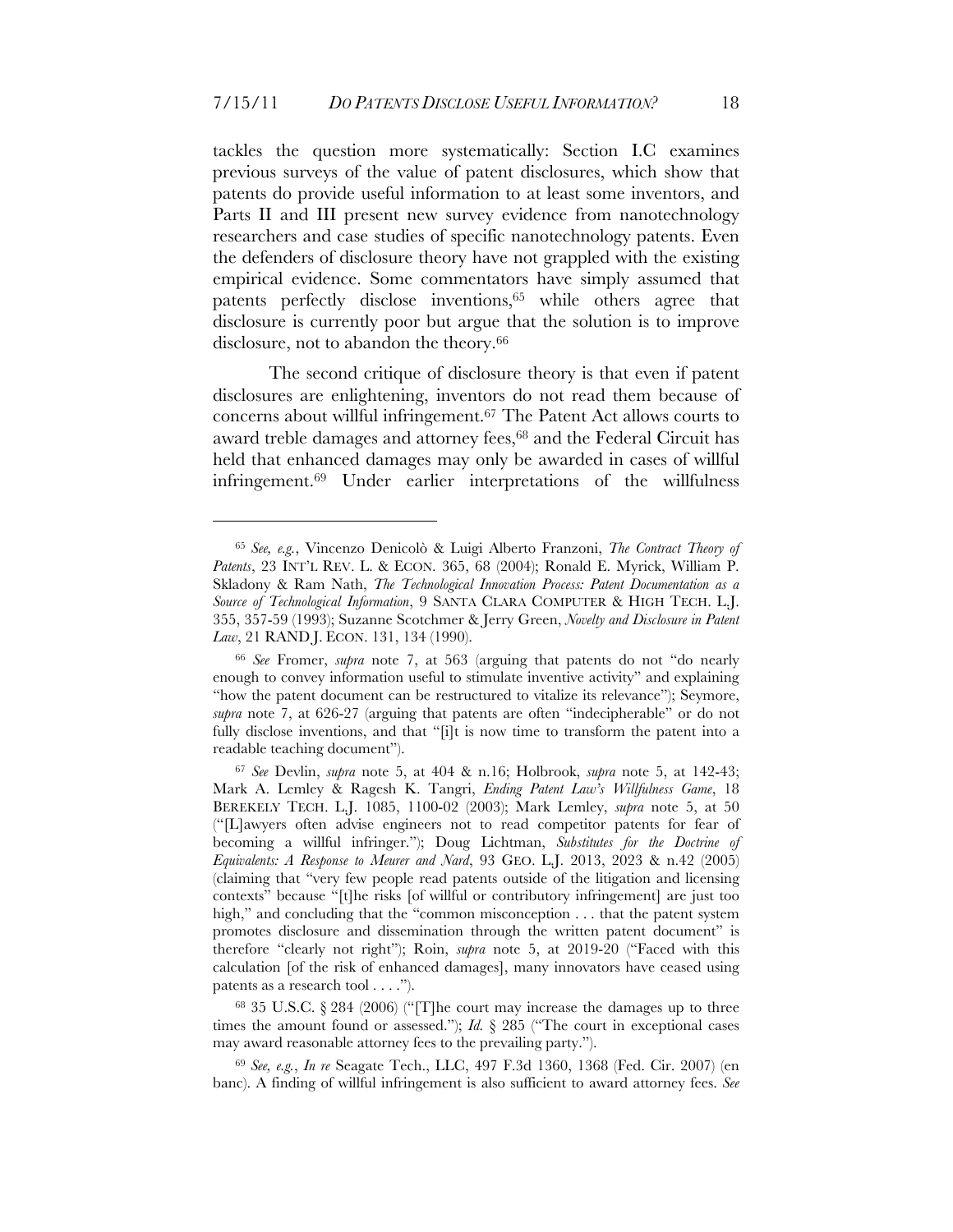tackles the question more systematically: Section I.C examines previous surveys of the value of patent disclosures, which show that patents do provide useful information to at least some inventors, and Parts II and III present new survey evidence from nanotechnology researchers and case studies of specific nanotechnology patents. Even the defenders of disclosure theory have not grappled with the existing empirical evidence. Some commentators have simply assumed that patents perfectly disclose inventions,65 while others agree that disclosure is currently poor but argue that the solution is to improve disclosure, not to abandon the theory.<sup>66</sup>

The second critique of disclosure theory is that even if patent disclosures are enlightening, inventors do not read them because of concerns about willful infringement.67 The Patent Act allows courts to award treble damages and attorney fees,<sup>68</sup> and the Federal Circuit has held that enhanced damages may only be awarded in cases of willful infringement.69 Under earlier interpretations of the willfulness

<sup>65</sup> *See, e.g.*, Vincenzo Denicolò & Luigi Alberto Franzoni, *The Contract Theory of Patents*, 23 INT'L REV. L. & ECON. 365, 68 (2004); Ronald E. Myrick, William P. Skladony & Ram Nath, *The Technological Innovation Process: Patent Documentation as a Source of Technological Information*, 9 SANTA CLARA COMPUTER & HIGH TECH. L.J. 355, 357-59 (1993); Suzanne Scotchmer & Jerry Green, *Novelty and Disclosure in Patent Law*, 21 RAND J. ECON. 131, 134 (1990).

<sup>66</sup> *See* Fromer, *supra* note 7, at 563 (arguing that patents do not "do nearly enough to convey information useful to stimulate inventive activity" and explaining "how the patent document can be restructured to vitalize its relevance"); Seymore, *supra* note 7, at 626-27 (arguing that patents are often "indecipherable" or do not fully disclose inventions, and that "[i]t is now time to transform the patent into a readable teaching document").

<sup>67</sup> *See* Devlin, *supra* note 5, at 404 & n.16; Holbrook, *supra* note 5, at 142-43; Mark A. Lemley & Ragesh K. Tangri, *Ending Patent Law's Willfulness Game*, 18 BEREKELY TECH. L.J. 1085, 1100-02 (2003); Mark Lemley, *supra* note 5, at 50 ("[L]awyers often advise engineers not to read competitor patents for fear of becoming a willful infringer."); Doug Lichtman, *Substitutes for the Doctrine of Equivalents: A Response to Meurer and Nard*, 93 GEO. L.J. 2013, 2023 & n.42 (2005) (claiming that "very few people read patents outside of the litigation and licensing contexts" because "[t]he risks [of willful or contributory infringement] are just too high," and concluding that the "common misconception . . . that the patent system promotes disclosure and dissemination through the written patent document" is therefore "clearly not right"); Roin, *supra* note 5, at 2019-20 ("Faced with this calculation [of the risk of enhanced damages], many innovators have ceased using patents as a research tool . . . .").

<sup>68 35</sup> U.S.C. § 284 (2006) ("[T]he court may increase the damages up to three times the amount found or assessed."); *Id.* § 285 ("The court in exceptional cases may award reasonable attorney fees to the prevailing party.").

<sup>69</sup> *See, e.g.*, *In re* Seagate Tech., LLC, 497 F.3d 1360, 1368 (Fed. Cir. 2007) (en banc). A finding of willful infringement is also sufficient to award attorney fees. *See*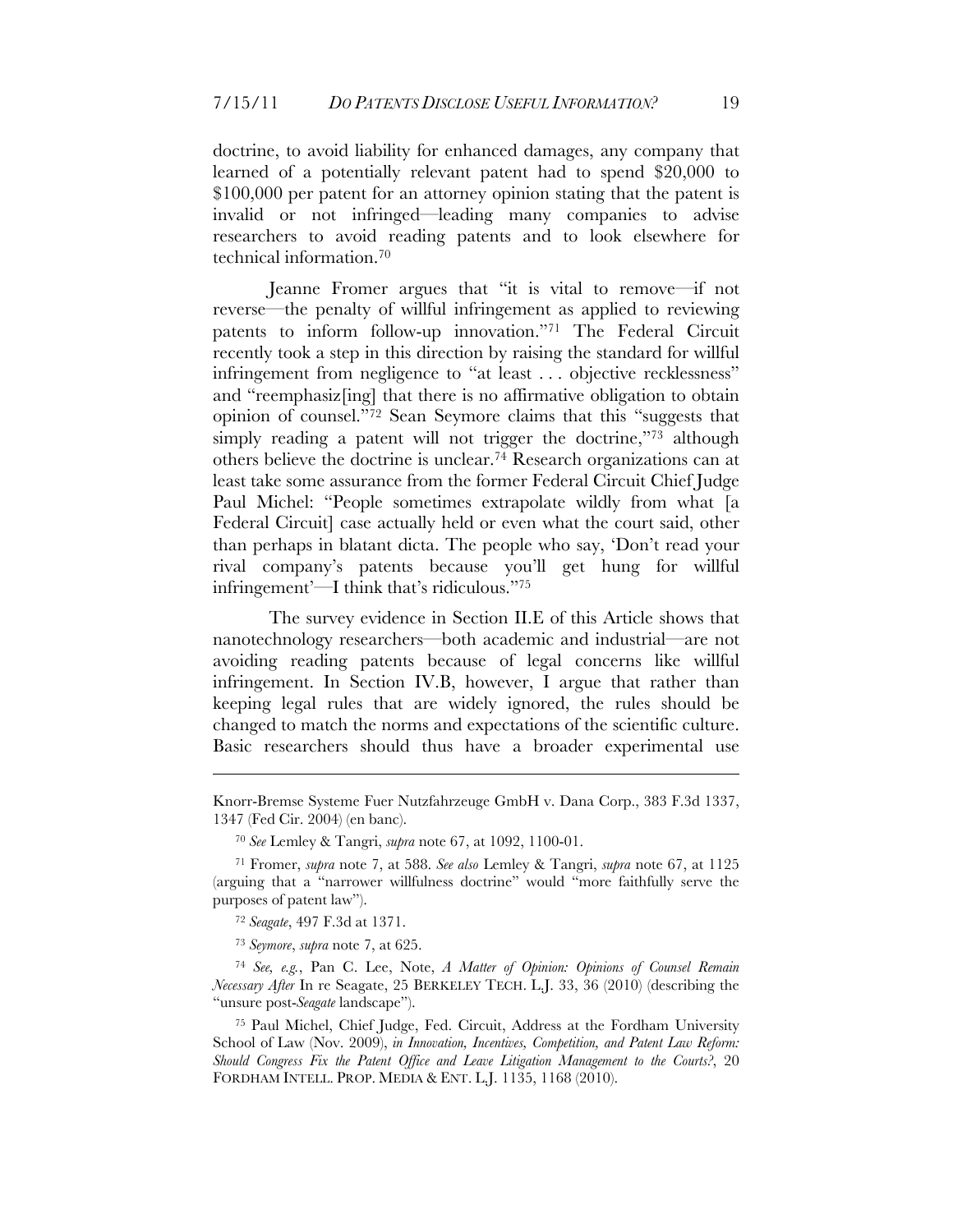doctrine, to avoid liability for enhanced damages, any company that learned of a potentially relevant patent had to spend \$20,000 to \$100,000 per patent for an attorney opinion stating that the patent is invalid or not infringed—leading many companies to advise researchers to avoid reading patents and to look elsewhere for technical information.70

Jeanne Fromer argues that "it is vital to remove—if not reverse—the penalty of willful infringement as applied to reviewing patents to inform follow-up innovation."71 The Federal Circuit recently took a step in this direction by raising the standard for willful infringement from negligence to "at least . . . objective recklessness" and "reemphasiz[ing] that there is no affirmative obligation to obtain opinion of counsel."72 Sean Seymore claims that this "suggests that simply reading a patent will not trigger the doctrine,"73 although others believe the doctrine is unclear.74 Research organizations can at least take some assurance from the former Federal Circuit Chief Judge Paul Michel: "People sometimes extrapolate wildly from what [a Federal Circuit] case actually held or even what the court said, other than perhaps in blatant dicta. The people who say, 'Don't read your rival company's patents because you'll get hung for willful infringement'—I think that's ridiculous."75

The survey evidence in Section II.E of this Article shows that nanotechnology researchers—both academic and industrial—are not avoiding reading patents because of legal concerns like willful infringement. In Section IV.B, however, I argue that rather than keeping legal rules that are widely ignored, the rules should be changed to match the norms and expectations of the scientific culture. Basic researchers should thus have a broader experimental use

<u>.</u>

Knorr-Bremse Systeme Fuer Nutzfahrzeuge GmbH v. Dana Corp., 383 F.3d 1337, 1347 (Fed Cir. 2004) (en banc).

<sup>70</sup> *See* Lemley & Tangri, *supra* note 67, at 1092, 1100-01.

<sup>71</sup> Fromer, *supra* note 7, at 588. *See also* Lemley & Tangri, *supra* note 67, at 1125 (arguing that a "narrower willfulness doctrine" would "more faithfully serve the purposes of patent law").

<sup>72</sup> *Seagate*, 497 F.3d at 1371.

<sup>73</sup> *Seymore*, *supra* note 7, at 625.

<sup>74</sup> *See, e.g.*, Pan C. Lee, Note, *A Matter of Opinion: Opinions of Counsel Remain Necessary After* In re Seagate, 25 BERKELEY TECH. L.J. 33, 36 (2010) (describing the "unsure post-*Seagate* landscape").

<sup>75</sup> Paul Michel, Chief Judge, Fed. Circuit, Address at the Fordham University School of Law (Nov. 2009), *in Innovation, Incentives, Competition, and Patent Law Reform: Should Congress Fix the Patent Office and Leave Litigation Management to the Courts?*, 20 FORDHAM INTELL. PROP. MEDIA & ENT. L.J. 1135, 1168 (2010).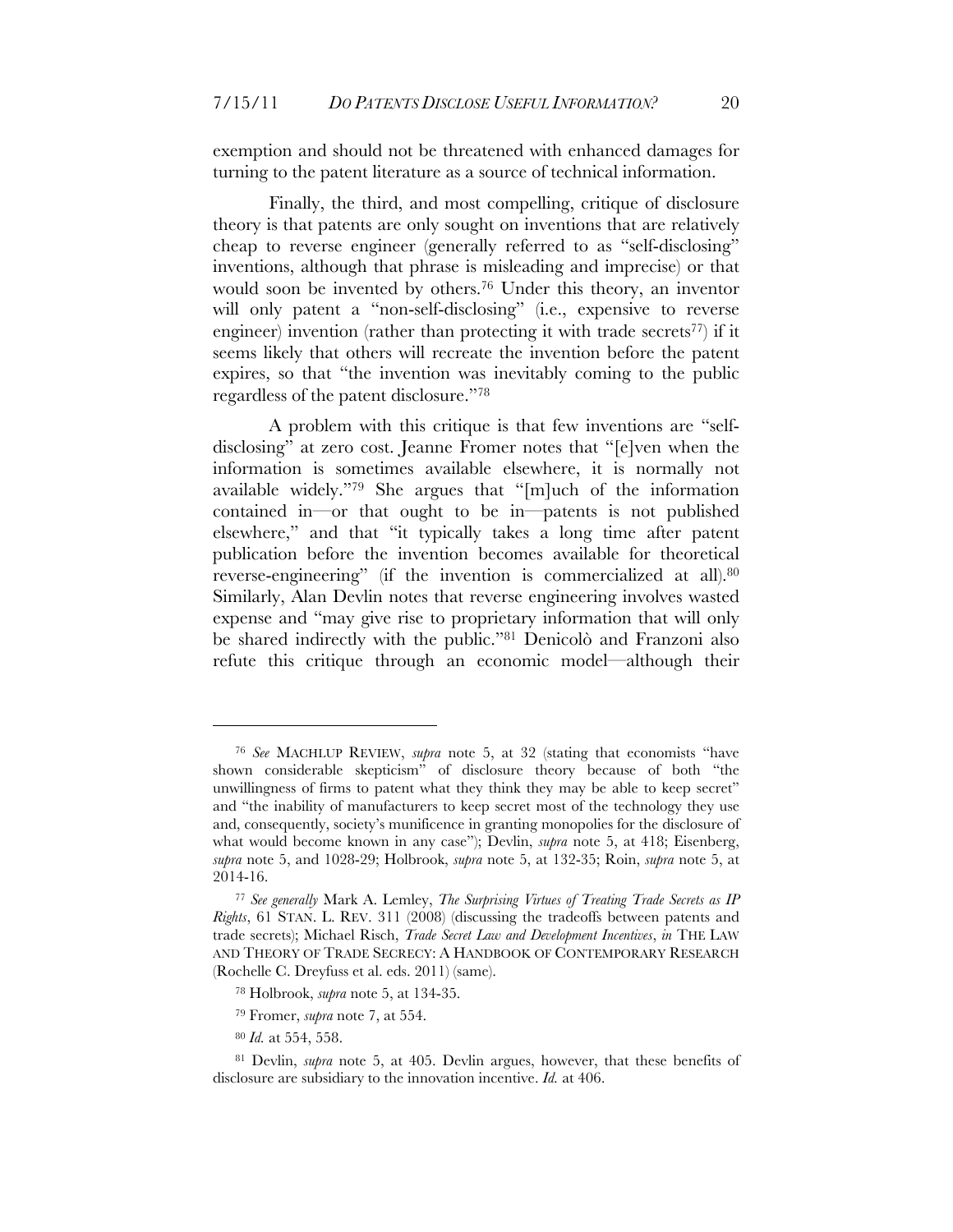exemption and should not be threatened with enhanced damages for turning to the patent literature as a source of technical information.

Finally, the third, and most compelling, critique of disclosure theory is that patents are only sought on inventions that are relatively cheap to reverse engineer (generally referred to as "self-disclosing" inventions, although that phrase is misleading and imprecise) or that would soon be invented by others.76 Under this theory, an inventor will only patent a "non-self-disclosing" (i.e., expensive to reverse engineer) invention (rather than protecting it with trade secrets<sup>77</sup>) if it seems likely that others will recreate the invention before the patent expires, so that "the invention was inevitably coming to the public regardless of the patent disclosure."78

A problem with this critique is that few inventions are "selfdisclosing" at zero cost. Jeanne Fromer notes that "[e]ven when the information is sometimes available elsewhere, it is normally not available widely."79 She argues that "[m]uch of the information contained in—or that ought to be in—patents is not published elsewhere," and that "it typically takes a long time after patent publication before the invention becomes available for theoretical reverse-engineering" (if the invention is commercialized at all).80 Similarly, Alan Devlin notes that reverse engineering involves wasted expense and "may give rise to proprietary information that will only be shared indirectly with the public."81 Denicolò and Franzoni also refute this critique through an economic model—although their

<sup>76</sup> *See* MACHLUP REVIEW, *supra* note 5, at 32 (stating that economists "have shown considerable skepticism" of disclosure theory because of both "the unwillingness of firms to patent what they think they may be able to keep secret" and "the inability of manufacturers to keep secret most of the technology they use and, consequently, society's munificence in granting monopolies for the disclosure of what would become known in any case"); Devlin, *supra* note 5, at 418; Eisenberg, *supra* note 5, and 1028-29; Holbrook, *supra* note 5, at 132-35; Roin, *supra* note 5, at 2014-16.

<sup>77</sup> *See generally* Mark A. Lemley, *The Surprising Virtues of Treating Trade Secrets as IP Rights*, 61 STAN. L. REV. 311 (2008) (discussing the tradeoffs between patents and trade secrets); Michael Risch, *Trade Secret Law and Development Incentives*, *in* THE LAW AND THEORY OF TRADE SECRECY: A HANDBOOK OF CONTEMPORARY RESEARCH (Rochelle C. Dreyfuss et al. eds. 2011) (same).

<sup>78</sup> Holbrook, *supra* note 5, at 134-35.

<sup>79</sup> Fromer, *supra* note 7, at 554.

<sup>80</sup> *Id.* at 554, 558.

<sup>81</sup> Devlin, *supra* note 5, at 405. Devlin argues, however, that these benefits of disclosure are subsidiary to the innovation incentive. *Id.* at 406.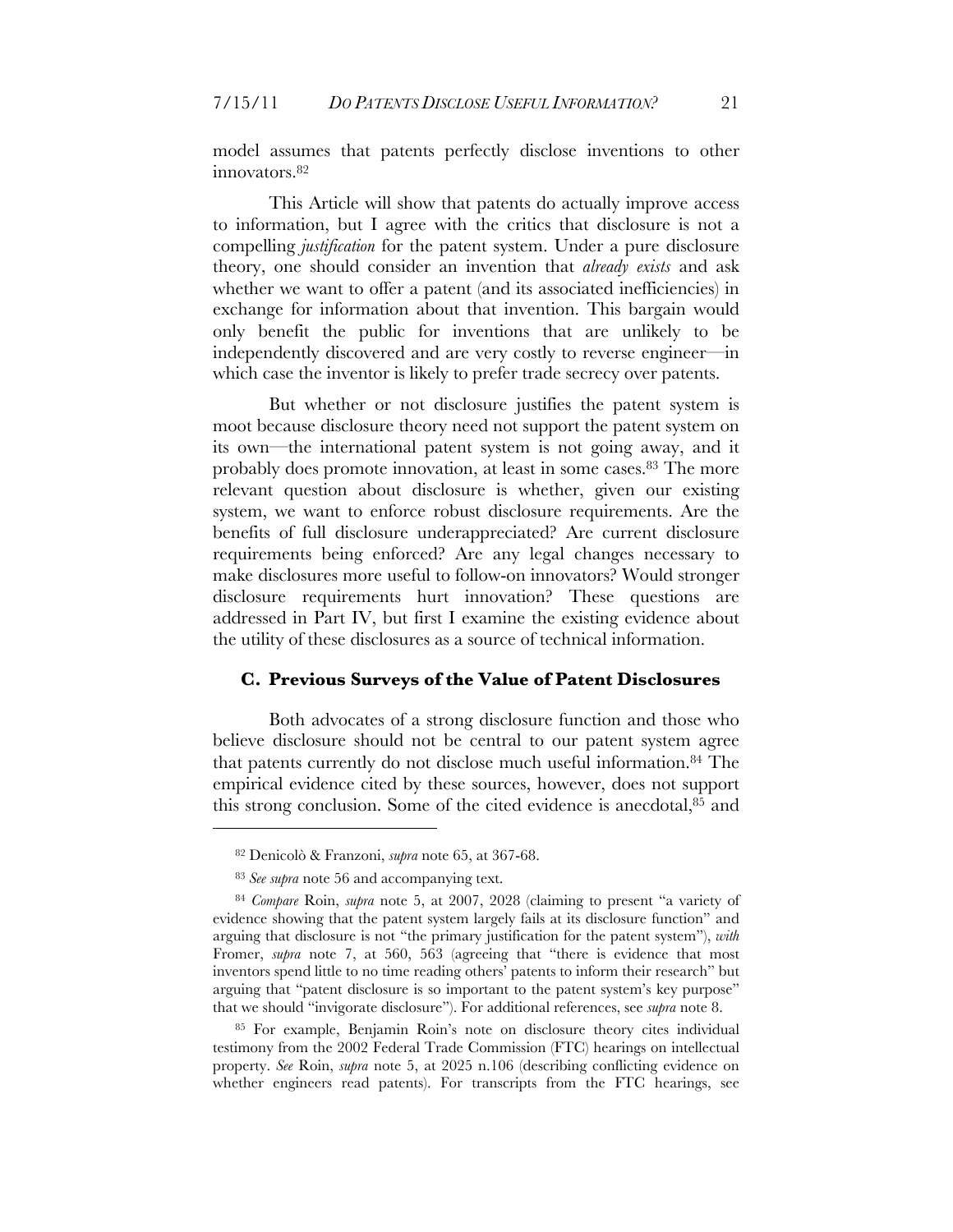model assumes that patents perfectly disclose inventions to other innovators.<sup>82</sup>

This Article will show that patents do actually improve access to information, but I agree with the critics that disclosure is not a compelling *justification* for the patent system. Under a pure disclosure theory, one should consider an invention that *already exists* and ask whether we want to offer a patent (and its associated inefficiencies) in exchange for information about that invention. This bargain would only benefit the public for inventions that are unlikely to be independently discovered and are very costly to reverse engineer—in which case the inventor is likely to prefer trade secrecy over patents.

But whether or not disclosure justifies the patent system is moot because disclosure theory need not support the patent system on its own—the international patent system is not going away, and it probably does promote innovation, at least in some cases.83 The more relevant question about disclosure is whether, given our existing system, we want to enforce robust disclosure requirements. Are the benefits of full disclosure underappreciated? Are current disclosure requirements being enforced? Are any legal changes necessary to make disclosures more useful to follow-on innovators? Would stronger disclosure requirements hurt innovation? These questions are addressed in Part IV, but first I examine the existing evidence about the utility of these disclosures as a source of technical information.

#### **C. Previous Surveys of the Value of Patent Disclosures**

Both advocates of a strong disclosure function and those who believe disclosure should not be central to our patent system agree that patents currently do not disclose much useful information.84 The empirical evidence cited by these sources, however, does not support this strong conclusion. Some of the cited evidence is anecdotal,85 and

 $\overline{a}$ 

85 For example, Benjamin Roin's note on disclosure theory cites individual testimony from the 2002 Federal Trade Commission (FTC) hearings on intellectual property. *See* Roin, *supra* note 5, at 2025 n.106 (describing conflicting evidence on whether engineers read patents). For transcripts from the FTC hearings, see

<sup>82</sup> Denicolò & Franzoni, *supra* note 65, at 367-68.

<sup>83</sup> *See supra* note 56 and accompanying text.

<sup>84</sup> *Compare* Roin, *supra* note 5, at 2007, 2028 (claiming to present "a variety of evidence showing that the patent system largely fails at its disclosure function" and arguing that disclosure is not "the primary justification for the patent system"), *with* Fromer, *supra* note 7, at 560, 563 (agreeing that "there is evidence that most inventors spend little to no time reading others' patents to inform their research" but arguing that "patent disclosure is so important to the patent system's key purpose" that we should "invigorate disclosure"). For additional references, see *supra* note 8.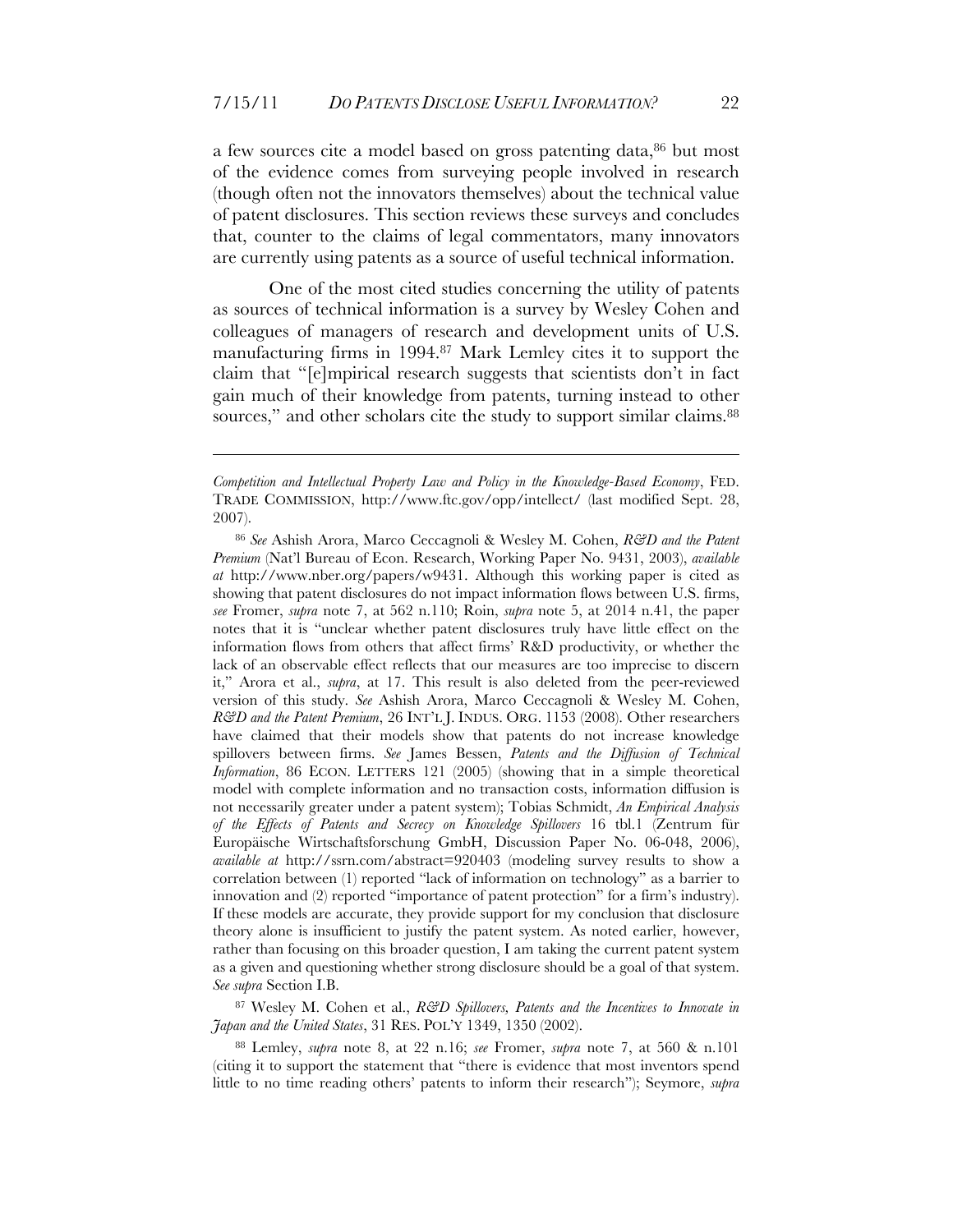a few sources cite a model based on gross patenting data,<sup>86</sup> but most of the evidence comes from surveying people involved in research (though often not the innovators themselves) about the technical value of patent disclosures. This section reviews these surveys and concludes that, counter to the claims of legal commentators, many innovators are currently using patents as a source of useful technical information.

One of the most cited studies concerning the utility of patents as sources of technical information is a survey by Wesley Cohen and colleagues of managers of research and development units of U.S. manufacturing firms in 1994.87 Mark Lemley cites it to support the claim that "[e]mpirical research suggests that scientists don't in fact gain much of their knowledge from patents, turning instead to other sources," and other scholars cite the study to support similar claims.<sup>88</sup>

<u>.</u>

87 Wesley M. Cohen et al., *R&D Spillovers*, *Patents and the Incentives to Innovate in Japan and the United States*, 31 RES. POL'Y 1349, 1350 (2002).

88 Lemley, *supra* note 8, at 22 n.16; *see* Fromer, *supra* note 7, at 560 & n.101 (citing it to support the statement that "there is evidence that most inventors spend little to no time reading others' patents to inform their research"); Seymore, *supra*

*Competition and Intellectual Property Law and Policy in the Knowledge-Based Economy*, FED. TRADE COMMISSION, http://www.ftc.gov/opp/intellect/ (last modified Sept. 28, 2007).

<sup>86</sup> *See* Ashish Arora, Marco Ceccagnoli & Wesley M. Cohen, *R&D and the Patent Premium* (Nat'l Bureau of Econ. Research, Working Paper No. 9431, 2003), *available at* http://www.nber.org/papers/w9431. Although this working paper is cited as showing that patent disclosures do not impact information flows between U.S. firms, *see* Fromer, *supra* note 7, at 562 n.110; Roin, *supra* note 5, at 2014 n.41, the paper notes that it is "unclear whether patent disclosures truly have little effect on the information flows from others that affect firms' R&D productivity, or whether the lack of an observable effect reflects that our measures are too imprecise to discern it," Arora et al., *supra*, at 17. This result is also deleted from the peer-reviewed version of this study. *See* Ashish Arora, Marco Ceccagnoli & Wesley M. Cohen, *R&D and the Patent Premium*, 26 INT'L J. INDUS. ORG. 1153 (2008). Other researchers have claimed that their models show that patents do not increase knowledge spillovers between firms. *See* James Bessen, *Patents and the Diffusion of Technical Information*, 86 ECON. LETTERS 121 (2005) (showing that in a simple theoretical model with complete information and no transaction costs, information diffusion is not necessarily greater under a patent system); Tobias Schmidt, *An Empirical Analysis of the Effects of Patents and Secrecy on Knowledge Spillovers* 16 tbl.1 (Zentrum für Europäische Wirtschaftsforschung GmbH, Discussion Paper No. 06-048, 2006), *available at* http://ssrn.com/abstract=920403 (modeling survey results to show a correlation between (1) reported "lack of information on technology" as a barrier to innovation and (2) reported "importance of patent protection" for a firm's industry). If these models are accurate, they provide support for my conclusion that disclosure theory alone is insufficient to justify the patent system. As noted earlier, however, rather than focusing on this broader question, I am taking the current patent system as a given and questioning whether strong disclosure should be a goal of that system. *See supra* Section I.B.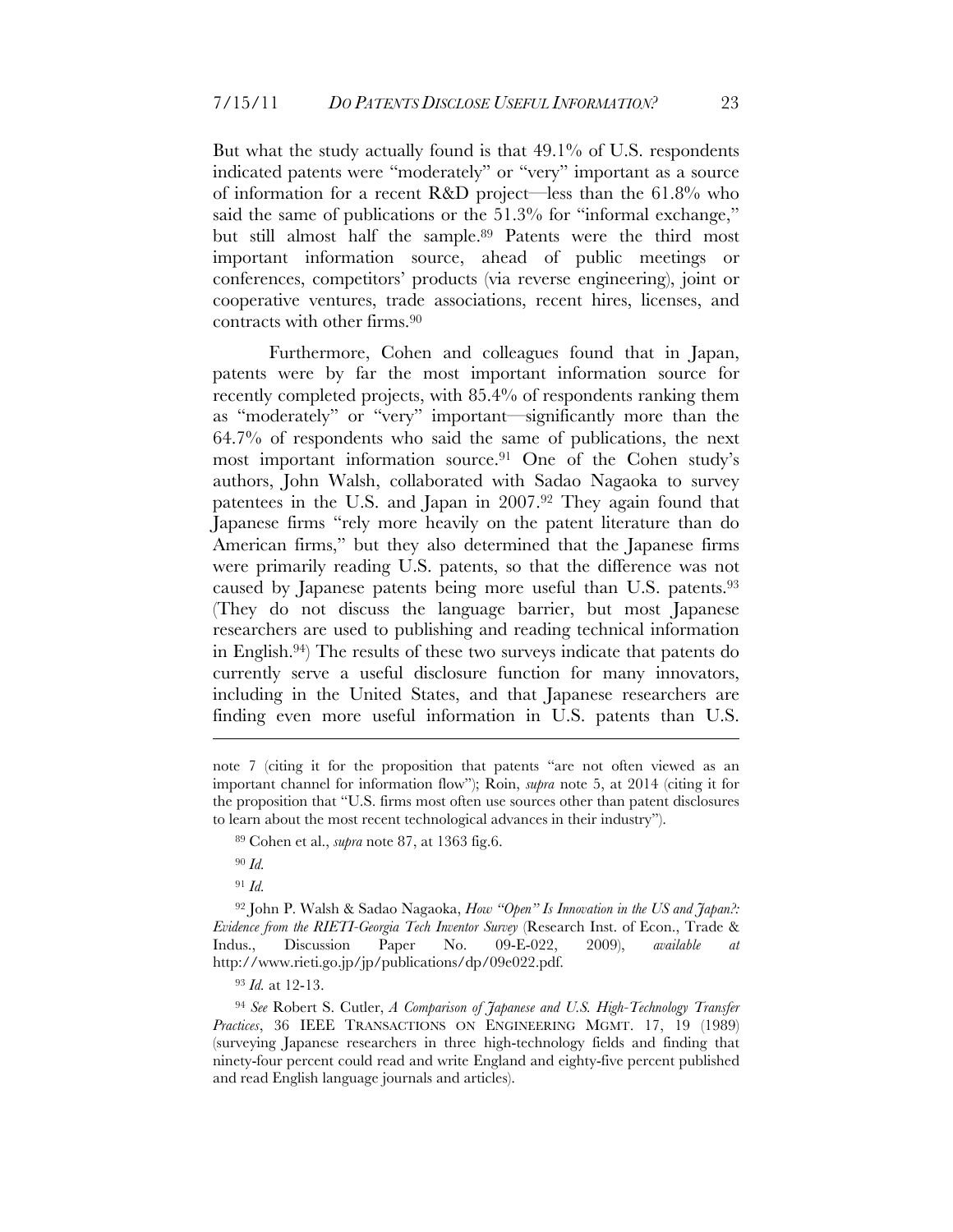But what the study actually found is that 49.1% of U.S. respondents indicated patents were "moderately" or "very" important as a source of information for a recent R&D project—less than the 61.8% who said the same of publications or the 51.3% for "informal exchange," but still almost half the sample.89 Patents were the third most important information source, ahead of public meetings or conferences, competitors' products (via reverse engineering), joint or cooperative ventures, trade associations, recent hires, licenses, and contracts with other firms.90

Furthermore, Cohen and colleagues found that in Japan, patents were by far the most important information source for recently completed projects, with 85.4% of respondents ranking them as "moderately" or "very" important—significantly more than the 64.7% of respondents who said the same of publications, the next most important information source.91 One of the Cohen study's authors, John Walsh, collaborated with Sadao Nagaoka to survey patentees in the U.S. and Japan in 2007.92 They again found that Japanese firms "rely more heavily on the patent literature than do American firms," but they also determined that the Japanese firms were primarily reading U.S. patents, so that the difference was not caused by Japanese patents being more useful than U.S. patents.<sup>93</sup> (They do not discuss the language barrier, but most Japanese researchers are used to publishing and reading technical information in English.94) The results of these two surveys indicate that patents do currently serve a useful disclosure function for many innovators, including in the United States, and that Japanese researchers are finding even more useful information in U.S. patents than U.S.

89 Cohen et al., *supra* note 87, at 1363 fig.6.

<sup>90</sup> *Id.*

<u>.</u>

<sup>91</sup> *Id.*

92 John P. Walsh & Sadao Nagaoka, *How "Open" Is Innovation in the US and Japan?: Evidence from the RIETI-Georgia Tech Inventor Survey* (Research Inst. of Econ., Trade & Indus., Discussion Paper No. 09-E-022, 2009), *available at* http://www.rieti.go.jp/jp/publications/dp/09e022.pdf.

<sup>93</sup> *Id.* at 12-13.

<sup>94</sup> *See* Robert S. Cutler, *A Comparison of Japanese and U.S. High-Technology Transfer Practices*, 36 IEEE TRANSACTIONS ON ENGINEERING MGMT. 17, 19 (1989) (surveying Japanese researchers in three high-technology fields and finding that ninety-four percent could read and write England and eighty-five percent published and read English language journals and articles).

note 7 (citing it for the proposition that patents "are not often viewed as an important channel for information flow"); Roin, *supra* note 5, at 2014 (citing it for the proposition that "U.S. firms most often use sources other than patent disclosures to learn about the most recent technological advances in their industry").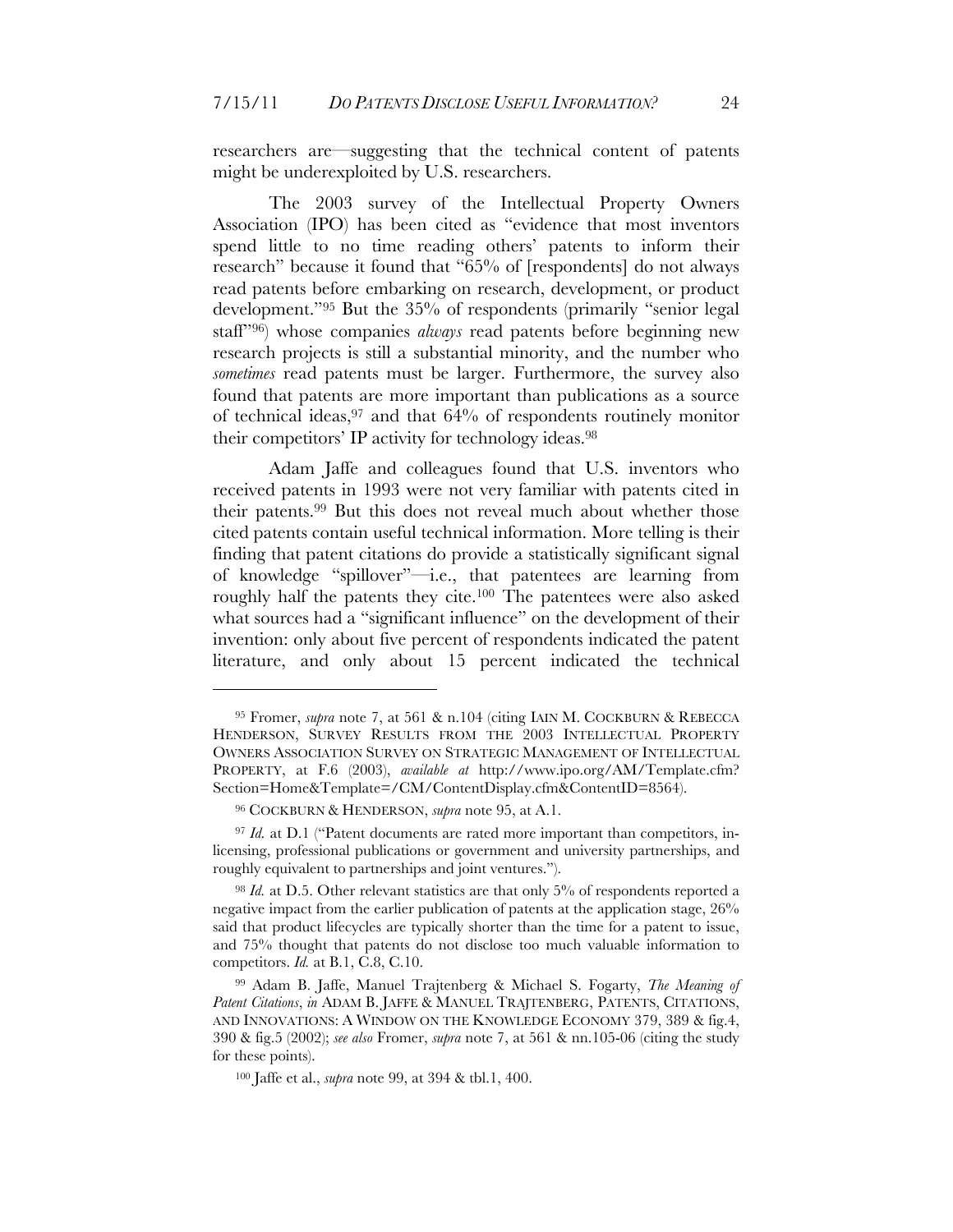researchers are—suggesting that the technical content of patents might be underexploited by U.S. researchers.

The 2003 survey of the Intellectual Property Owners Association (IPO) has been cited as "evidence that most inventors spend little to no time reading others' patents to inform their research" because it found that "65% of [respondents] do not always read patents before embarking on research, development, or product development."95 But the 35% of respondents (primarily "senior legal staff"96) whose companies *always* read patents before beginning new research projects is still a substantial minority, and the number who *sometimes* read patents must be larger. Furthermore, the survey also found that patents are more important than publications as a source of technical ideas,  $97$  and that  $64\%$  of respondents routinely monitor their competitors' IP activity for technology ideas.98

Adam Jaffe and colleagues found that U.S. inventors who received patents in 1993 were not very familiar with patents cited in their patents.99 But this does not reveal much about whether those cited patents contain useful technical information. More telling is their finding that patent citations do provide a statistically significant signal of knowledge "spillover"—i.e., that patentees are learning from roughly half the patents they cite.100 The patentees were also asked what sources had a "significant influence" on the development of their invention: only about five percent of respondents indicated the patent literature, and only about 15 percent indicated the technical

<sup>95</sup> Fromer, *supra* note 7, at 561 & n.104 (citing IAIN M. COCKBURN & REBECCA HENDERSON, SURVEY RESULTS FROM THE 2003 INTELLECTUAL PROPERTY OWNERS ASSOCIATION SURVEY ON STRATEGIC MANAGEMENT OF INTELLECTUAL PROPERTY, at F.6 (2003), *available at* http://www.ipo.org/AM/Template.cfm? Section=Home&Template=/CM/ContentDisplay.cfm&ContentID=8564).

<sup>96</sup> COCKBURN & HENDERSON, *supra* note 95, at A.1.

<sup>97</sup> *Id.* at D.1 ("Patent documents are rated more important than competitors, inlicensing, professional publications or government and university partnerships, and roughly equivalent to partnerships and joint ventures.").

<sup>&</sup>lt;sup>98</sup> *Id.* at D.5. Other relevant statistics are that only 5% of respondents reported a negative impact from the earlier publication of patents at the application stage, 26% said that product lifecycles are typically shorter than the time for a patent to issue, and 75% thought that patents do not disclose too much valuable information to competitors. *Id.* at B.1, C.8, C.10.

<sup>99</sup> Adam B. Jaffe, Manuel Trajtenberg & Michael S. Fogarty, *The Meaning of Patent Citations*, *in* ADAM B. JAFFE & MANUEL TRAJTENBERG, PATENTS, CITATIONS, AND INNOVATIONS: A WINDOW ON THE KNOWLEDGE ECONOMY 379, 389 & fig.4, 390 & fig.5 (2002); *see also* Fromer, *supra* note 7, at 561 & nn.105-06 (citing the study for these points).

<sup>100</sup> Jaffe et al., *supra* note 99, at 394 & tbl.1, 400.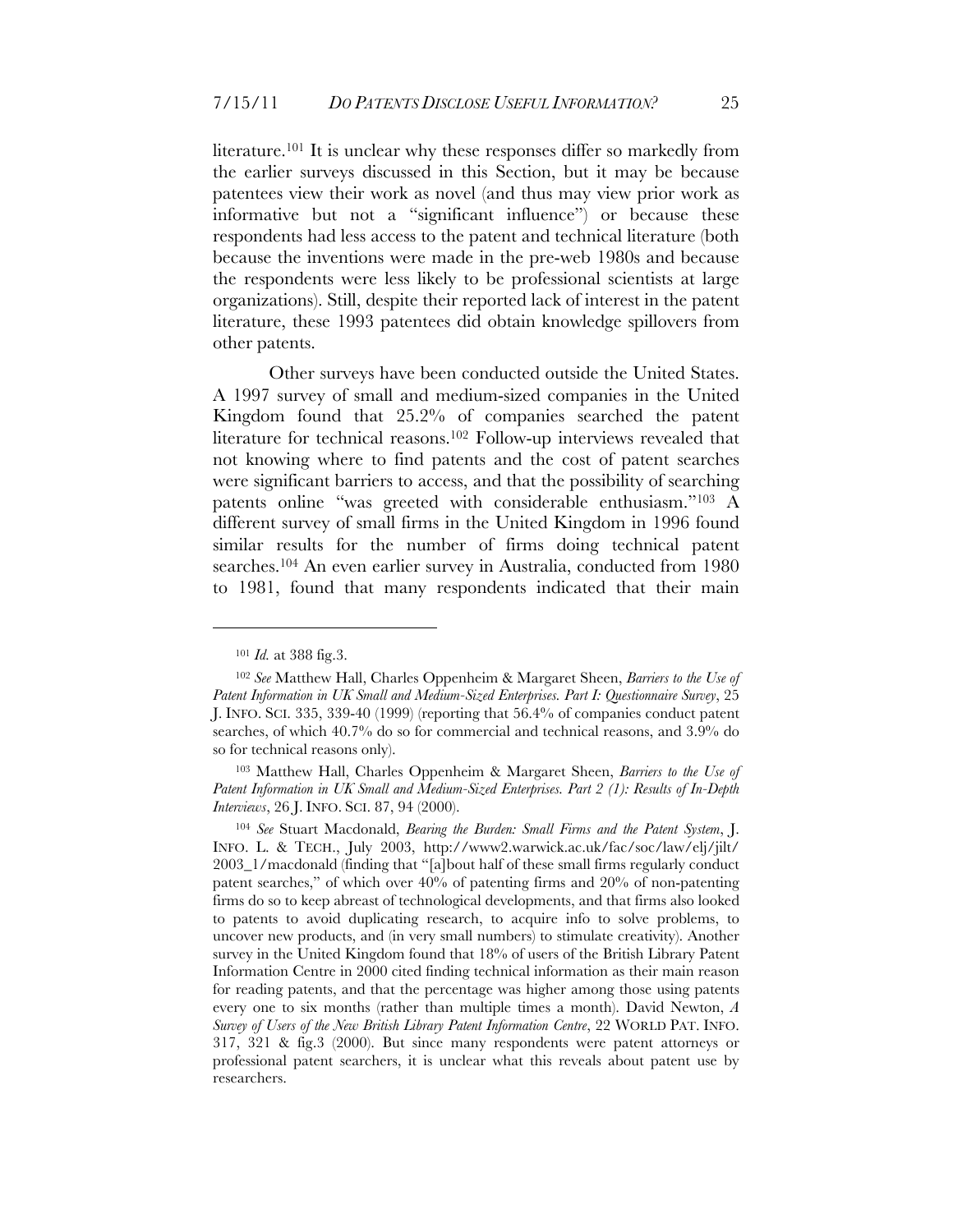literature.101 It is unclear why these responses differ so markedly from the earlier surveys discussed in this Section, but it may be because patentees view their work as novel (and thus may view prior work as informative but not a "significant influence") or because these respondents had less access to the patent and technical literature (both because the inventions were made in the pre-web 1980s and because the respondents were less likely to be professional scientists at large organizations). Still, despite their reported lack of interest in the patent literature, these 1993 patentees did obtain knowledge spillovers from other patents.

Other surveys have been conducted outside the United States. A 1997 survey of small and medium-sized companies in the United Kingdom found that 25.2% of companies searched the patent literature for technical reasons.102 Follow-up interviews revealed that not knowing where to find patents and the cost of patent searches were significant barriers to access, and that the possibility of searching patents online "was greeted with considerable enthusiasm."103 A different survey of small firms in the United Kingdom in 1996 found similar results for the number of firms doing technical patent searches.104 An even earlier survey in Australia, conducted from 1980 to 1981, found that many respondents indicated that their main

<sup>101</sup> *Id.* at 388 fig.3.

<sup>102</sup> *See* Matthew Hall, Charles Oppenheim & Margaret Sheen, *Barriers to the Use of Patent Information in UK Small and Medium-Sized Enterprises. Part I: Questionnaire Survey*, 25 J. INFO. SCI. 335, 339-40 (1999) (reporting that 56.4% of companies conduct patent searches, of which 40.7% do so for commercial and technical reasons, and 3.9% do so for technical reasons only).

<sup>103</sup> Matthew Hall, Charles Oppenheim & Margaret Sheen, *Barriers to the Use of Patent Information in UK Small and Medium-Sized Enterprises. Part 2 (1): Results of In-Depth Interviews*, 26 J. INFO. SCI. 87, 94 (2000).

<sup>104</sup> *See* Stuart Macdonald, *Bearing the Burden: Small Firms and the Patent System*, J. INFO. L. & TECH., July 2003, http://www2.warwick.ac.uk/fac/soc/law/elj/jilt/ 2003\_1/macdonald (finding that "[a]bout half of these small firms regularly conduct patent searches," of which over 40% of patenting firms and 20% of non-patenting firms do so to keep abreast of technological developments, and that firms also looked to patents to avoid duplicating research, to acquire info to solve problems, to uncover new products, and (in very small numbers) to stimulate creativity). Another survey in the United Kingdom found that 18% of users of the British Library Patent Information Centre in 2000 cited finding technical information as their main reason for reading patents, and that the percentage was higher among those using patents every one to six months (rather than multiple times a month). David Newton, *A Survey of Users of the New British Library Patent Information Centre*, 22 WORLD PAT. INFO. 317, 321 & fig.3 (2000). But since many respondents were patent attorneys or professional patent searchers, it is unclear what this reveals about patent use by researchers.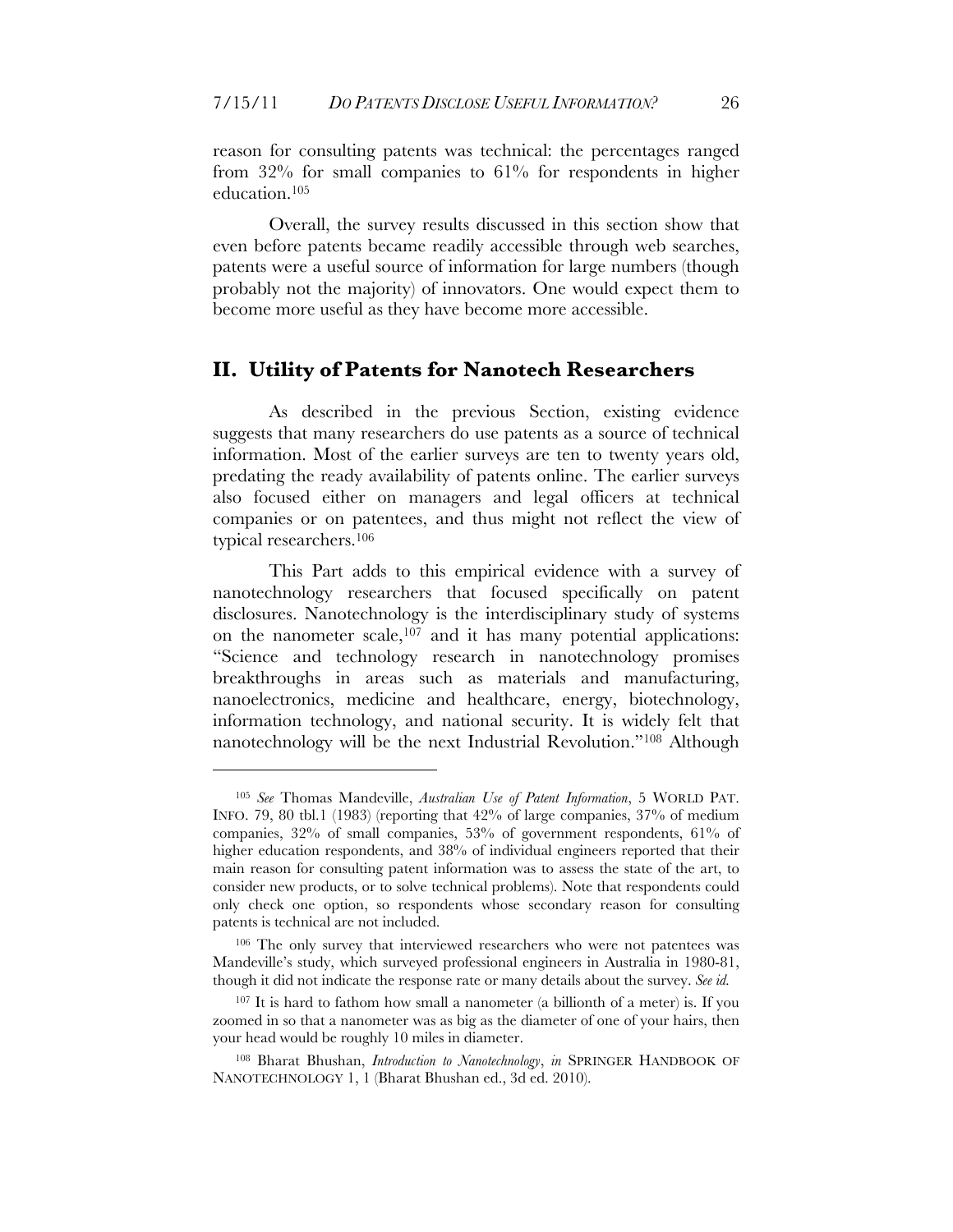reason for consulting patents was technical: the percentages ranged from 32% for small companies to 61% for respondents in higher education.105

Overall, the survey results discussed in this section show that even before patents became readily accessible through web searches, patents were a useful source of information for large numbers (though probably not the majority) of innovators. One would expect them to become more useful as they have become more accessible.

#### **II. Utility of Patents for Nanotech Researchers**

As described in the previous Section, existing evidence suggests that many researchers do use patents as a source of technical information. Most of the earlier surveys are ten to twenty years old, predating the ready availability of patents online. The earlier surveys also focused either on managers and legal officers at technical companies or on patentees, and thus might not reflect the view of typical researchers.106

This Part adds to this empirical evidence with a survey of nanotechnology researchers that focused specifically on patent disclosures. Nanotechnology is the interdisciplinary study of systems on the nanometer scale, 107 and it has many potential applications: "Science and technology research in nanotechnology promises breakthroughs in areas such as materials and manufacturing, nanoelectronics, medicine and healthcare, energy, biotechnology, information technology, and national security. It is widely felt that nanotechnology will be the next Industrial Revolution."108 Although

<sup>105</sup> *See* Thomas Mandeville, *Australian Use of Patent Information*, 5 WORLD PAT. INFO. 79, 80 tbl.1 (1983) (reporting that 42% of large companies, 37% of medium companies, 32% of small companies, 53% of government respondents, 61% of higher education respondents, and 38% of individual engineers reported that their main reason for consulting patent information was to assess the state of the art, to consider new products, or to solve technical problems). Note that respondents could only check one option, so respondents whose secondary reason for consulting patents is technical are not included.

<sup>106</sup> The only survey that interviewed researchers who were not patentees was Mandeville's study, which surveyed professional engineers in Australia in 1980-81, though it did not indicate the response rate or many details about the survey. *See id.*

<sup>107</sup> It is hard to fathom how small a nanometer (a billionth of a meter) is. If you zoomed in so that a nanometer was as big as the diameter of one of your hairs, then your head would be roughly 10 miles in diameter.

<sup>108</sup> Bharat Bhushan, *Introduction to Nanotechnology*, *in* SPRINGER HANDBOOK OF NANOTECHNOLOGY 1, 1 (Bharat Bhushan ed., 3d ed. 2010).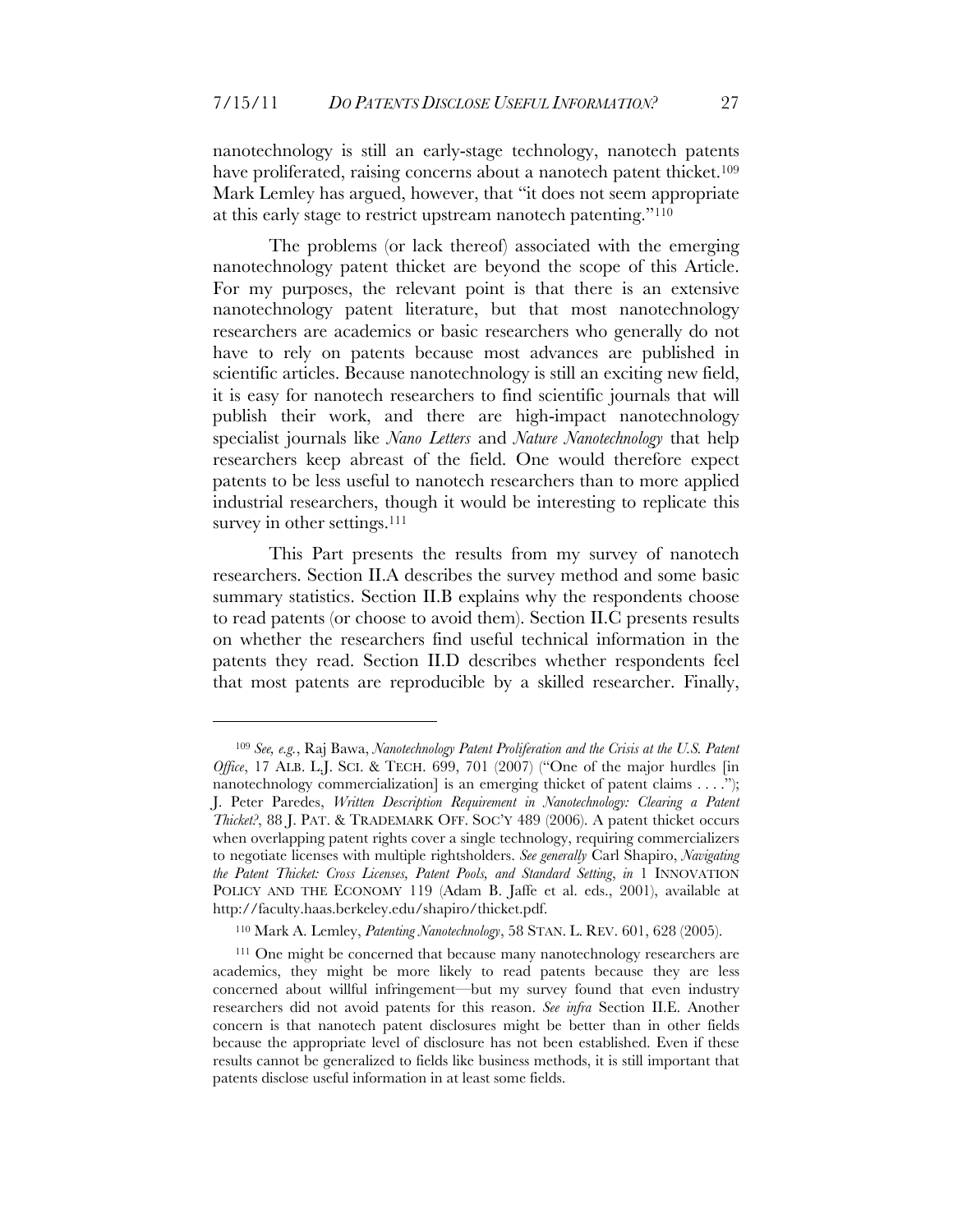nanotechnology is still an early-stage technology, nanotech patents have proliferated, raising concerns about a nanotech patent thicket.<sup>109</sup> Mark Lemley has argued, however, that "it does not seem appropriate at this early stage to restrict upstream nanotech patenting."110

The problems (or lack thereof) associated with the emerging nanotechnology patent thicket are beyond the scope of this Article. For my purposes, the relevant point is that there is an extensive nanotechnology patent literature, but that most nanotechnology researchers are academics or basic researchers who generally do not have to rely on patents because most advances are published in scientific articles. Because nanotechnology is still an exciting new field, it is easy for nanotech researchers to find scientific journals that will publish their work, and there are high-impact nanotechnology specialist journals like *Nano Letters* and *Nature Nanotechnology* that help researchers keep abreast of the field. One would therefore expect patents to be less useful to nanotech researchers than to more applied industrial researchers, though it would be interesting to replicate this survey in other settings.<sup>111</sup>

This Part presents the results from my survey of nanotech researchers. Section II.A describes the survey method and some basic summary statistics. Section II.B explains why the respondents choose to read patents (or choose to avoid them). Section II.C presents results on whether the researchers find useful technical information in the patents they read. Section II.D describes whether respondents feel that most patents are reproducible by a skilled researcher. Finally,

<sup>109</sup> *See, e.g.*, Raj Bawa, *Nanotechnology Patent Proliferation and the Crisis at the U.S. Patent Office*, 17 ALB. L.J. SCI. & TECH. 699, 701 (2007) ("One of the major hurdles [in nanotechnology commercialization] is an emerging thicket of patent claims . . . ."); J. Peter Paredes, *Written Description Requirement in Nanotechnology: Clearing a Patent Thicket?*, 88 J. PAT. & TRADEMARK OFF. SOC'Y 489 (2006). A patent thicket occurs when overlapping patent rights cover a single technology, requiring commercializers to negotiate licenses with multiple rightsholders. *See generally* Carl Shapiro, *Navigating the Patent Thicket: Cross Licenses, Patent Pools, and Standard Setting*, *in* 1 INNOVATION POLICY AND THE ECONOMY 119 (Adam B. Jaffe et al. eds., 2001), available at http://faculty.haas.berkeley.edu/shapiro/thicket.pdf.

<sup>110</sup> Mark A. Lemley, *Patenting Nanotechnology*, 58 STAN. L. REV. 601, 628 (2005).

<sup>111</sup> One might be concerned that because many nanotechnology researchers are academics, they might be more likely to read patents because they are less concerned about willful infringement—but my survey found that even industry researchers did not avoid patents for this reason. *See infra* Section II.E. Another concern is that nanotech patent disclosures might be better than in other fields because the appropriate level of disclosure has not been established. Even if these results cannot be generalized to fields like business methods, it is still important that patents disclose useful information in at least some fields.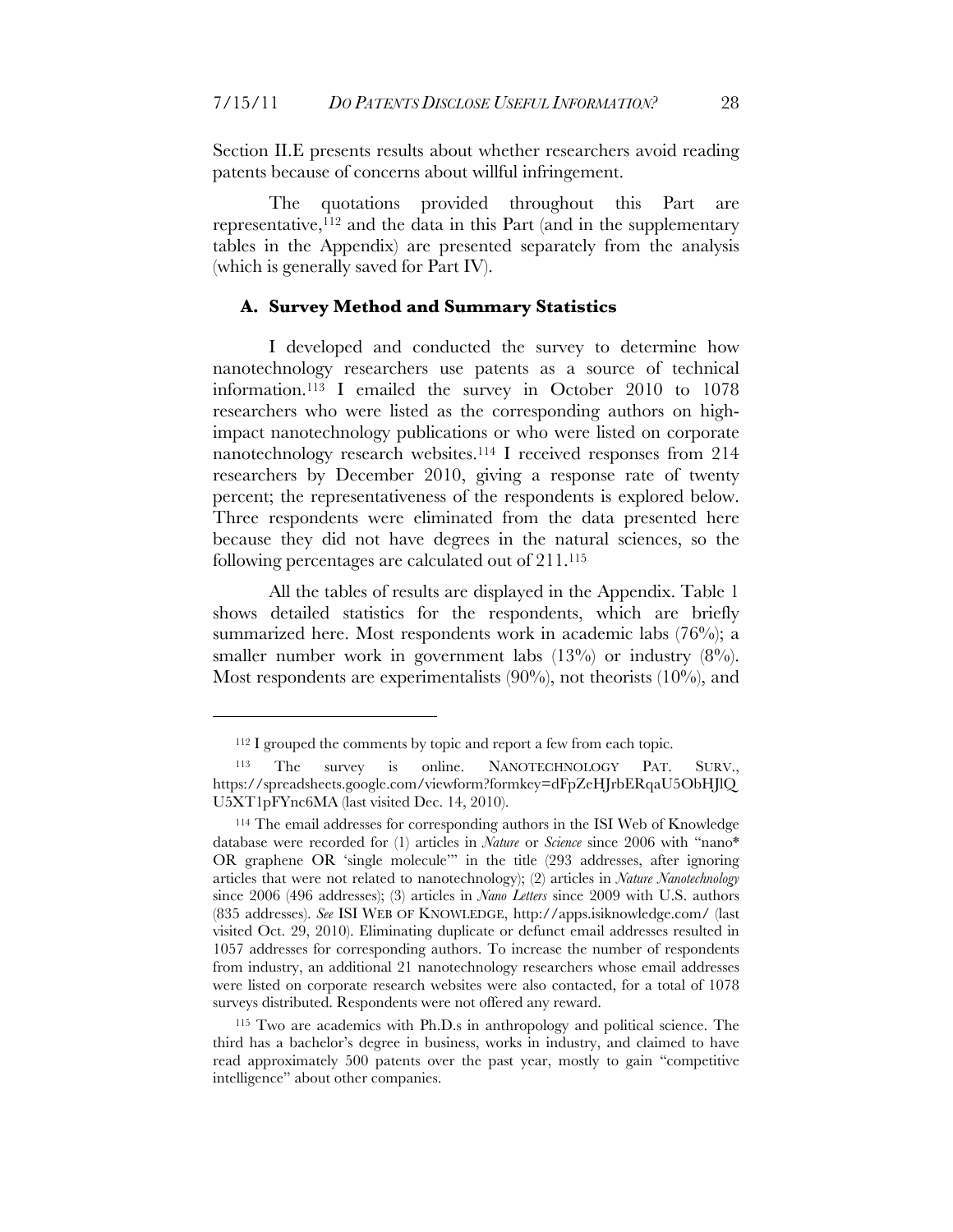Section II.E presents results about whether researchers avoid reading patents because of concerns about willful infringement.

The quotations provided throughout this Part are representative,  $112$  and the data in this Part (and in the supplementary tables in the Appendix) are presented separately from the analysis (which is generally saved for Part IV).

#### **A. Survey Method and Summary Statistics**

I developed and conducted the survey to determine how nanotechnology researchers use patents as a source of technical information.113 I emailed the survey in October 2010 to 1078 researchers who were listed as the corresponding authors on highimpact nanotechnology publications or who were listed on corporate nanotechnology research websites.114 I received responses from 214 researchers by December 2010, giving a response rate of twenty percent; the representativeness of the respondents is explored below. Three respondents were eliminated from the data presented here because they did not have degrees in the natural sciences, so the following percentages are calculated out of 211. 115

All the tables of results are displayed in the Appendix. Table 1 shows detailed statistics for the respondents, which are briefly summarized here. Most respondents work in academic labs (76%); a smaller number work in government labs  $(13\%)$  or industry  $(8\%)$ . Most respondents are experimentalists  $(90\%)$ , not theorists  $(10\%)$ , and

<sup>&</sup>lt;sup>112</sup> I grouped the comments by topic and report a few from each topic.

The survey is online. NANOTECHNOLOGY PAT. SURV., https://spreadsheets.google.com/viewform?formkey=dFpZeHJrbERqaU5ObHJlQ U5XT1pFYnc6MA (last visited Dec. 14, 2010).

<sup>114</sup> The email addresses for corresponding authors in the ISI Web of Knowledge database were recorded for (1) articles in *Nature* or *Science* since 2006 with "nano\* OR graphene OR 'single molecule'" in the title (293 addresses, after ignoring articles that were not related to nanotechnology); (2) articles in *Nature Nanotechnology* since 2006 (496 addresses); (3) articles in *Nano Letters* since 2009 with U.S. authors (835 addresses). *See* ISI WEB OF KNOWLEDGE, http://apps.isiknowledge.com/ (last visited Oct. 29, 2010). Eliminating duplicate or defunct email addresses resulted in 1057 addresses for corresponding authors. To increase the number of respondents from industry, an additional 21 nanotechnology researchers whose email addresses were listed on corporate research websites were also contacted, for a total of 1078 surveys distributed. Respondents were not offered any reward.

<sup>115</sup> Two are academics with Ph.D.s in anthropology and political science. The third has a bachelor's degree in business, works in industry, and claimed to have read approximately 500 patents over the past year, mostly to gain "competitive intelligence" about other companies.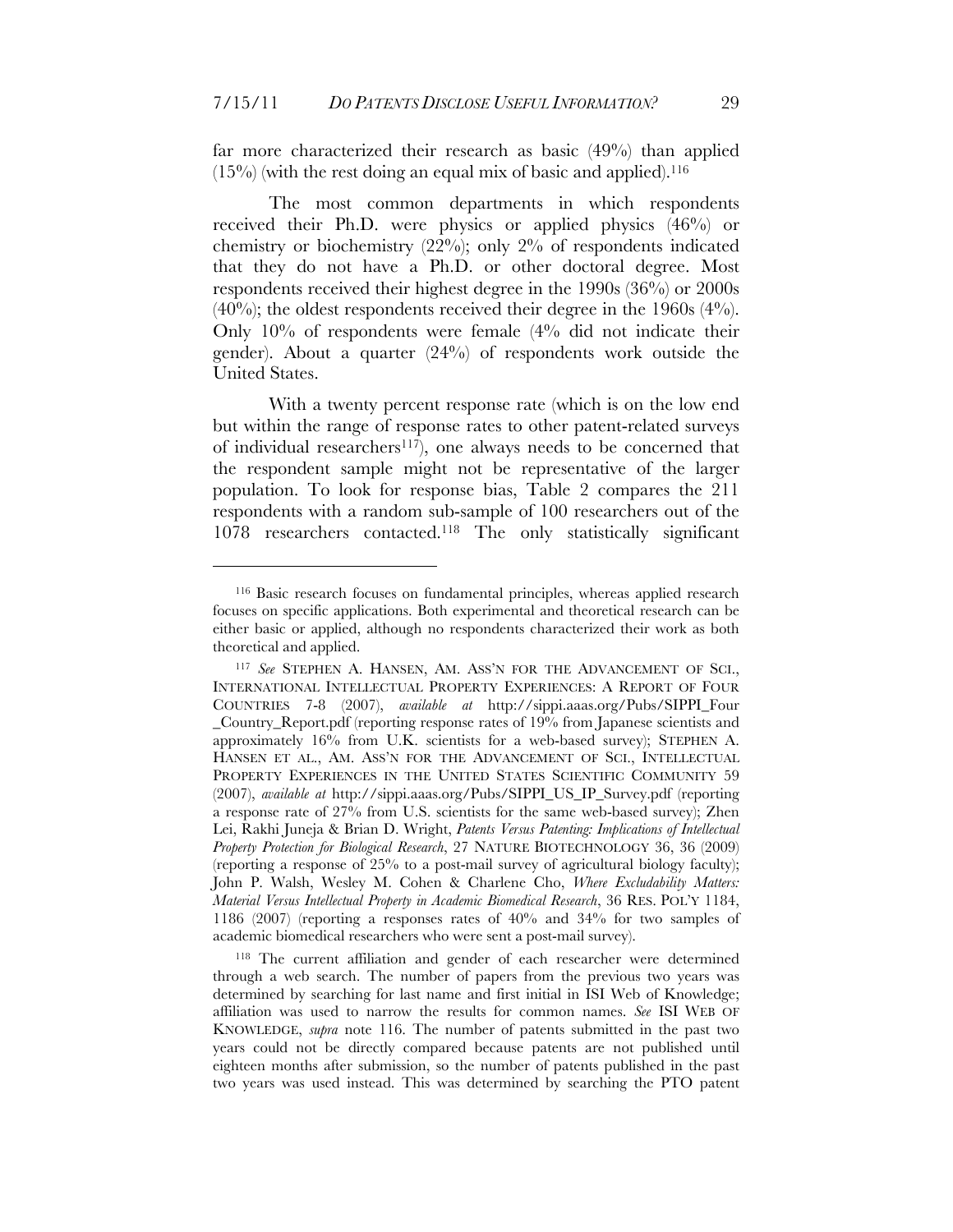far more characterized their research as basic (49%) than applied  $(15\%)$  (with the rest doing an equal mix of basic and applied).<sup>116</sup>

The most common departments in which respondents received their Ph.D. were physics or applied physics (46%) or chemistry or biochemistry (22%); only 2% of respondents indicated that they do not have a Ph.D. or other doctoral degree. Most respondents received their highest degree in the 1990s (36%) or 2000s  $(40\%)$ ; the oldest respondents received their degree in the 1960s  $(4\%)$ . Only 10% of respondents were female (4% did not indicate their gender). About a quarter (24%) of respondents work outside the United States.

With a twenty percent response rate (which is on the low end but within the range of response rates to other patent-related surveys of individual researchers<sup>117</sup>), one always needs to be concerned that the respondent sample might not be representative of the larger population. To look for response bias, Table 2 compares the 211 respondents with a random sub-sample of 100 researchers out of the 1078 researchers contacted.118 The only statistically significant

<sup>116</sup> Basic research focuses on fundamental principles, whereas applied research focuses on specific applications. Both experimental and theoretical research can be either basic or applied, although no respondents characterized their work as both theoretical and applied.

<sup>117</sup> *See* STEPHEN A. HANSEN, AM. ASS'N FOR THE ADVANCEMENT OF SCI., INTERNATIONAL INTELLECTUAL PROPERTY EXPERIENCES: A REPORT OF FOUR COUNTRIES 7-8 (2007), *available at* http://sippi.aaas.org/Pubs/SIPPI\_Four \_Country\_Report.pdf (reporting response rates of 19% from Japanese scientists and approximately 16% from U.K. scientists for a web-based survey); STEPHEN A. HANSEN ET AL., AM. ASS'N FOR THE ADVANCEMENT OF SCI., INTELLECTUAL PROPERTY EXPERIENCES IN THE UNITED STATES SCIENTIFIC COMMUNITY 59 (2007), *available at* http://sippi.aaas.org/Pubs/SIPPI\_US\_IP\_Survey.pdf (reporting a response rate of 27% from U.S. scientists for the same web-based survey); Zhen Lei, Rakhi Juneja & Brian D. Wright, *Patents Versus Patenting: Implications of Intellectual Property Protection for Biological Research*, 27 NATURE BIOTECHNOLOGY 36, 36 (2009) (reporting a response of 25% to a post-mail survey of agricultural biology faculty); John P. Walsh, Wesley M. Cohen & Charlene Cho, *Where Excludability Matters: Material Versus Intellectual Property in Academic Biomedical Research*, 36 RES. POL'Y 1184, 1186 (2007) (reporting a responses rates of 40% and 34% for two samples of academic biomedical researchers who were sent a post-mail survey).

<sup>118</sup> The current affiliation and gender of each researcher were determined through a web search. The number of papers from the previous two years was determined by searching for last name and first initial in ISI Web of Knowledge; affiliation was used to narrow the results for common names. *See* ISI WEB OF KNOWLEDGE, *supra* note 116. The number of patents submitted in the past two years could not be directly compared because patents are not published until eighteen months after submission, so the number of patents published in the past two years was used instead. This was determined by searching the PTO patent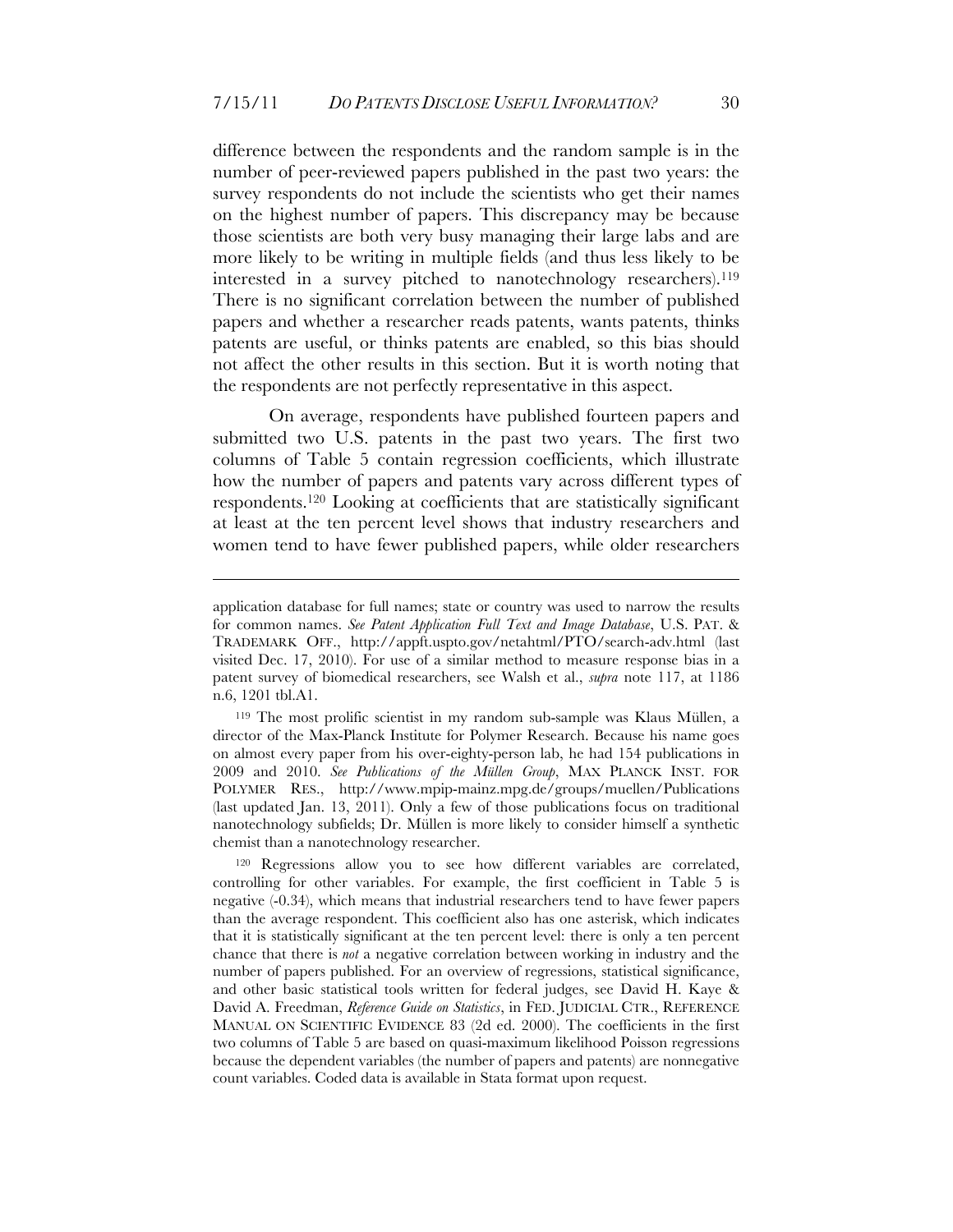difference between the respondents and the random sample is in the number of peer-reviewed papers published in the past two years: the survey respondents do not include the scientists who get their names on the highest number of papers. This discrepancy may be because those scientists are both very busy managing their large labs and are more likely to be writing in multiple fields (and thus less likely to be interested in a survey pitched to nanotechnology researchers).119 There is no significant correlation between the number of published papers and whether a researcher reads patents, wants patents, thinks patents are useful, or thinks patents are enabled, so this bias should not affect the other results in this section. But it is worth noting that the respondents are not perfectly representative in this aspect.

On average, respondents have published fourteen papers and submitted two U.S. patents in the past two years. The first two columns of Table 5 contain regression coefficients, which illustrate how the number of papers and patents vary across different types of respondents.120 Looking at coefficients that are statistically significant at least at the ten percent level shows that industry researchers and women tend to have fewer published papers, while older researchers

<u>.</u>

application database for full names; state or country was used to narrow the results for common names. *See Patent Application Full Text and Image Database*, U.S. PAT. & TRADEMARK OFF., http://appft.uspto.gov/netahtml/PTO/search-adv.html (last visited Dec. 17, 2010). For use of a similar method to measure response bias in a patent survey of biomedical researchers, see Walsh et al., *supra* note 117, at 1186 n.6, 1201 tbl.A1.

<sup>119</sup> The most prolific scientist in my random sub-sample was Klaus Müllen, a director of the Max-Planck Institute for Polymer Research. Because his name goes on almost every paper from his over-eighty-person lab, he had 154 publications in 2009 and 2010. *See Publications of the Müllen Group*, MAX PLANCK INST. FOR POLYMER RES., http://www.mpip-mainz.mpg.de/groups/muellen/Publications (last updated Jan. 13, 2011). Only a few of those publications focus on traditional nanotechnology subfields; Dr. Müllen is more likely to consider himself a synthetic chemist than a nanotechnology researcher.

<sup>&</sup>lt;sup>120</sup> Regressions allow you to see how different variables are correlated, controlling for other variables. For example, the first coefficient in Table 5 is negative (-0.34), which means that industrial researchers tend to have fewer papers than the average respondent. This coefficient also has one asterisk, which indicates that it is statistically significant at the ten percent level: there is only a ten percent chance that there is *not* a negative correlation between working in industry and the number of papers published. For an overview of regressions, statistical significance, and other basic statistical tools written for federal judges, see David H. Kaye & David A. Freedman, *Reference Guide on Statistics*, in FED. JUDICIAL CTR., REFERENCE MANUAL ON SCIENTIFIC EVIDENCE 83 (2d ed. 2000). The coefficients in the first two columns of Table 5 are based on quasi-maximum likelihood Poisson regressions because the dependent variables (the number of papers and patents) are nonnegative count variables. Coded data is available in Stata format upon request.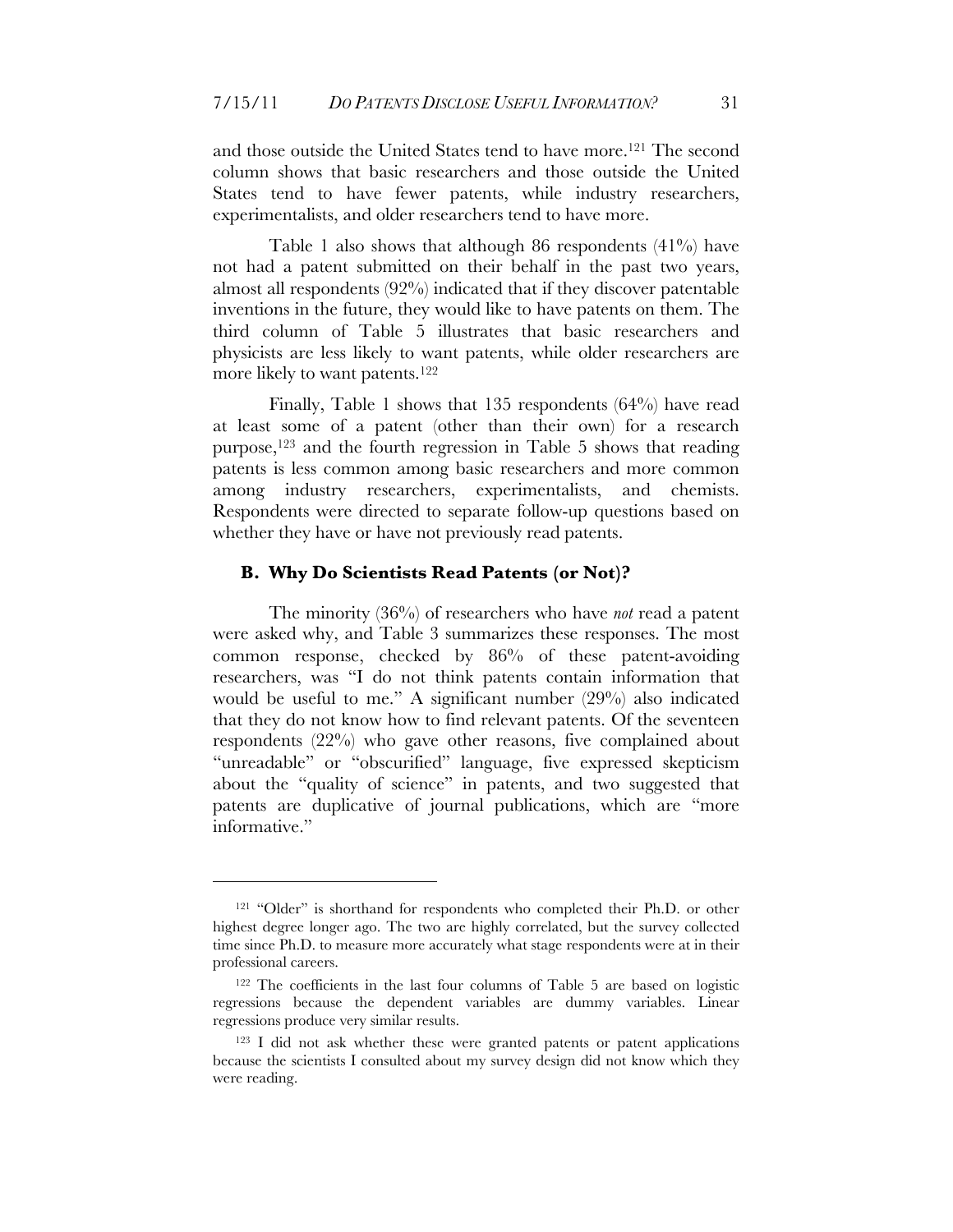and those outside the United States tend to have more.121 The second column shows that basic researchers and those outside the United States tend to have fewer patents, while industry researchers, experimentalists, and older researchers tend to have more.

Table 1 also shows that although 86 respondents (41%) have not had a patent submitted on their behalf in the past two years, almost all respondents (92%) indicated that if they discover patentable inventions in the future, they would like to have patents on them. The third column of Table 5 illustrates that basic researchers and physicists are less likely to want patents, while older researchers are more likely to want patents.<sup>122</sup>

Finally, Table 1 shows that 135 respondents (64%) have read at least some of a patent (other than their own) for a research purpose,123 and the fourth regression in Table 5 shows that reading patents is less common among basic researchers and more common among industry researchers, experimentalists, and chemists. Respondents were directed to separate follow-up questions based on whether they have or have not previously read patents.

#### **B. Why Do Scientists Read Patents (or Not)?**

The minority (36%) of researchers who have *not* read a patent were asked why, and Table 3 summarizes these responses. The most common response, checked by 86% of these patent-avoiding researchers, was "I do not think patents contain information that would be useful to me." A significant number (29%) also indicated that they do not know how to find relevant patents. Of the seventeen respondents (22%) who gave other reasons, five complained about "unreadable" or "obscurified" language, five expressed skepticism about the "quality of science" in patents, and two suggested that patents are duplicative of journal publications, which are "more informative."

<sup>&</sup>lt;sup>121</sup> "Older" is shorthand for respondents who completed their Ph.D. or other highest degree longer ago. The two are highly correlated, but the survey collected time since Ph.D. to measure more accurately what stage respondents were at in their professional careers.

<sup>122</sup> The coefficients in the last four columns of Table 5 are based on logistic regressions because the dependent variables are dummy variables. Linear regressions produce very similar results.

<sup>&</sup>lt;sup>123</sup> I did not ask whether these were granted patents or patent applications because the scientists I consulted about my survey design did not know which they were reading.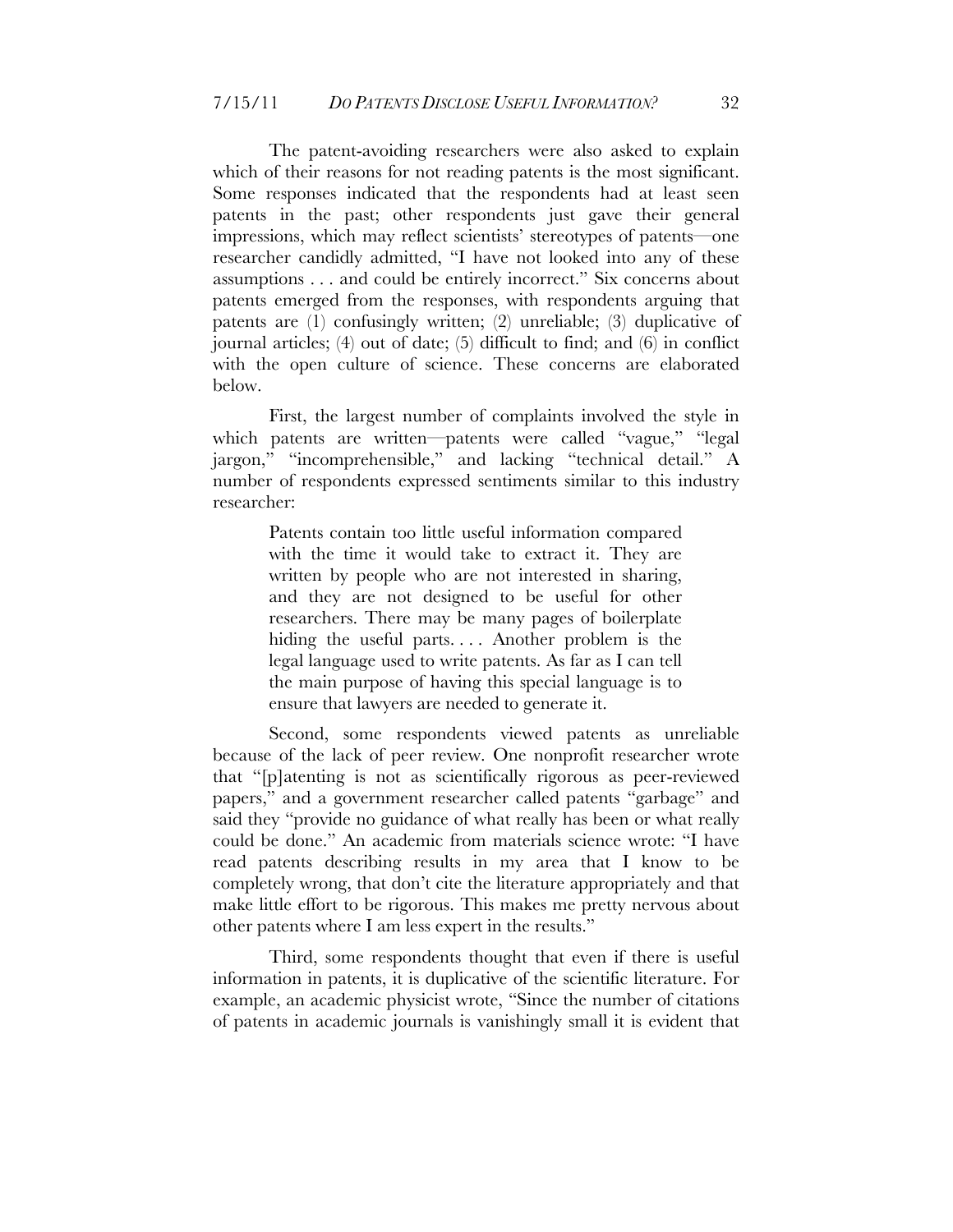The patent-avoiding researchers were also asked to explain which of their reasons for not reading patents is the most significant. Some responses indicated that the respondents had at least seen patents in the past; other respondents just gave their general impressions, which may reflect scientists' stereotypes of patents—one researcher candidly admitted, "I have not looked into any of these assumptions . . . and could be entirely incorrect." Six concerns about patents emerged from the responses, with respondents arguing that patents are (1) confusingly written; (2) unreliable; (3) duplicative of journal articles; (4) out of date; (5) difficult to find; and (6) in conflict with the open culture of science. These concerns are elaborated below.

First, the largest number of complaints involved the style in which patents are written—patents were called "vague," "legal jargon," "incomprehensible," and lacking "technical detail." A number of respondents expressed sentiments similar to this industry researcher:

> Patents contain too little useful information compared with the time it would take to extract it. They are written by people who are not interested in sharing, and they are not designed to be useful for other researchers. There may be many pages of boilerplate hiding the useful parts. . . . Another problem is the legal language used to write patents. As far as I can tell the main purpose of having this special language is to ensure that lawyers are needed to generate it.

Second, some respondents viewed patents as unreliable because of the lack of peer review. One nonprofit researcher wrote that "[p]atenting is not as scientifically rigorous as peer-reviewed papers," and a government researcher called patents "garbage" and said they "provide no guidance of what really has been or what really could be done." An academic from materials science wrote: "I have read patents describing results in my area that I know to be completely wrong, that don't cite the literature appropriately and that make little effort to be rigorous. This makes me pretty nervous about other patents where I am less expert in the results."

Third, some respondents thought that even if there is useful information in patents, it is duplicative of the scientific literature. For example, an academic physicist wrote, "Since the number of citations of patents in academic journals is vanishingly small it is evident that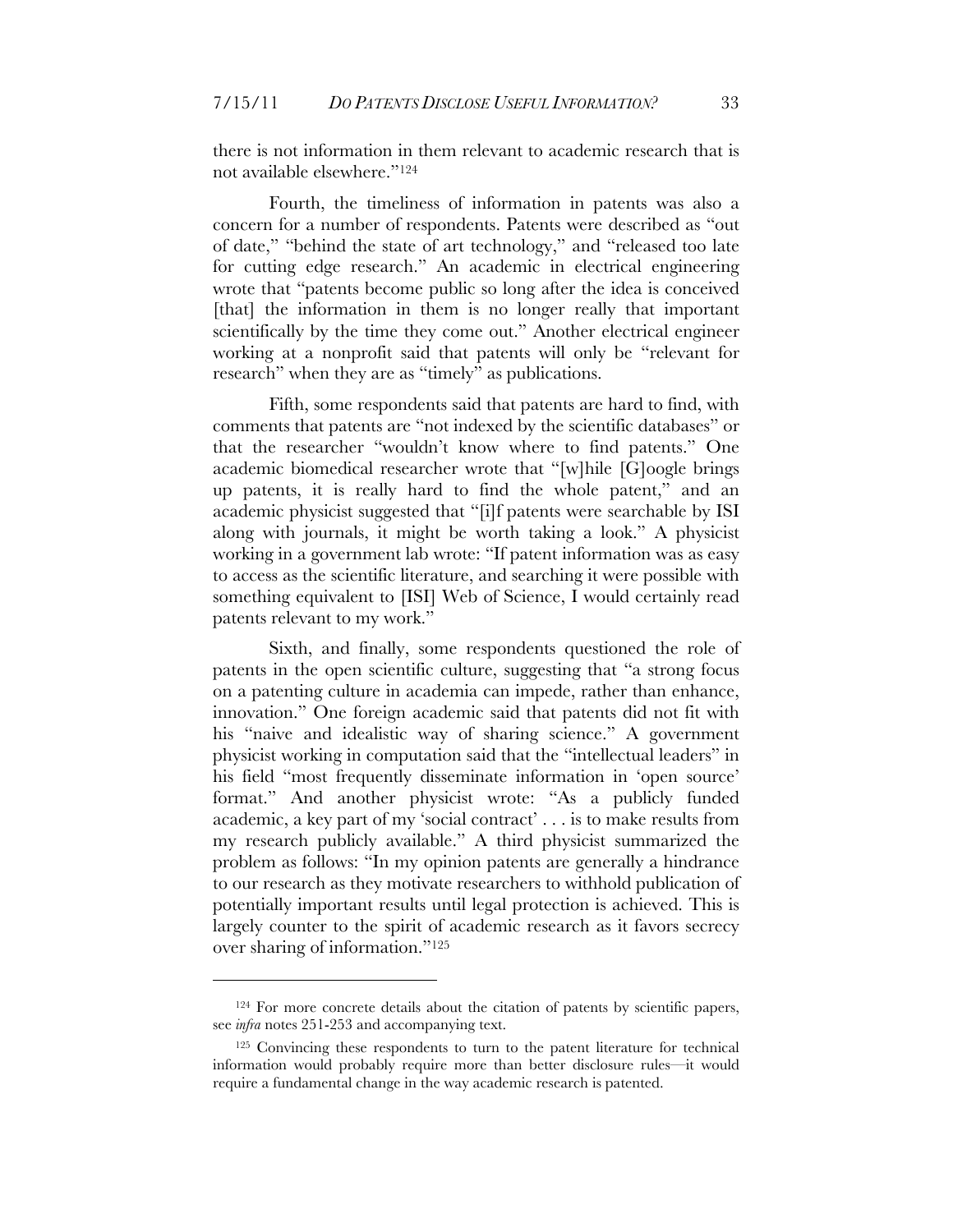there is not information in them relevant to academic research that is not available elsewhere."124

Fourth, the timeliness of information in patents was also a concern for a number of respondents. Patents were described as "out of date," "behind the state of art technology," and "released too late for cutting edge research." An academic in electrical engineering wrote that "patents become public so long after the idea is conceived [that] the information in them is no longer really that important scientifically by the time they come out." Another electrical engineer working at a nonprofit said that patents will only be "relevant for research" when they are as "timely" as publications.

Fifth, some respondents said that patents are hard to find, with comments that patents are "not indexed by the scientific databases" or that the researcher "wouldn't know where to find patents." One academic biomedical researcher wrote that "[w]hile [G]oogle brings up patents, it is really hard to find the whole patent," and an academic physicist suggested that "[i]f patents were searchable by ISI along with journals, it might be worth taking a look." A physicist working in a government lab wrote: "If patent information was as easy to access as the scientific literature, and searching it were possible with something equivalent to [ISI] Web of Science, I would certainly read patents relevant to my work."

Sixth, and finally, some respondents questioned the role of patents in the open scientific culture, suggesting that "a strong focus on a patenting culture in academia can impede, rather than enhance, innovation." One foreign academic said that patents did not fit with his "naive and idealistic way of sharing science." A government physicist working in computation said that the "intellectual leaders" in his field "most frequently disseminate information in 'open source' format." And another physicist wrote: "As a publicly funded academic, a key part of my 'social contract' . . . is to make results from my research publicly available." A third physicist summarized the problem as follows: "In my opinion patents are generally a hindrance to our research as they motivate researchers to withhold publication of potentially important results until legal protection is achieved. This is largely counter to the spirit of academic research as it favors secrecy over sharing of information."125

<sup>124</sup> For more concrete details about the citation of patents by scientific papers, see *infra* notes 251-253 and accompanying text.

<sup>125</sup> Convincing these respondents to turn to the patent literature for technical information would probably require more than better disclosure rules—it would require a fundamental change in the way academic research is patented.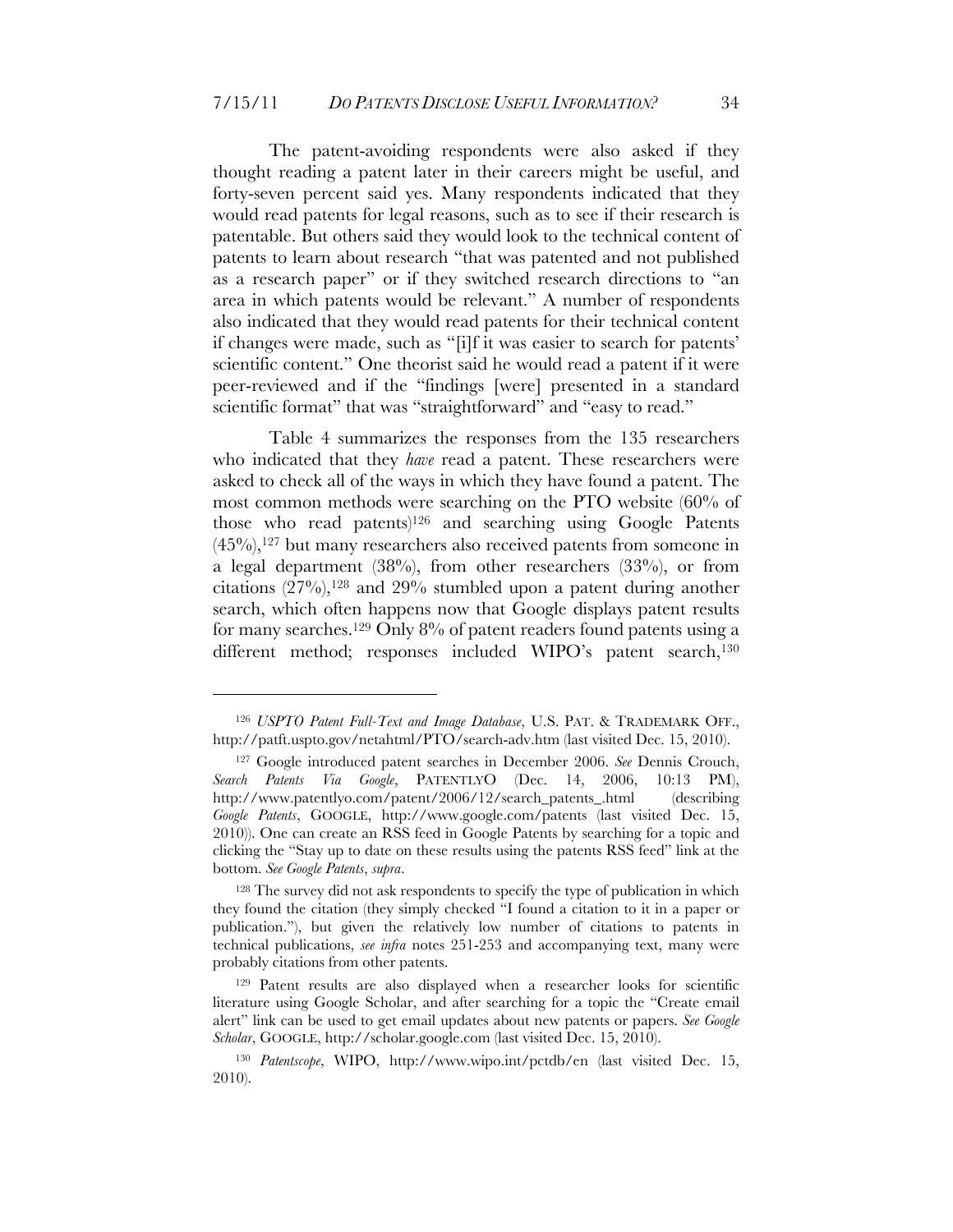The patent-avoiding respondents were also asked if they thought reading a patent later in their careers might be useful, and forty-seven percent said yes. Many respondents indicated that they would read patents for legal reasons, such as to see if their research is patentable. But others said they would look to the technical content of patents to learn about research "that was patented and not published as a research paper" or if they switched research directions to "an area in which patents would be relevant." A number of respondents also indicated that they would read patents for their technical content if changes were made, such as "[i]f it was easier to search for patents' scientific content." One theorist said he would read a patent if it were peer-reviewed and if the "findings [were] presented in a standard scientific format" that was "straightforward" and "easy to read."

Table 4 summarizes the responses from the 135 researchers who indicated that they *have* read a patent. These researchers were asked to check all of the ways in which they have found a patent. The most common methods were searching on the PTO website (60% of those who read patents)126 and searching using Google Patents  $(45\%)$ ,<sup>127</sup> but many researchers also received patents from someone in a legal department (38%), from other researchers (33%), or from citations  $(27\%)$ ,  $^{128}$  and  $29\%$  stumbled upon a patent during another search, which often happens now that Google displays patent results for many searches.<sup>129</sup> Only 8% of patent readers found patents using a different method; responses included WIPO's patent search,<sup>130</sup>

<sup>126</sup> *USPTO Patent Full-Text and Image Database*, U.S. PAT. & TRADEMARK OFF., http://patft.uspto.gov/netahtml/PTO/search-adv.htm (last visited Dec. 15, 2010).

<sup>127</sup> Google introduced patent searches in December 2006. *See* Dennis Crouch, *Search Patents Via Google*, PATENTLYO (Dec. 14, 2006, 10:13 PM), http://www.patentlyo.com/patent/2006/12/search\_patents\_.html (describing *Google Patents*, GOOGLE, http://www.google.com/patents (last visited Dec. 15, 2010)). One can create an RSS feed in Google Patents by searching for a topic and clicking the "Stay up to date on these results using the patents RSS feed" link at the bottom. *See Google Patents*, *supra*.

<sup>&</sup>lt;sup>128</sup> The survey did not ask respondents to specify the type of publication in which they found the citation (they simply checked "I found a citation to it in a paper or publication."), but given the relatively low number of citations to patents in technical publications, *see infra* notes 251-253 and accompanying text, many were probably citations from other patents.

<sup>129</sup> Patent results are also displayed when a researcher looks for scientific literature using Google Scholar, and after searching for a topic the "Create email alert" link can be used to get email updates about new patents or papers. *See Google Scholar*, GOOGLE, http://scholar.google.com (last visited Dec. 15, 2010).

<sup>130</sup> *Patentscope*, WIPO, http://www.wipo.int/pctdb/en (last visited Dec. 15, 2010).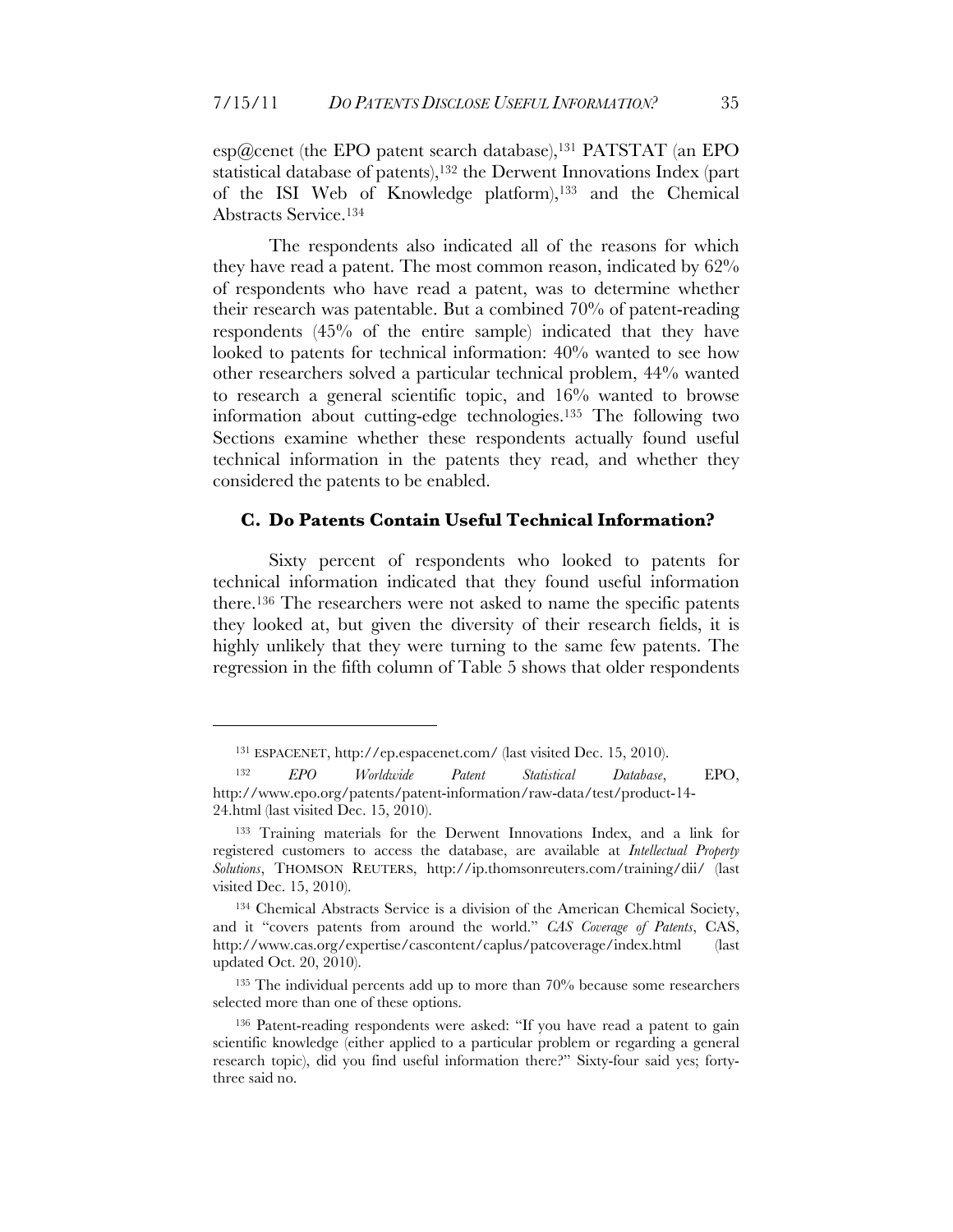$\exp(\widehat{a})$ cenet (the EPO patent search database),<sup>131</sup> PATSTAT (an EPO statistical database of patents), <sup>132</sup> the Derwent Innovations Index (part of the ISI Web of Knowledge platform),133 and the Chemical Abstracts Service.134

The respondents also indicated all of the reasons for which they have read a patent. The most common reason, indicated by 62% of respondents who have read a patent, was to determine whether their research was patentable. But a combined 70% of patent-reading respondents (45% of the entire sample) indicated that they have looked to patents for technical information: 40% wanted to see how other researchers solved a particular technical problem, 44% wanted to research a general scientific topic, and 16% wanted to browse information about cutting-edge technologies.135 The following two Sections examine whether these respondents actually found useful technical information in the patents they read, and whether they considered the patents to be enabled.

#### **C. Do Patents Contain Useful Technical Information?**

Sixty percent of respondents who looked to patents for technical information indicated that they found useful information there.136 The researchers were not asked to name the specific patents they looked at, but given the diversity of their research fields, it is highly unlikely that they were turning to the same few patents. The regression in the fifth column of Table 5 shows that older respondents

<sup>131</sup> ESPACENET, http://ep.espacenet.com/ (last visited Dec. 15, 2010).

<sup>132</sup> *EPO Worldwide Patent Statistical Database*, EPO, http://www.epo.org/patents/patent-information/raw-data/test/product-14- 24.html (last visited Dec. 15, 2010).

<sup>133</sup> Training materials for the Derwent Innovations Index, and a link for registered customers to access the database, are available at *Intellectual Property Solutions*, THOMSON REUTERS, http://ip.thomsonreuters.com/training/dii/ (last visited Dec. 15, 2010).

<sup>134</sup> Chemical Abstracts Service is a division of the American Chemical Society, and it "covers patents from around the world." *CAS Coverage of Patents*, CAS, http://www.cas.org/expertise/cascontent/caplus/patcoverage/index.html (last updated Oct. 20, 2010).

<sup>&</sup>lt;sup>135</sup> The individual percents add up to more than 70% because some researchers selected more than one of these options.

<sup>136</sup> Patent-reading respondents were asked: "If you have read a patent to gain scientific knowledge (either applied to a particular problem or regarding a general research topic), did you find useful information there?" Sixty-four said yes; fortythree said no.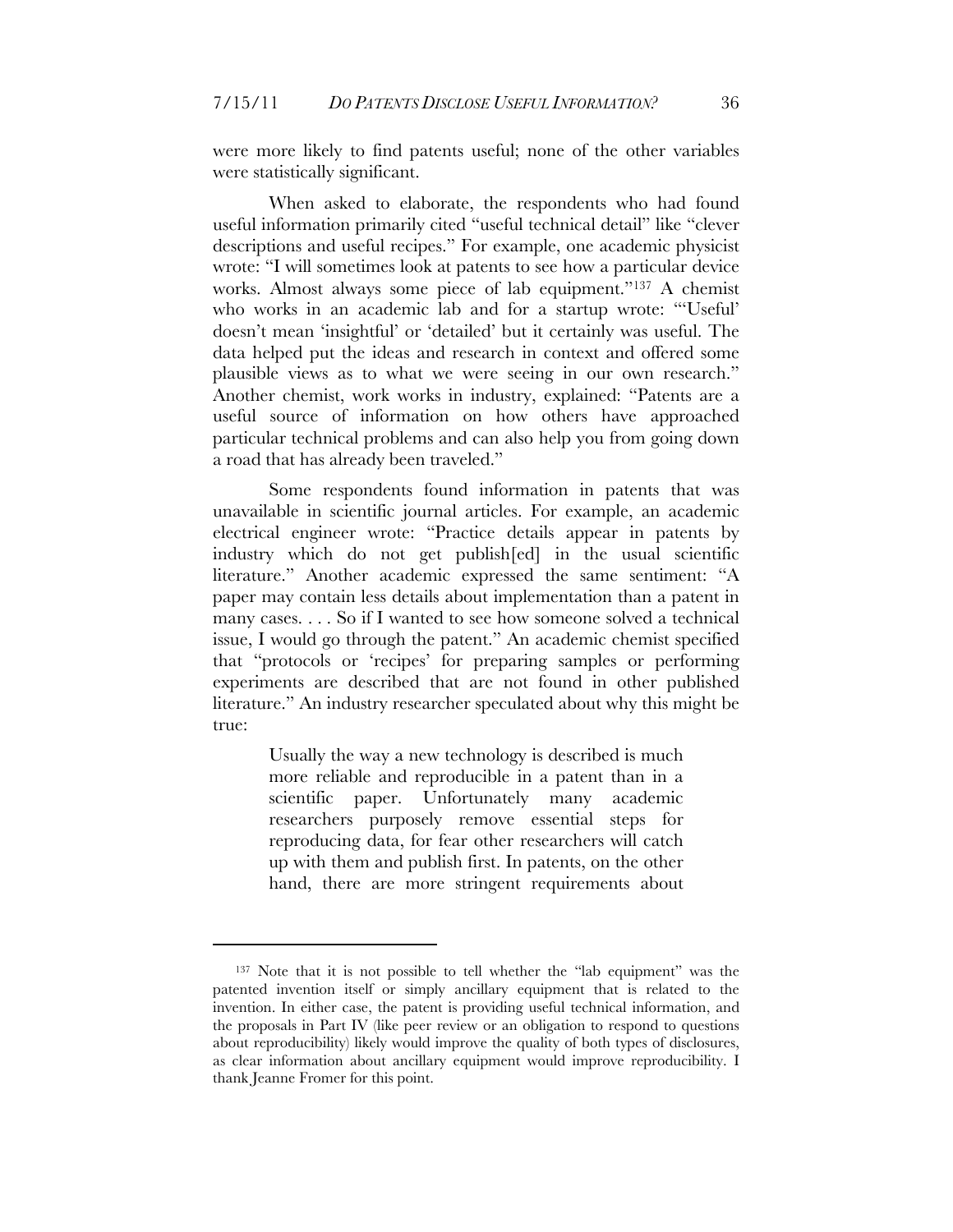were more likely to find patents useful; none of the other variables were statistically significant.

When asked to elaborate, the respondents who had found useful information primarily cited "useful technical detail" like "clever descriptions and useful recipes." For example, one academic physicist wrote: "I will sometimes look at patents to see how a particular device works. Almost always some piece of lab equipment."137 A chemist who works in an academic lab and for a startup wrote: "'Useful' doesn't mean 'insightful' or 'detailed' but it certainly was useful. The data helped put the ideas and research in context and offered some plausible views as to what we were seeing in our own research." Another chemist, work works in industry, explained: "Patents are a useful source of information on how others have approached particular technical problems and can also help you from going down a road that has already been traveled."

Some respondents found information in patents that was unavailable in scientific journal articles. For example, an academic electrical engineer wrote: "Practice details appear in patents by industry which do not get publish[ed] in the usual scientific literature." Another academic expressed the same sentiment: "A paper may contain less details about implementation than a patent in many cases. . . . So if I wanted to see how someone solved a technical issue, I would go through the patent." An academic chemist specified that "protocols or 'recipes' for preparing samples or performing experiments are described that are not found in other published literature." An industry researcher speculated about why this might be true:

> Usually the way a new technology is described is much more reliable and reproducible in a patent than in a scientific paper. Unfortunately many academic researchers purposely remove essential steps for reproducing data, for fear other researchers will catch up with them and publish first. In patents, on the other hand, there are more stringent requirements about

<sup>137</sup> Note that it is not possible to tell whether the "lab equipment" was the patented invention itself or simply ancillary equipment that is related to the invention. In either case, the patent is providing useful technical information, and the proposals in Part IV (like peer review or an obligation to respond to questions about reproducibility) likely would improve the quality of both types of disclosures, as clear information about ancillary equipment would improve reproducibility. I thank Jeanne Fromer for this point.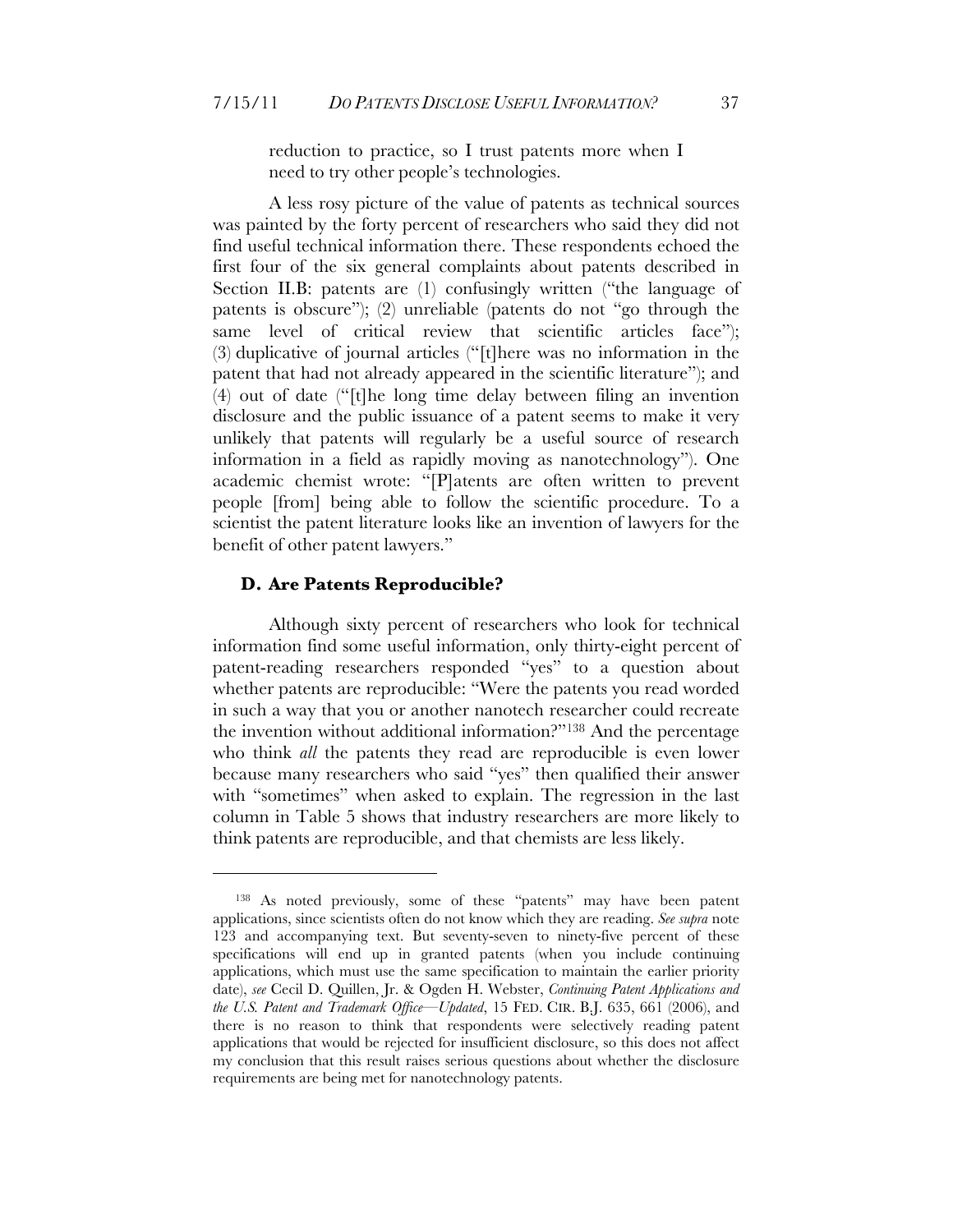reduction to practice, so I trust patents more when I need to try other people's technologies.

A less rosy picture of the value of patents as technical sources was painted by the forty percent of researchers who said they did not find useful technical information there. These respondents echoed the first four of the six general complaints about patents described in Section II.B: patents are (1) confusingly written ("the language of patents is obscure"); (2) unreliable (patents do not "go through the same level of critical review that scientific articles face"); (3) duplicative of journal articles ("[t]here was no information in the patent that had not already appeared in the scientific literature"); and (4) out of date ("[t]he long time delay between filing an invention disclosure and the public issuance of a patent seems to make it very unlikely that patents will regularly be a useful source of research information in a field as rapidly moving as nanotechnology"). One academic chemist wrote: "[P]atents are often written to prevent people [from] being able to follow the scientific procedure. To a scientist the patent literature looks like an invention of lawyers for the benefit of other patent lawyers."

#### **D. Are Patents Reproducible?**

 $\overline{a}$ 

Although sixty percent of researchers who look for technical information find some useful information, only thirty-eight percent of patent-reading researchers responded "yes" to a question about whether patents are reproducible: "Were the patents you read worded in such a way that you or another nanotech researcher could recreate the invention without additional information?"138 And the percentage who think *all* the patents they read are reproducible is even lower because many researchers who said "yes" then qualified their answer with "sometimes" when asked to explain. The regression in the last column in Table 5 shows that industry researchers are more likely to think patents are reproducible, and that chemists are less likely.

<sup>138</sup> As noted previously, some of these "patents" may have been patent applications, since scientists often do not know which they are reading. *See supra* note 123 and accompanying text. But seventy-seven to ninety-five percent of these specifications will end up in granted patents (when you include continuing applications, which must use the same specification to maintain the earlier priority date), *see* Cecil D. Quillen, Jr. & Ogden H. Webster, *Continuing Patent Applications and the U.S. Patent and Trademark Office—Updated*, 15 FED. CIR. B.J. 635, 661 (2006), and there is no reason to think that respondents were selectively reading patent applications that would be rejected for insufficient disclosure, so this does not affect my conclusion that this result raises serious questions about whether the disclosure requirements are being met for nanotechnology patents.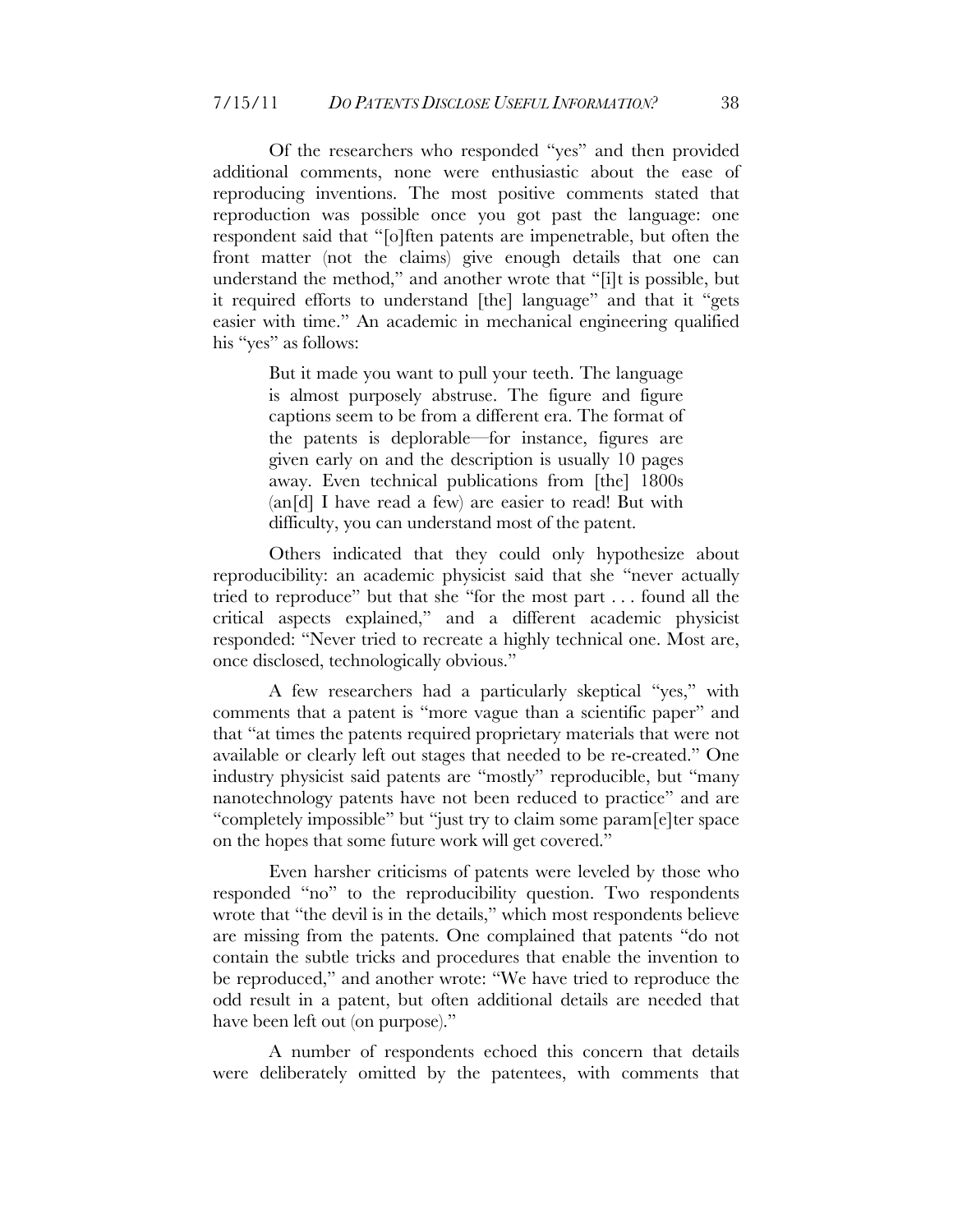Of the researchers who responded "yes" and then provided additional comments, none were enthusiastic about the ease of reproducing inventions. The most positive comments stated that reproduction was possible once you got past the language: one respondent said that "[o]ften patents are impenetrable, but often the front matter (not the claims) give enough details that one can understand the method," and another wrote that "[i]t is possible, but it required efforts to understand [the] language" and that it "gets easier with time." An academic in mechanical engineering qualified his "yes" as follows:

> But it made you want to pull your teeth. The language is almost purposely abstruse. The figure and figure captions seem to be from a different era. The format of the patents is deplorable—for instance, figures are given early on and the description is usually 10 pages away. Even technical publications from [the] 1800s (an[d] I have read a few) are easier to read! But with difficulty, you can understand most of the patent.

Others indicated that they could only hypothesize about reproducibility: an academic physicist said that she "never actually tried to reproduce" but that she "for the most part . . . found all the critical aspects explained," and a different academic physicist responded: "Never tried to recreate a highly technical one. Most are, once disclosed, technologically obvious."

A few researchers had a particularly skeptical "yes," with comments that a patent is "more vague than a scientific paper" and that "at times the patents required proprietary materials that were not available or clearly left out stages that needed to be re-created." One industry physicist said patents are "mostly" reproducible, but "many nanotechnology patents have not been reduced to practice" and are "completely impossible" but "just try to claim some param[e]ter space on the hopes that some future work will get covered."

Even harsher criticisms of patents were leveled by those who responded "no" to the reproducibility question. Two respondents wrote that "the devil is in the details," which most respondents believe are missing from the patents. One complained that patents "do not contain the subtle tricks and procedures that enable the invention to be reproduced," and another wrote: "We have tried to reproduce the odd result in a patent, but often additional details are needed that have been left out (on purpose)."

A number of respondents echoed this concern that details were deliberately omitted by the patentees, with comments that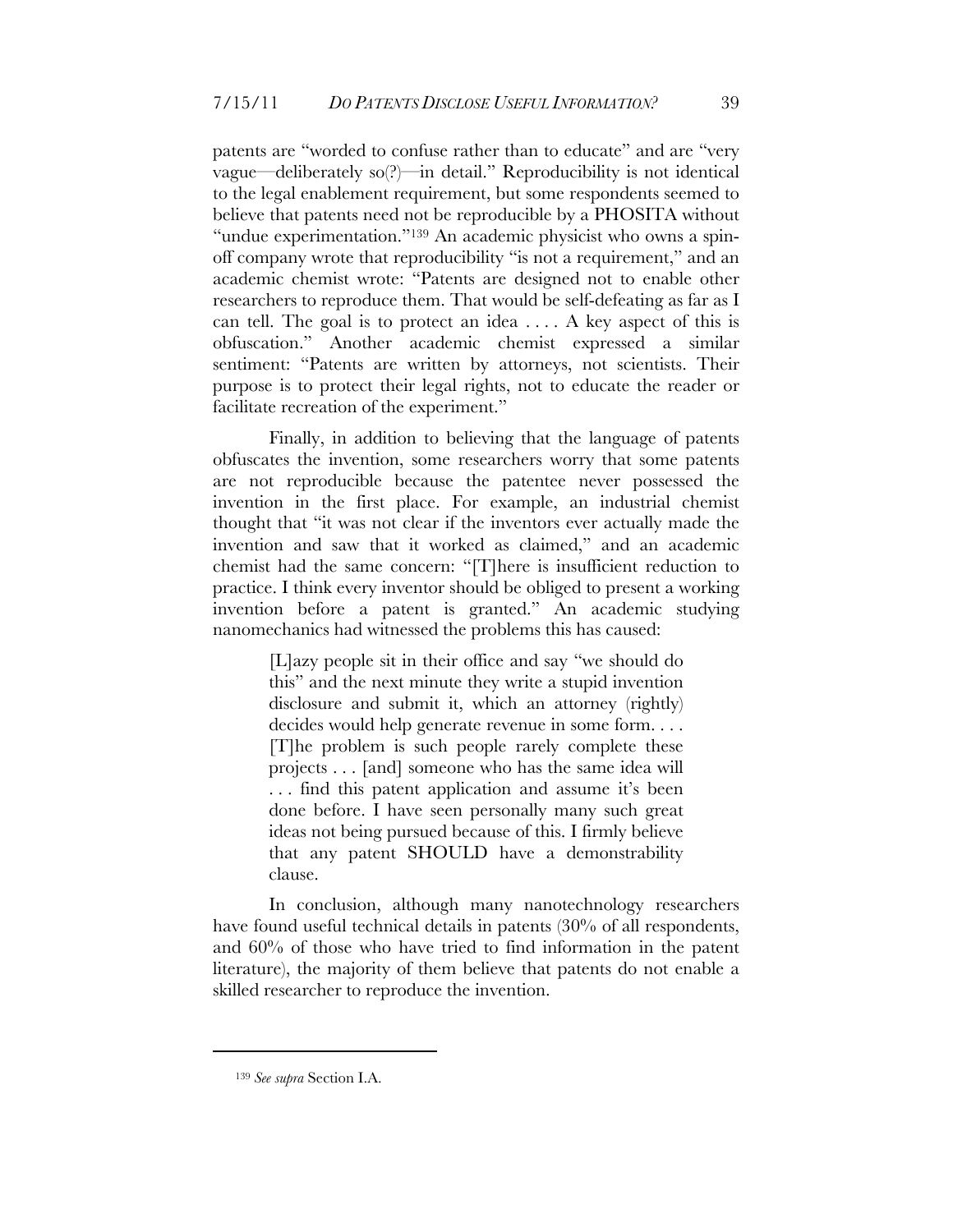patents are "worded to confuse rather than to educate" and are "very vague—deliberately so(?)—in detail." Reproducibility is not identical to the legal enablement requirement, but some respondents seemed to believe that patents need not be reproducible by a PHOSITA without "undue experimentation."<sup>139</sup> An academic physicist who owns a spinoff company wrote that reproducibility "is not a requirement," and an academic chemist wrote: "Patents are designed not to enable other researchers to reproduce them. That would be self-defeating as far as I can tell. The goal is to protect an idea . . . . A key aspect of this is obfuscation." Another academic chemist expressed a similar sentiment: "Patents are written by attorneys, not scientists. Their purpose is to protect their legal rights, not to educate the reader or facilitate recreation of the experiment."

Finally, in addition to believing that the language of patents obfuscates the invention, some researchers worry that some patents are not reproducible because the patentee never possessed the invention in the first place. For example, an industrial chemist thought that "it was not clear if the inventors ever actually made the invention and saw that it worked as claimed," and an academic chemist had the same concern: "[T]here is insufficient reduction to practice. I think every inventor should be obliged to present a working invention before a patent is granted." An academic studying nanomechanics had witnessed the problems this has caused:

> [L]azy people sit in their office and say "we should do this" and the next minute they write a stupid invention disclosure and submit it, which an attorney (rightly) decides would help generate revenue in some form. . . . [T]he problem is such people rarely complete these projects . . . [and] someone who has the same idea will . . . find this patent application and assume it's been done before. I have seen personally many such great ideas not being pursued because of this. I firmly believe that any patent SHOULD have a demonstrability clause.

In conclusion, although many nanotechnology researchers have found useful technical details in patents (30% of all respondents, and 60% of those who have tried to find information in the patent literature), the majority of them believe that patents do not enable a skilled researcher to reproduce the invention.

<sup>139</sup> *See supra* Section I.A.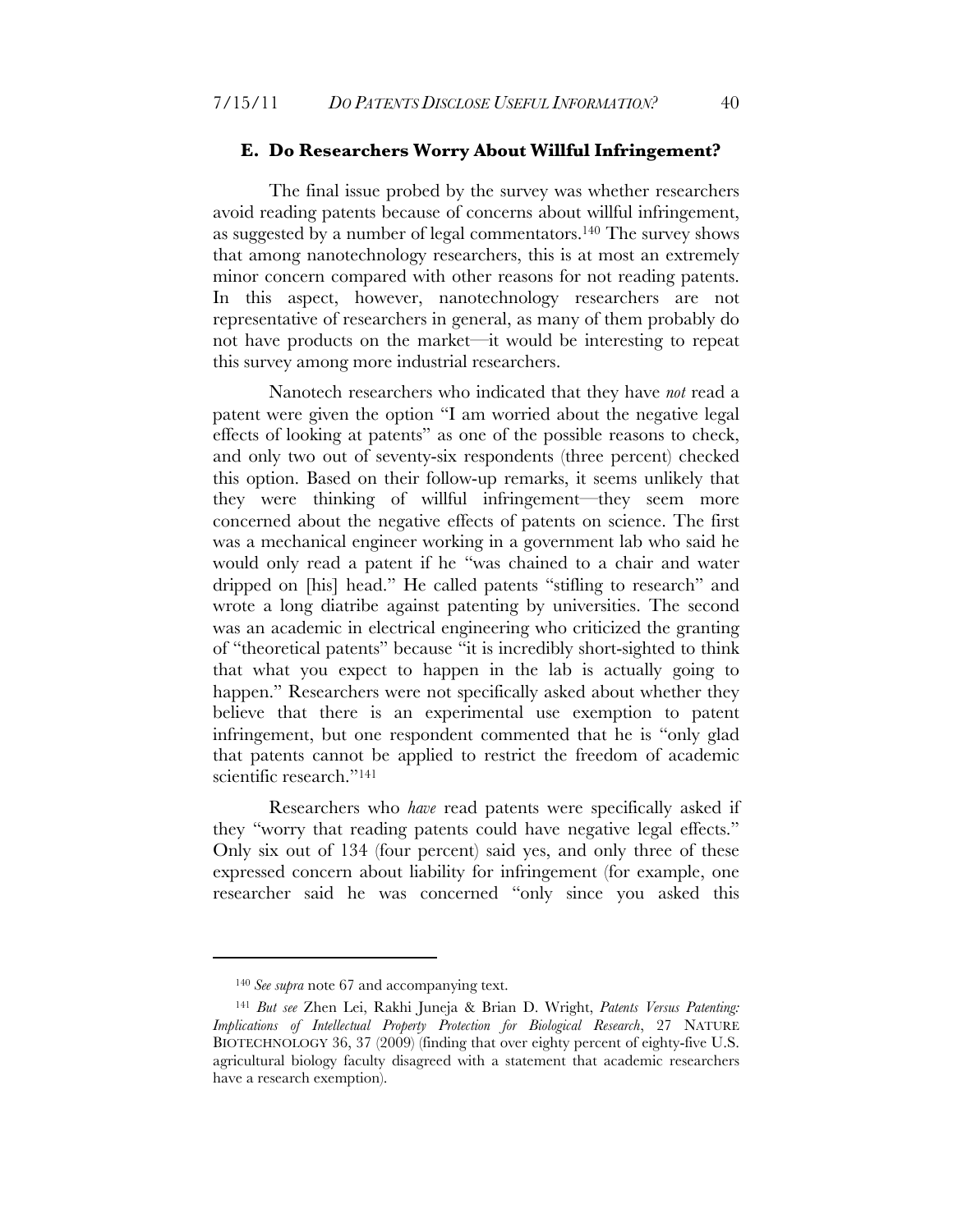#### **E. Do Researchers Worry About Willful Infringement?**

The final issue probed by the survey was whether researchers avoid reading patents because of concerns about willful infringement, as suggested by a number of legal commentators.140 The survey shows that among nanotechnology researchers, this is at most an extremely minor concern compared with other reasons for not reading patents. In this aspect, however, nanotechnology researchers are not representative of researchers in general, as many of them probably do not have products on the market—it would be interesting to repeat this survey among more industrial researchers.

Nanotech researchers who indicated that they have *not* read a patent were given the option "I am worried about the negative legal effects of looking at patents" as one of the possible reasons to check, and only two out of seventy-six respondents (three percent) checked this option. Based on their follow-up remarks, it seems unlikely that they were thinking of willful infringement—they seem more concerned about the negative effects of patents on science. The first was a mechanical engineer working in a government lab who said he would only read a patent if he "was chained to a chair and water dripped on [his] head." He called patents "stifling to research" and wrote a long diatribe against patenting by universities. The second was an academic in electrical engineering who criticized the granting of "theoretical patents" because "it is incredibly short-sighted to think that what you expect to happen in the lab is actually going to happen." Researchers were not specifically asked about whether they believe that there is an experimental use exemption to patent infringement, but one respondent commented that he is "only glad that patents cannot be applied to restrict the freedom of academic scientific research."<sup>141</sup>

Researchers who *have* read patents were specifically asked if they "worry that reading patents could have negative legal effects." Only six out of 134 (four percent) said yes, and only three of these expressed concern about liability for infringement (for example, one researcher said he was concerned "only since you asked this

<sup>140</sup> *See supra* note 67 and accompanying text.

<sup>141</sup> *But see* Zhen Lei, Rakhi Juneja & Brian D. Wright, *Patents Versus Patenting: Implications of Intellectual Property Protection for Biological Research*, 27 NATURE BIOTECHNOLOGY 36, 37 (2009) (finding that over eighty percent of eighty-five U.S. agricultural biology faculty disagreed with a statement that academic researchers have a research exemption).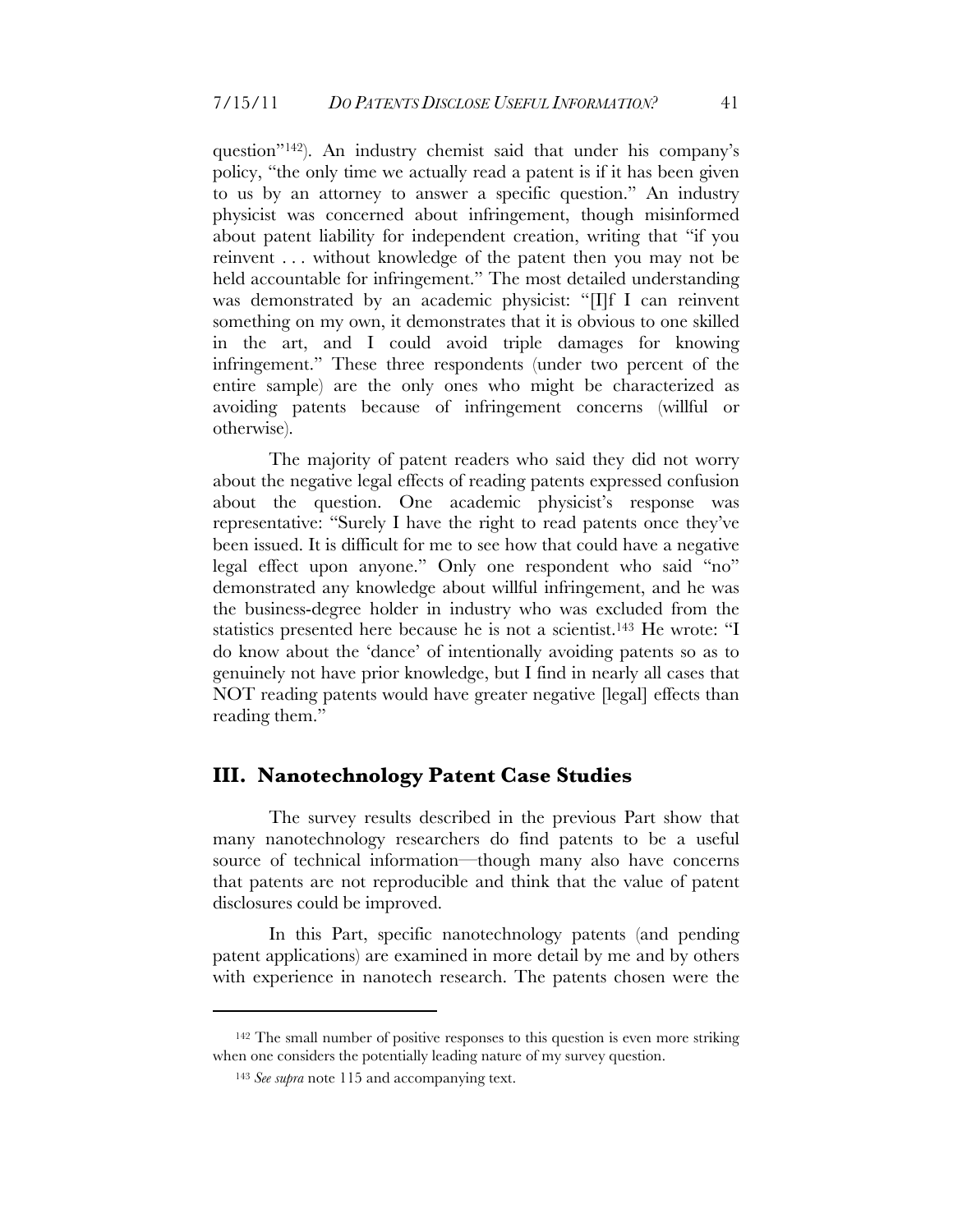question"142). An industry chemist said that under his company's policy, "the only time we actually read a patent is if it has been given to us by an attorney to answer a specific question." An industry physicist was concerned about infringement, though misinformed about patent liability for independent creation, writing that "if you reinvent . . . without knowledge of the patent then you may not be held accountable for infringement." The most detailed understanding was demonstrated by an academic physicist: "[I]f I can reinvent something on my own, it demonstrates that it is obvious to one skilled in the art, and I could avoid triple damages for knowing infringement." These three respondents (under two percent of the entire sample) are the only ones who might be characterized as avoiding patents because of infringement concerns (willful or otherwise).

The majority of patent readers who said they did not worry about the negative legal effects of reading patents expressed confusion about the question. One academic physicist's response was representative: "Surely I have the right to read patents once they've been issued. It is difficult for me to see how that could have a negative legal effect upon anyone." Only one respondent who said "no" demonstrated any knowledge about willful infringement, and he was the business-degree holder in industry who was excluded from the statistics presented here because he is not a scientist.143 He wrote: "I do know about the 'dance' of intentionally avoiding patents so as to genuinely not have prior knowledge, but I find in nearly all cases that NOT reading patents would have greater negative [legal] effects than reading them."

#### **III. Nanotechnology Patent Case Studies**

The survey results described in the previous Part show that many nanotechnology researchers do find patents to be a useful source of technical information—though many also have concerns that patents are not reproducible and think that the value of patent disclosures could be improved.

In this Part, specific nanotechnology patents (and pending patent applications) are examined in more detail by me and by others with experience in nanotech research. The patents chosen were the

<sup>142</sup> The small number of positive responses to this question is even more striking when one considers the potentially leading nature of my survey question.

<sup>143</sup> *See supra* note 115 and accompanying text.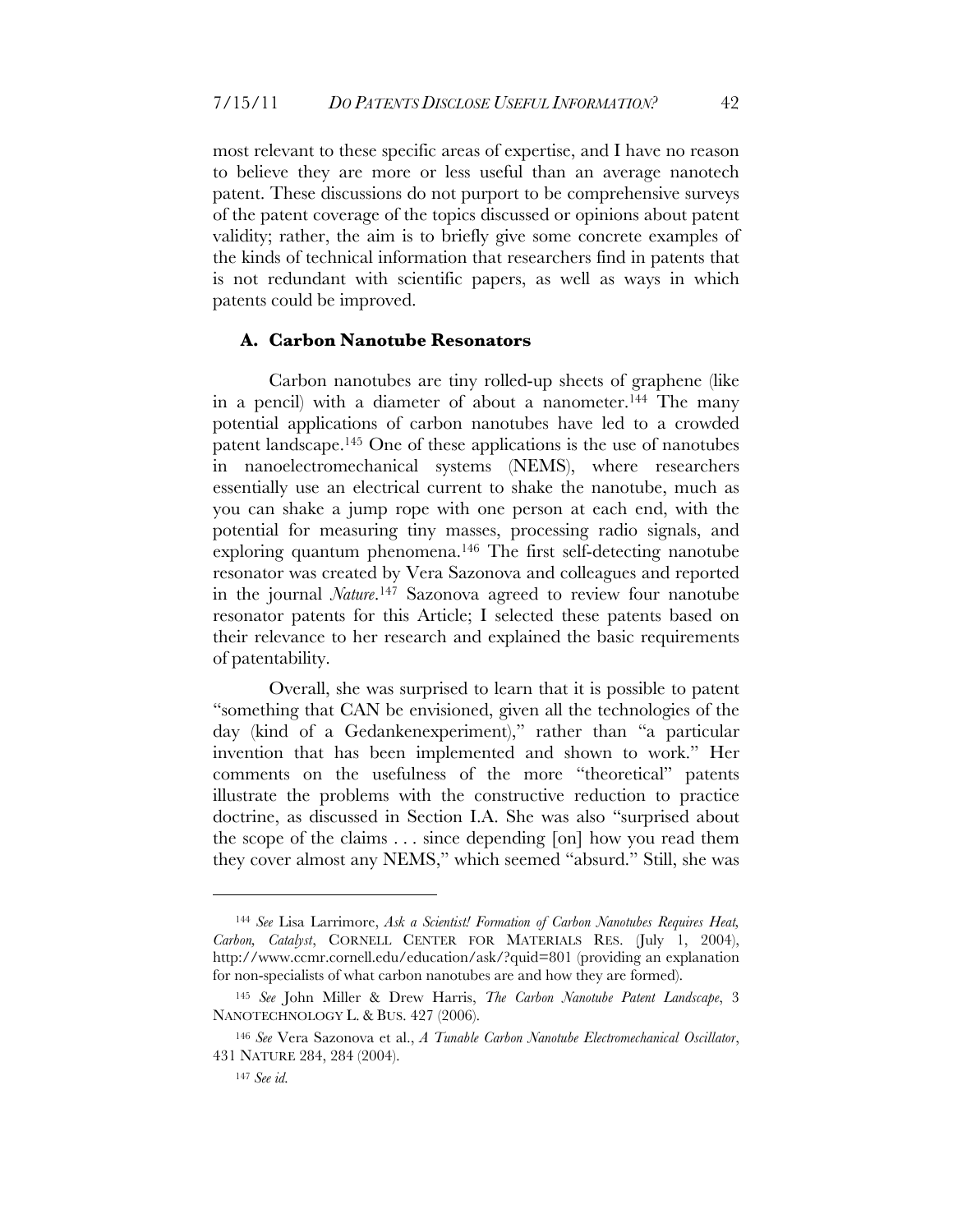most relevant to these specific areas of expertise, and I have no reason to believe they are more or less useful than an average nanotech patent. These discussions do not purport to be comprehensive surveys of the patent coverage of the topics discussed or opinions about patent validity; rather, the aim is to briefly give some concrete examples of the kinds of technical information that researchers find in patents that is not redundant with scientific papers, as well as ways in which patents could be improved.

#### **A. Carbon Nanotube Resonators**

Carbon nanotubes are tiny rolled-up sheets of graphene (like in a pencil) with a diameter of about a nanometer.<sup>144</sup> The many potential applications of carbon nanotubes have led to a crowded patent landscape.145 One of these applications is the use of nanotubes in nanoelectromechanical systems (NEMS), where researchers essentially use an electrical current to shake the nanotube, much as you can shake a jump rope with one person at each end, with the potential for measuring tiny masses, processing radio signals, and exploring quantum phenomena.146 The first self-detecting nanotube resonator was created by Vera Sazonova and colleagues and reported in the journal *Nature*.147 Sazonova agreed to review four nanotube resonator patents for this Article; I selected these patents based on their relevance to her research and explained the basic requirements of patentability.

Overall, she was surprised to learn that it is possible to patent "something that CAN be envisioned, given all the technologies of the day (kind of a Gedankenexperiment)," rather than "a particular invention that has been implemented and shown to work." Her comments on the usefulness of the more "theoretical" patents illustrate the problems with the constructive reduction to practice doctrine, as discussed in Section I.A. She was also "surprised about the scope of the claims . . . since depending [on] how you read them they cover almost any NEMS," which seemed "absurd." Still, she was

<sup>144</sup> *See* Lisa Larrimore, *Ask a Scientist! Formation of Carbon Nanotubes Requires Heat, Carbon, Catalyst*, CORNELL CENTER FOR MATERIALS RES. (July 1, 2004), http://www.ccmr.cornell.edu/education/ask/?quid=801 (providing an explanation for non-specialists of what carbon nanotubes are and how they are formed).

<sup>145</sup> *See* John Miller & Drew Harris, *The Carbon Nanotube Patent Landscape*, 3 NANOTECHNOLOGY L. & BUS. 427 (2006).

<sup>146</sup> *See* Vera Sazonova et al., *A Tunable Carbon Nanotube Electromechanical Oscillator*, 431 NATURE 284, 284 (2004).

<sup>147</sup> *See id.*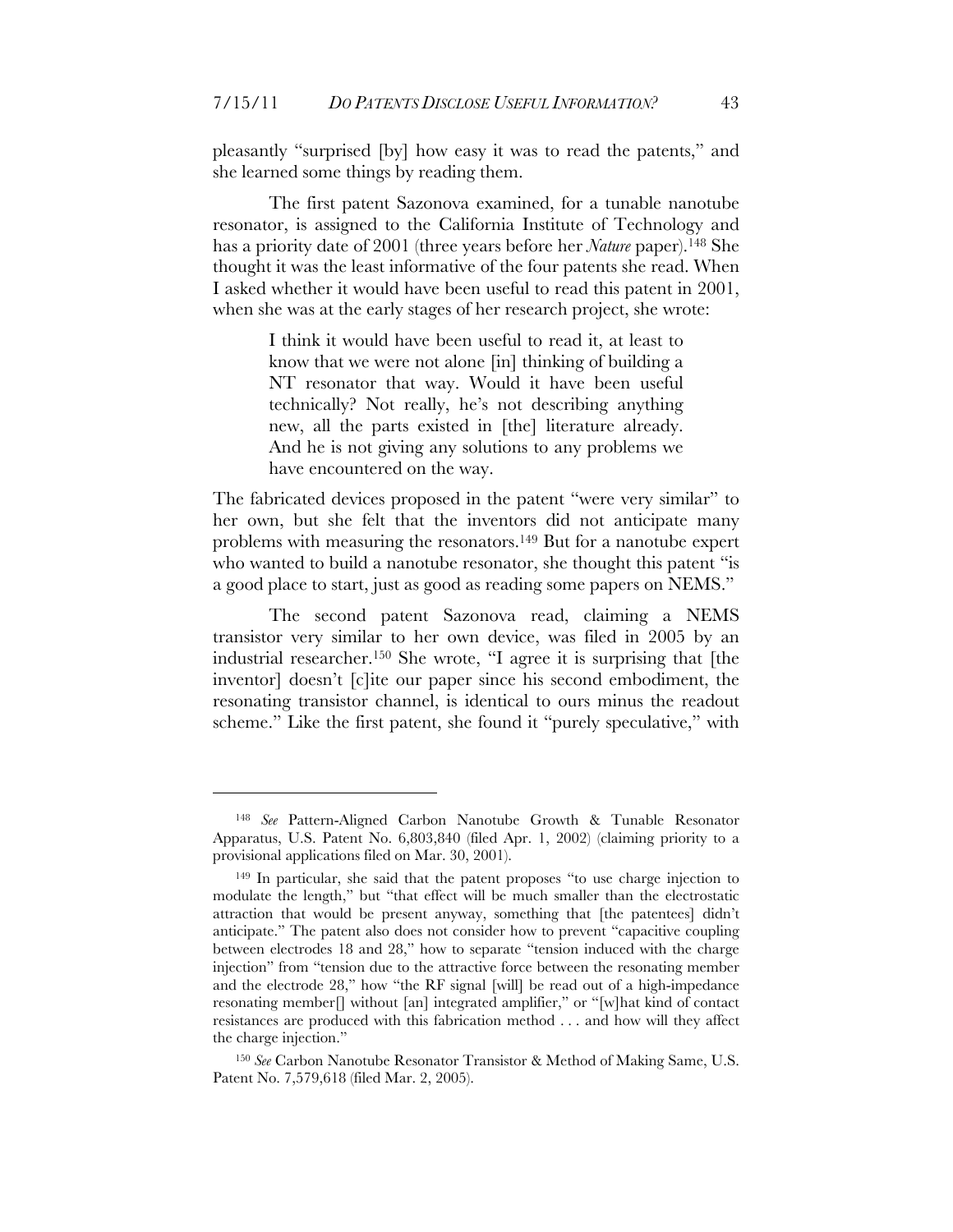pleasantly "surprised [by] how easy it was to read the patents," and she learned some things by reading them.

The first patent Sazonova examined, for a tunable nanotube resonator, is assigned to the California Institute of Technology and has a priority date of 2001 (three years before her *Nature* paper).148 She thought it was the least informative of the four patents she read. When I asked whether it would have been useful to read this patent in 2001, when she was at the early stages of her research project, she wrote:

> I think it would have been useful to read it, at least to know that we were not alone [in] thinking of building a NT resonator that way. Would it have been useful technically? Not really, he's not describing anything new, all the parts existed in [the] literature already. And he is not giving any solutions to any problems we have encountered on the way.

The fabricated devices proposed in the patent "were very similar" to her own, but she felt that the inventors did not anticipate many problems with measuring the resonators.149 But for a nanotube expert who wanted to build a nanotube resonator, she thought this patent "is a good place to start, just as good as reading some papers on NEMS."

The second patent Sazonova read, claiming a NEMS transistor very similar to her own device, was filed in 2005 by an industrial researcher.150 She wrote, "I agree it is surprising that [the inventor] doesn't [c]ite our paper since his second embodiment, the resonating transistor channel, is identical to ours minus the readout scheme." Like the first patent, she found it "purely speculative," with

<sup>148</sup> *See* Pattern-Aligned Carbon Nanotube Growth & Tunable Resonator Apparatus, U.S. Patent No. 6,803,840 (filed Apr. 1, 2002) (claiming priority to a provisional applications filed on Mar. 30, 2001).

<sup>149</sup> In particular, she said that the patent proposes "to use charge injection to modulate the length," but "that effect will be much smaller than the electrostatic attraction that would be present anyway, something that [the patentees] didn't anticipate." The patent also does not consider how to prevent "capacitive coupling between electrodes 18 and 28," how to separate "tension induced with the charge injection" from "tension due to the attractive force between the resonating member and the electrode 28," how "the RF signal [will] be read out of a high-impedance resonating member[] without [an] integrated amplifier," or "[w]hat kind of contact resistances are produced with this fabrication method . . . and how will they affect the charge injection."

<sup>150</sup> *See* Carbon Nanotube Resonator Transistor & Method of Making Same, U.S. Patent No. 7,579,618 (filed Mar. 2, 2005).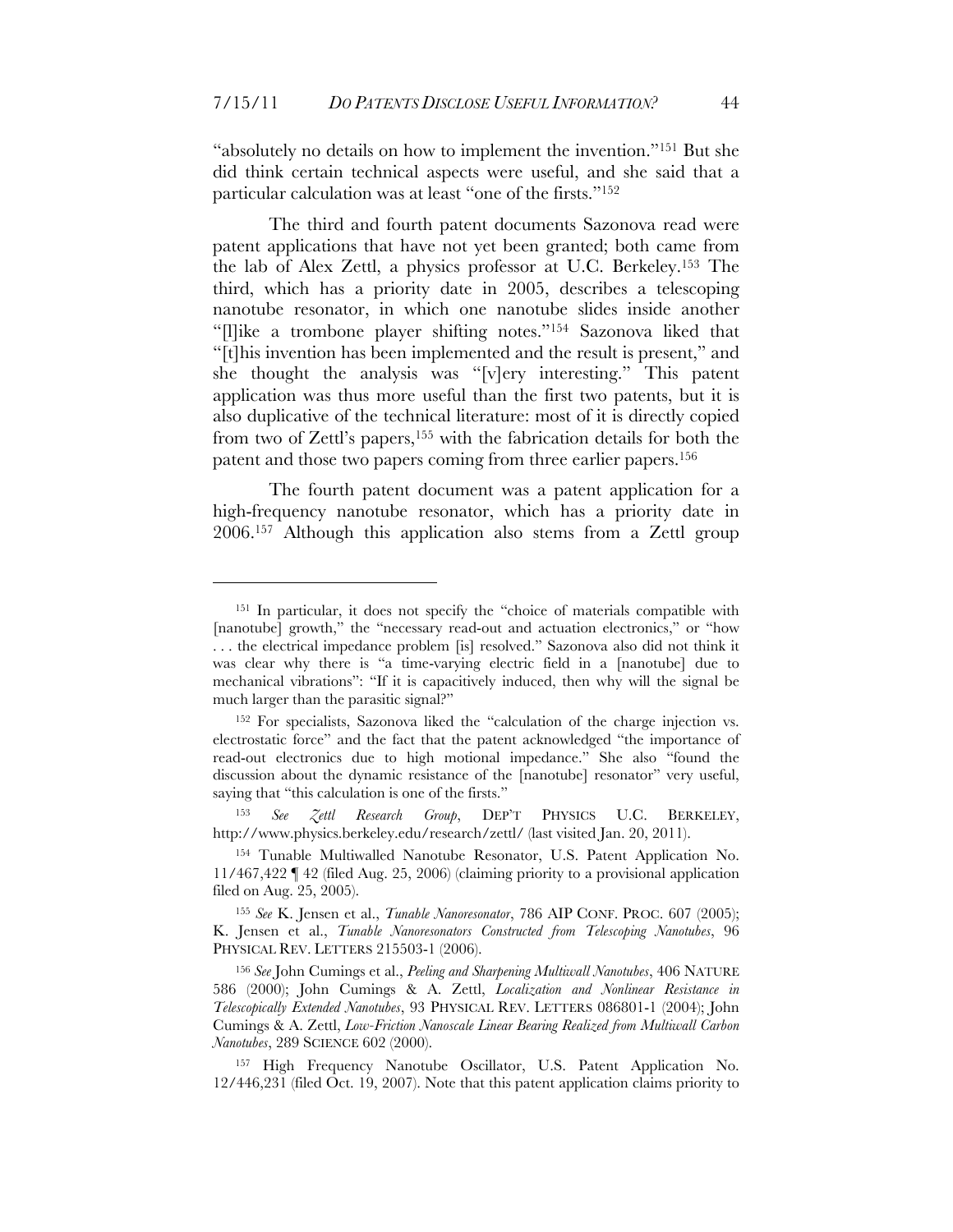"absolutely no details on how to implement the invention."151 But she did think certain technical aspects were useful, and she said that a particular calculation was at least "one of the firsts."152

The third and fourth patent documents Sazonova read were patent applications that have not yet been granted; both came from the lab of Alex Zettl, a physics professor at U.C. Berkeley.153 The third, which has a priority date in 2005, describes a telescoping nanotube resonator, in which one nanotube slides inside another "[l]ike a trombone player shifting notes."154 Sazonova liked that "[t]his invention has been implemented and the result is present," and she thought the analysis was "[v]ery interesting." This patent application was thus more useful than the first two patents, but it is also duplicative of the technical literature: most of it is directly copied from two of Zettl's papers,155 with the fabrication details for both the patent and those two papers coming from three earlier papers.156

The fourth patent document was a patent application for a high-frequency nanotube resonator, which has a priority date in 2006.157 Although this application also stems from a Zettl group

 $\overline{a}$ 

<sup>153</sup> *See Zettl Research Group*, DEP'T PHYSICS U.C. BERKELEY, http://www.physics.berkeley.edu/research/zettl/ (last visited Jan. 20, 2011).

<sup>151</sup> In particular, it does not specify the "choice of materials compatible with [nanotube] growth," the "necessary read-out and actuation electronics," or "how . . . the electrical impedance problem [is] resolved." Sazonova also did not think it was clear why there is "a time-varying electric field in a [nanotube] due to mechanical vibrations": "If it is capacitively induced, then why will the signal be much larger than the parasitic signal?"

<sup>152</sup> For specialists, Sazonova liked the "calculation of the charge injection vs. electrostatic force" and the fact that the patent acknowledged "the importance of read-out electronics due to high motional impedance." She also "found the discussion about the dynamic resistance of the [nanotube] resonator" very useful, saying that "this calculation is one of the firsts."

<sup>154</sup> Tunable Multiwalled Nanotube Resonator, U.S. Patent Application No. 11/467,422 ¶ 42 (filed Aug. 25, 2006) (claiming priority to a provisional application filed on Aug. 25, 2005).

<sup>155</sup> *See* K. Jensen et al., *Tunable Nanoresonator*, 786 AIP CONF. PROC. 607 (2005); K. Jensen et al., *Tunable Nanoresonators Constructed from Telescoping Nanotubes*, 96 PHYSICAL REV. LETTERS 215503-1 (2006).

<sup>156</sup> *See* John Cumings et al., *Peeling and Sharpening Multiwall Nanotubes*, 406 NATURE 586 (2000); John Cumings & A. Zettl, *Localization and Nonlinear Resistance in Telescopically Extended Nanotubes*, 93 PHYSICAL REV. LETTERS 086801-1 (2004); John Cumings & A. Zettl, *Low-Friction Nanoscale Linear Bearing Realized from Multiwall Carbon Nanotubes*, 289 SCIENCE 602 (2000).

<sup>157</sup> High Frequency Nanotube Oscillator, U.S. Patent Application No. 12/446,231 (filed Oct. 19, 2007). Note that this patent application claims priority to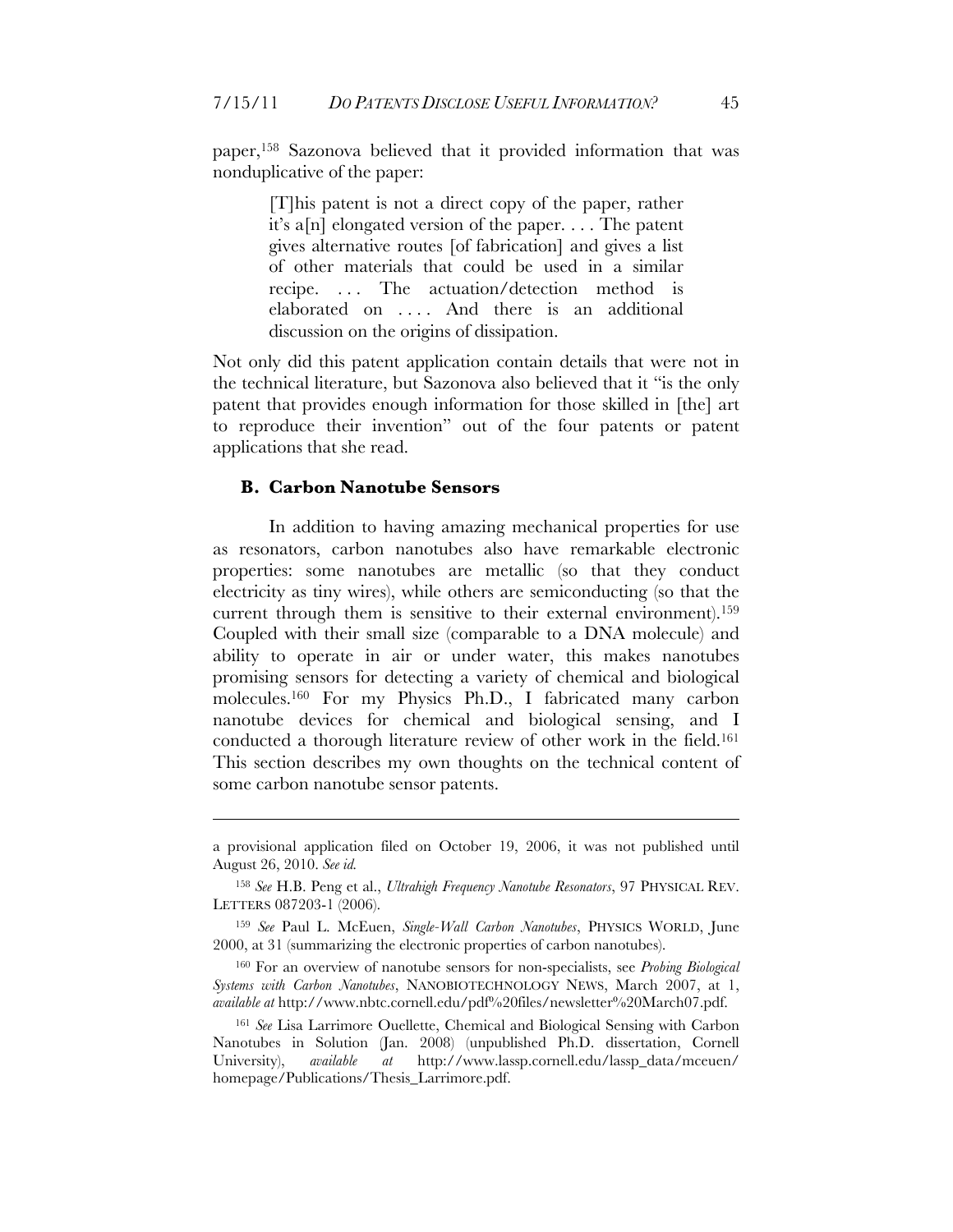paper,158 Sazonova believed that it provided information that was nonduplicative of the paper:

> [T]his patent is not a direct copy of the paper, rather it's a[n] elongated version of the paper. . . . The patent gives alternative routes [of fabrication] and gives a list of other materials that could be used in a similar recipe. ... The actuation/detection method is elaborated on . . . . And there is an additional discussion on the origins of dissipation.

Not only did this patent application contain details that were not in the technical literature, but Sazonova also believed that it "is the only patent that provides enough information for those skilled in [the] art to reproduce their invention" out of the four patents or patent applications that she read.

#### **B. Carbon Nanotube Sensors**

<u>.</u>

In addition to having amazing mechanical properties for use as resonators, carbon nanotubes also have remarkable electronic properties: some nanotubes are metallic (so that they conduct electricity as tiny wires), while others are semiconducting (so that the current through them is sensitive to their external environment).159 Coupled with their small size (comparable to a DNA molecule) and ability to operate in air or under water, this makes nanotubes promising sensors for detecting a variety of chemical and biological molecules.160 For my Physics Ph.D., I fabricated many carbon nanotube devices for chemical and biological sensing, and I conducted a thorough literature review of other work in the field.161 This section describes my own thoughts on the technical content of some carbon nanotube sensor patents.

a provisional application filed on October 19, 2006, it was not published until August 26, 2010. *See id.*

<sup>158</sup> *See* H.B. Peng et al., *Ultrahigh Frequency Nanotube Resonators*, 97 PHYSICAL REV. LETTERS 087203-1 (2006).

<sup>159</sup> *See* Paul L. McEuen, *Single-Wall Carbon Nanotubes*, PHYSICS WORLD, June 2000, at 31 (summarizing the electronic properties of carbon nanotubes).

<sup>160</sup> For an overview of nanotube sensors for non-specialists, see *Probing Biological Systems with Carbon Nanotubes*, NANOBIOTECHNOLOGY NEWS, March 2007, at 1, *available at* http://www.nbtc.cornell.edu/pdf%20files/newsletter%20March07.pdf.

<sup>161</sup> *See* Lisa Larrimore Ouellette, Chemical and Biological Sensing with Carbon Nanotubes in Solution (Jan. 2008) (unpublished Ph.D. dissertation, Cornell University), *available at* http://www.lassp.cornell.edu/lassp\_data/mceuen/ homepage/Publications/Thesis\_Larrimore.pdf.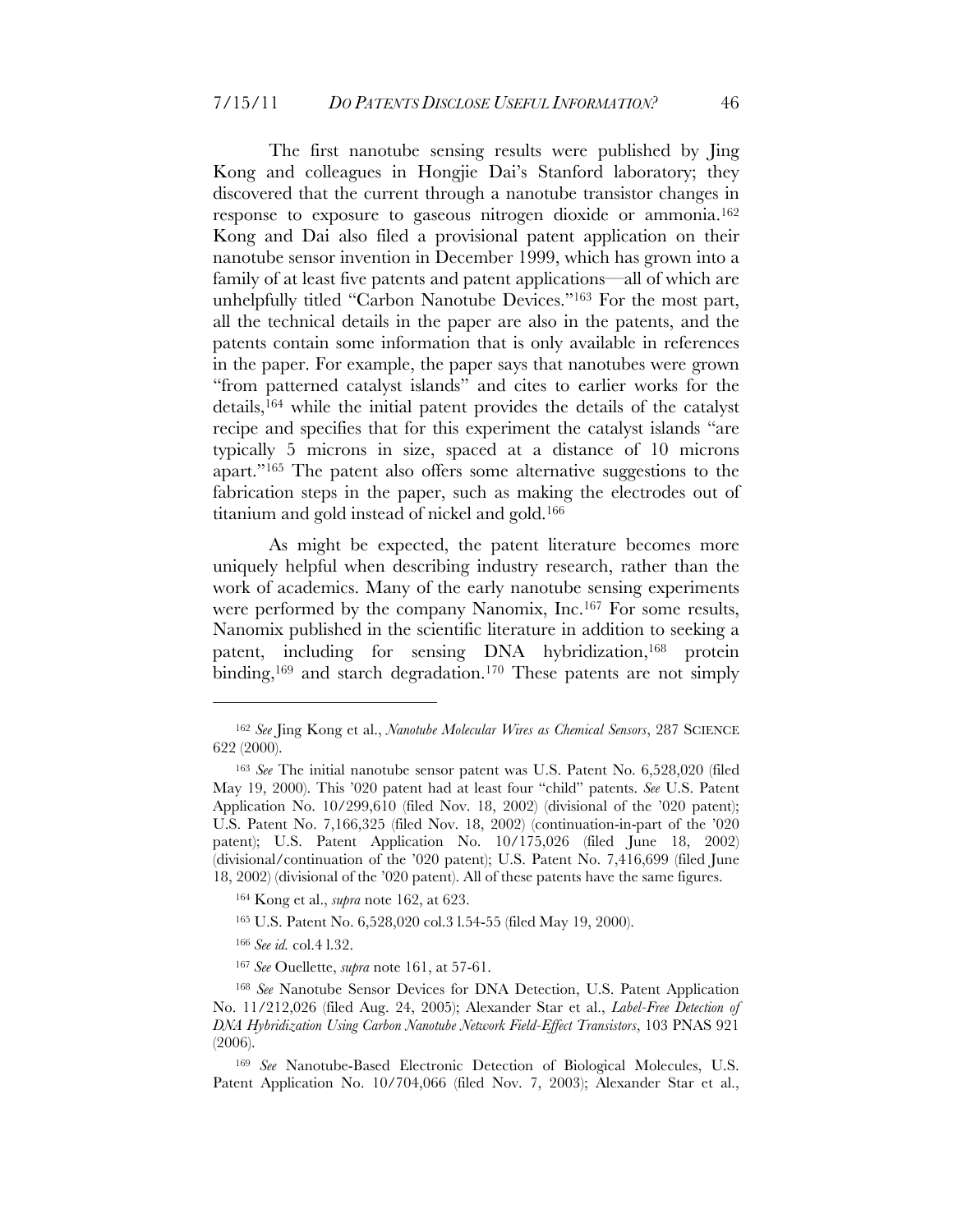The first nanotube sensing results were published by Jing Kong and colleagues in Hongjie Dai's Stanford laboratory; they discovered that the current through a nanotube transistor changes in response to exposure to gaseous nitrogen dioxide or ammonia.162 Kong and Dai also filed a provisional patent application on their nanotube sensor invention in December 1999, which has grown into a family of at least five patents and patent applications—all of which are unhelpfully titled "Carbon Nanotube Devices."163 For the most part, all the technical details in the paper are also in the patents, and the patents contain some information that is only available in references in the paper. For example, the paper says that nanotubes were grown "from patterned catalyst islands" and cites to earlier works for the details,164 while the initial patent provides the details of the catalyst recipe and specifies that for this experiment the catalyst islands "are typically 5 microns in size, spaced at a distance of 10 microns apart."165 The patent also offers some alternative suggestions to the fabrication steps in the paper, such as making the electrodes out of titanium and gold instead of nickel and gold.166

As might be expected, the patent literature becomes more uniquely helpful when describing industry research, rather than the work of academics. Many of the early nanotube sensing experiments were performed by the company Nanomix, Inc.167 For some results, Nanomix published in the scientific literature in addition to seeking a patent, including for sensing DNA hybridization,168 protein binding,<sup>169</sup> and starch degradation.<sup>170</sup> These patents are not simply

<sup>162</sup> *See* Jing Kong et al., *Nanotube Molecular Wires as Chemical Sensors*, 287 SCIENCE 622 (2000).

<sup>163</sup> *See* The initial nanotube sensor patent was U.S. Patent No. 6,528,020 (filed May 19, 2000). This '020 patent had at least four "child" patents. *See* U.S. Patent Application No. 10/299,610 (filed Nov. 18, 2002) (divisional of the '020 patent); U.S. Patent No. 7,166,325 (filed Nov. 18, 2002) (continuation-in-part of the '020 patent); U.S. Patent Application No. 10/175,026 (filed June 18, 2002) (divisional/continuation of the '020 patent); U.S. Patent No. 7,416,699 (filed June 18, 2002) (divisional of the '020 patent). All of these patents have the same figures.

<sup>164</sup> Kong et al., *supra* note 162, at 623.

<sup>165</sup> U.S. Patent No. 6,528,020 col.3 l.54-55 (filed May 19, 2000).

<sup>166</sup> *See id.* col.4 l.32.

<sup>167</sup> *See* Ouellette, *supra* note 161, at 57-61.

<sup>168</sup> *See* Nanotube Sensor Devices for DNA Detection, U.S. Patent Application No. 11/212,026 (filed Aug. 24, 2005); Alexander Star et al., *Label-Free Detection of DNA Hybridization Using Carbon Nanotube Network Field-Effect Transistors*, 103 PNAS 921 (2006).

<sup>169</sup> *See* Nanotube-Based Electronic Detection of Biological Molecules, U.S. Patent Application No. 10/704,066 (filed Nov. 7, 2003); Alexander Star et al.,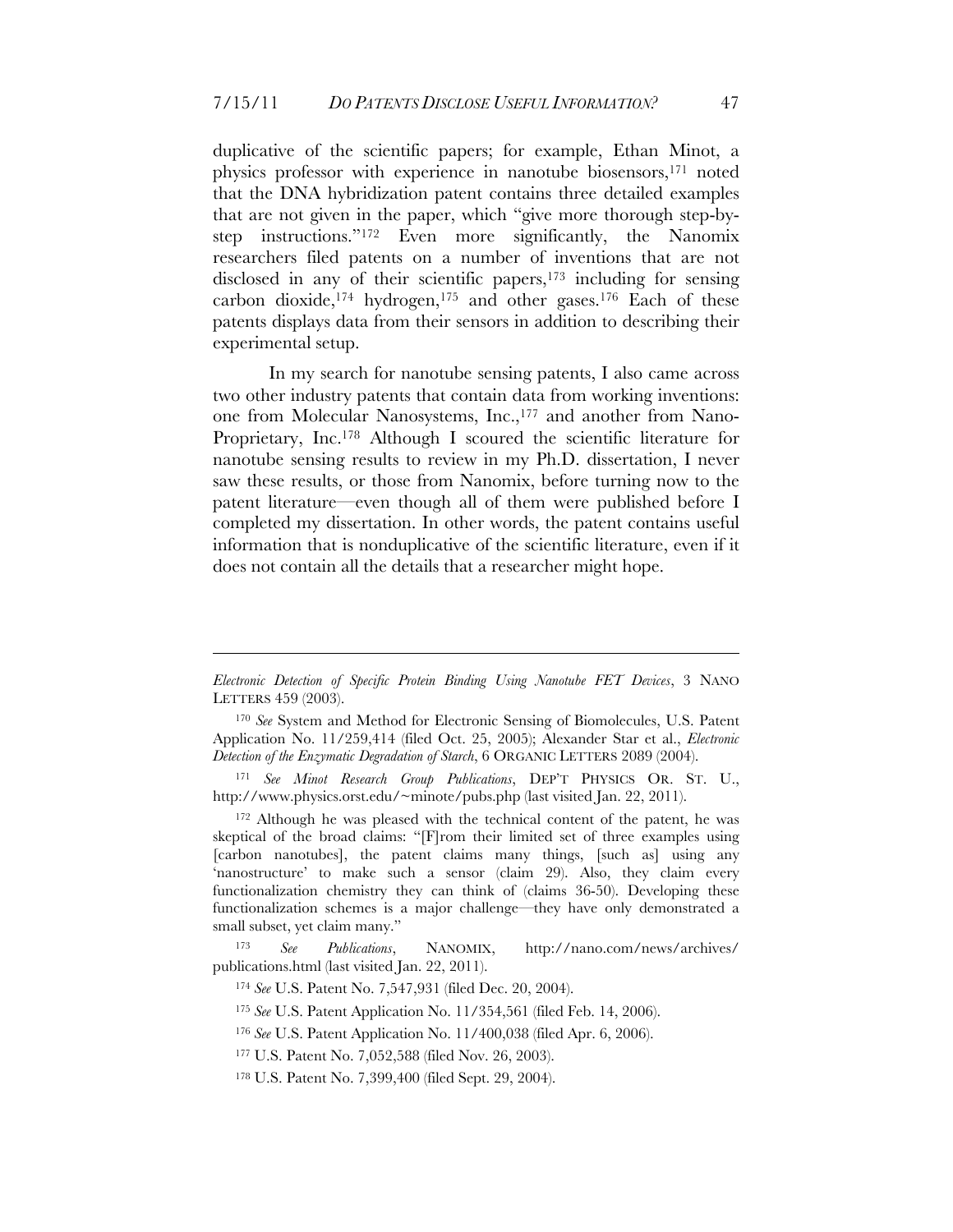duplicative of the scientific papers; for example, Ethan Minot, a physics professor with experience in nanotube biosensors,171 noted that the DNA hybridization patent contains three detailed examples that are not given in the paper, which "give more thorough step-bystep instructions."172 Even more significantly, the Nanomix researchers filed patents on a number of inventions that are not disclosed in any of their scientific papers,173 including for sensing carbon dioxide, $174 \text{ hydrogen}$ , $175 \text{ and other gases}$ , $176 \text{ Each of these}$ patents displays data from their sensors in addition to describing their experimental setup.

In my search for nanotube sensing patents, I also came across two other industry patents that contain data from working inventions: one from Molecular Nanosystems, Inc.,<sup>177</sup> and another from Nano-Proprietary, Inc.178 Although I scoured the scientific literature for nanotube sensing results to review in my Ph.D. dissertation, I never saw these results, or those from Nanomix, before turning now to the patent literature—even though all of them were published before I completed my dissertation. In other words, the patent contains useful information that is nonduplicative of the scientific literature, even if it does not contain all the details that a researcher might hope.

172 Although he was pleased with the technical content of the patent, he was skeptical of the broad claims: "[F]rom their limited set of three examples using [carbon nanotubes], the patent claims many things, [such as] using any 'nanostructure' to make such a sensor (claim 29). Also, they claim every functionalization chemistry they can think of (claims 36-50). Developing these functionalization schemes is a major challenge—they have only demonstrated a small subset, yet claim many."

<u>.</u>

*Electronic Detection of Specific Protein Binding Using Nanotube FET Devices*, 3 NANO LETTERS 459 (2003).

<sup>170</sup> *See* System and Method for Electronic Sensing of Biomolecules, U.S. Patent Application No. 11/259,414 (filed Oct. 25, 2005); Alexander Star et al., *Electronic Detection of the Enzymatic Degradation of Starch*, 6 ORGANIC LETTERS 2089 (2004).

<sup>171</sup> *See Minot Research Group Publications*, DEP'T PHYSICS OR. ST. U., http://www.physics.orst.edu/~minote/pubs.php (last visited Jan. 22, 2011).

<sup>173</sup> *See Publications*, NANOMIX, http://nano.com/news/archives/ publications.html (last visited Jan. 22, 2011).

<sup>174</sup> *See* U.S. Patent No. 7,547,931 (filed Dec. 20, 2004).

<sup>175</sup> *See* U.S. Patent Application No. 11/354,561 (filed Feb. 14, 2006).

<sup>176</sup> *See* U.S. Patent Application No. 11/400,038 (filed Apr. 6, 2006).

<sup>177</sup> U.S. Patent No. 7,052,588 (filed Nov. 26, 2003).

<sup>178</sup> U.S. Patent No. 7,399,400 (filed Sept. 29, 2004).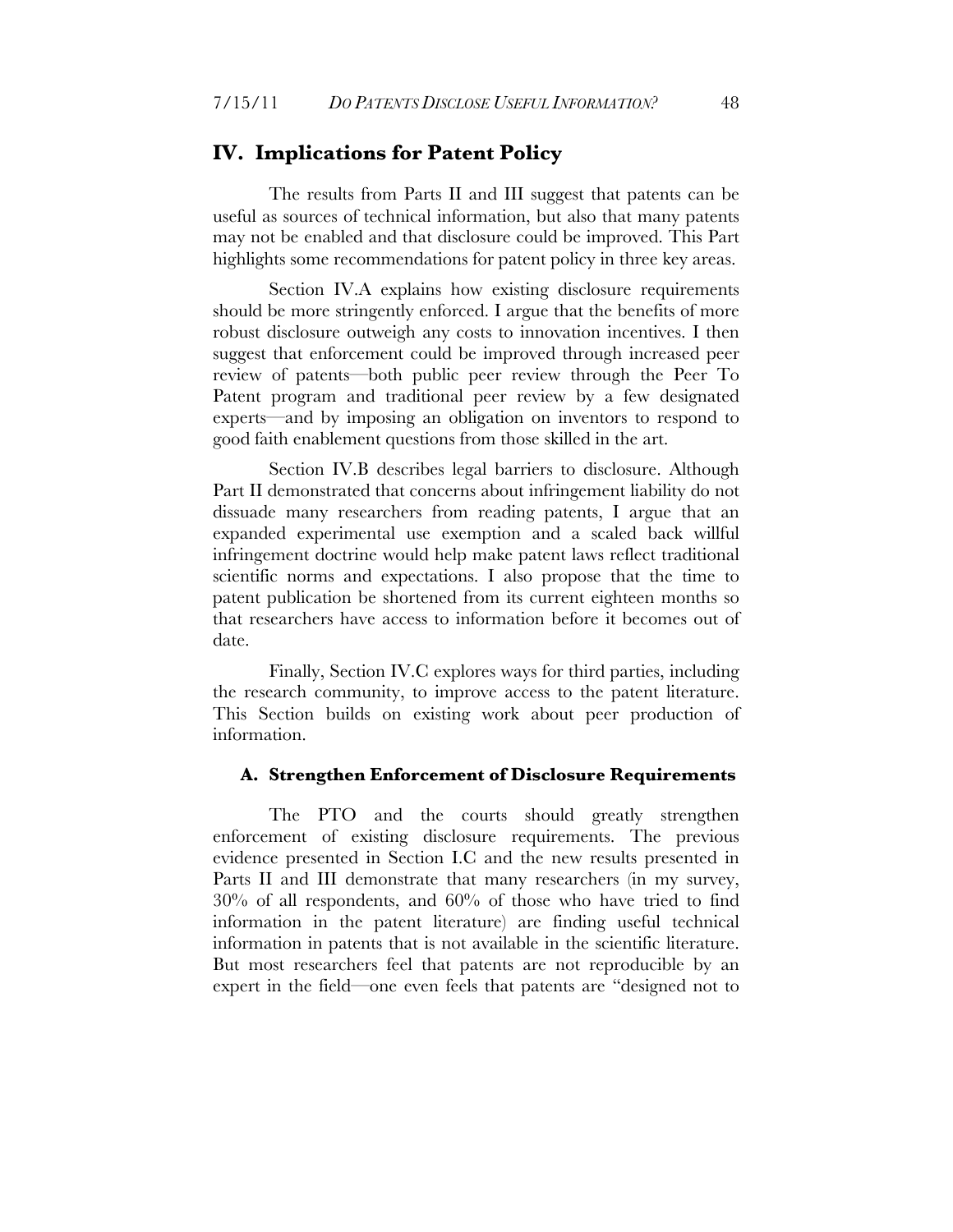#### **IV. Implications for Patent Policy**

The results from Parts II and III suggest that patents can be useful as sources of technical information, but also that many patents may not be enabled and that disclosure could be improved. This Part highlights some recommendations for patent policy in three key areas.

Section IV.A explains how existing disclosure requirements should be more stringently enforced. I argue that the benefits of more robust disclosure outweigh any costs to innovation incentives. I then suggest that enforcement could be improved through increased peer review of patents—both public peer review through the Peer To Patent program and traditional peer review by a few designated experts—and by imposing an obligation on inventors to respond to good faith enablement questions from those skilled in the art.

Section IV.B describes legal barriers to disclosure. Although Part II demonstrated that concerns about infringement liability do not dissuade many researchers from reading patents, I argue that an expanded experimental use exemption and a scaled back willful infringement doctrine would help make patent laws reflect traditional scientific norms and expectations. I also propose that the time to patent publication be shortened from its current eighteen months so that researchers have access to information before it becomes out of date.

Finally, Section IV.C explores ways for third parties, including the research community, to improve access to the patent literature. This Section builds on existing work about peer production of information.

#### **A. Strengthen Enforcement of Disclosure Requirements**

The PTO and the courts should greatly strengthen enforcement of existing disclosure requirements. The previous evidence presented in Section I.C and the new results presented in Parts II and III demonstrate that many researchers (in my survey, 30% of all respondents, and 60% of those who have tried to find information in the patent literature) are finding useful technical information in patents that is not available in the scientific literature. But most researchers feel that patents are not reproducible by an expert in the field—one even feels that patents are "designed not to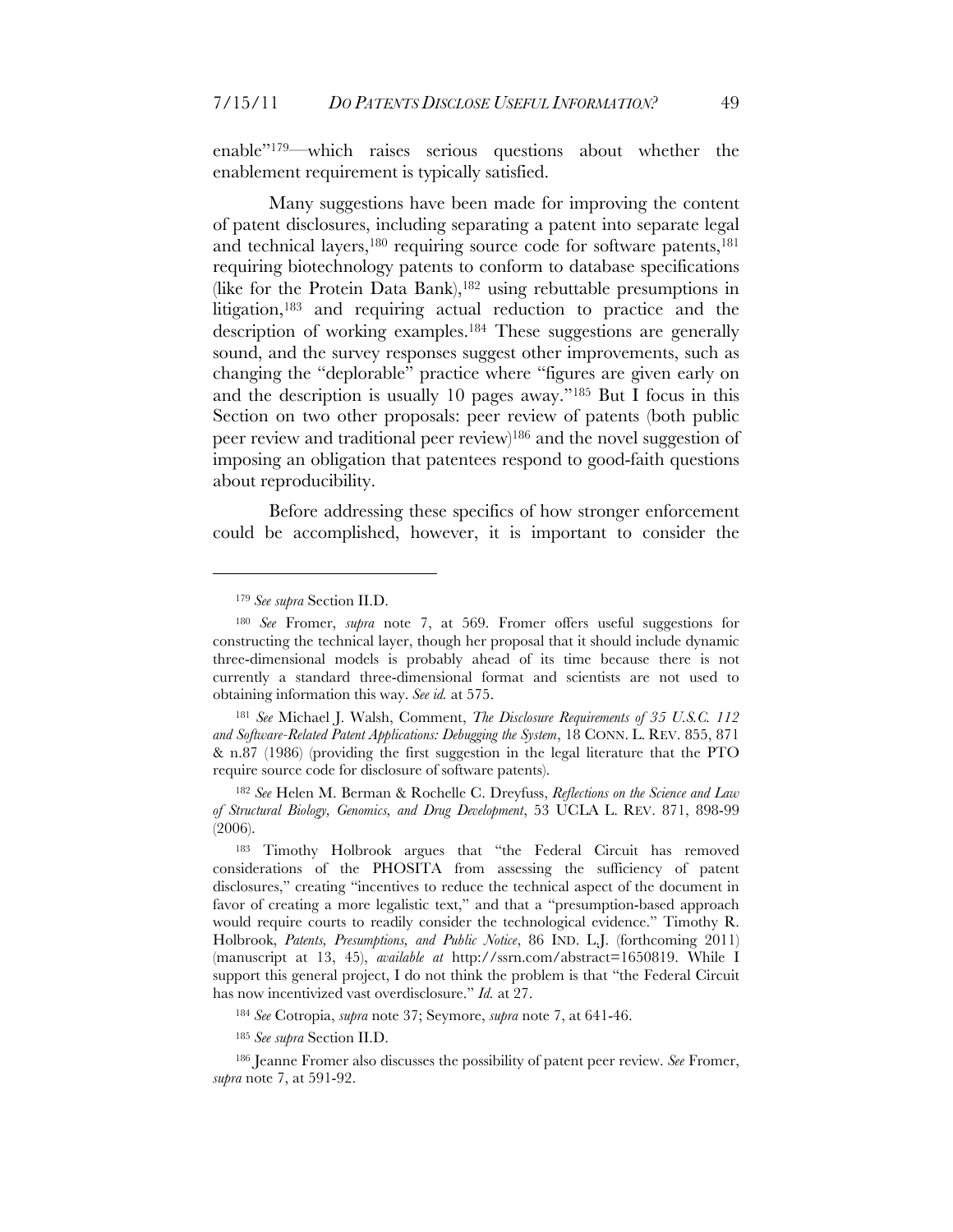enable"179—which raises serious questions about whether the enablement requirement is typically satisfied.

Many suggestions have been made for improving the content of patent disclosures, including separating a patent into separate legal and technical layers,<sup>180</sup> requiring source code for software patents,<sup>181</sup> requiring biotechnology patents to conform to database specifications (like for the Protein Data Bank), <sup>182</sup> using rebuttable presumptions in litigation,183 and requiring actual reduction to practice and the description of working examples.184 These suggestions are generally sound, and the survey responses suggest other improvements, such as changing the "deplorable" practice where "figures are given early on and the description is usually 10 pages away."185 But I focus in this Section on two other proposals: peer review of patents (both public peer review and traditional peer review)186 and the novel suggestion of imposing an obligation that patentees respond to good-faith questions about reproducibility.

Before addressing these specifics of how stronger enforcement could be accomplished, however, it is important to consider the

 $\overline{a}$ 

<sup>181</sup> *See* Michael J. Walsh, Comment, *The Disclosure Requirements of 35 U.S.C. 112 and Software-Related Patent Applications: Debugging the System*, 18 CONN. L. REV. 855, 871 & n.87 (1986) (providing the first suggestion in the legal literature that the PTO require source code for disclosure of software patents).

<sup>182</sup> *See* Helen M. Berman & Rochelle C. Dreyfuss, *Reflections on the Science and Law of Structural Biology, Genomics, and Drug Development*, 53 UCLA L. REV. 871, 898-99 (2006).

<sup>184</sup> *See* Cotropia, *supra* note 37; Seymore, *supra* note 7, at 641-46.

<sup>185</sup> *See supra* Section II.D.

186 Jeanne Fromer also discusses the possibility of patent peer review. *See* Fromer, *supra* note 7, at 591-92.

<sup>179</sup> *See supra* Section II.D.

<sup>180</sup> *See* Fromer, *supra* note 7, at 569. Fromer offers useful suggestions for constructing the technical layer, though her proposal that it should include dynamic three-dimensional models is probably ahead of its time because there is not currently a standard three-dimensional format and scientists are not used to obtaining information this way. *See id.* at 575.

<sup>183</sup> Timothy Holbrook argues that "the Federal Circuit has removed considerations of the PHOSITA from assessing the sufficiency of patent disclosures," creating "incentives to reduce the technical aspect of the document in favor of creating a more legalistic text," and that a "presumption-based approach would require courts to readily consider the technological evidence." Timothy R. Holbrook, *Patents, Presumptions, and Public Notice*, 86 IND. L.J. (forthcoming 2011) (manuscript at 13, 45), *available at* http://ssrn.com/abstract=1650819. While I support this general project, I do not think the problem is that "the Federal Circuit has now incentivized vast overdisclosure." *Id.* at 27.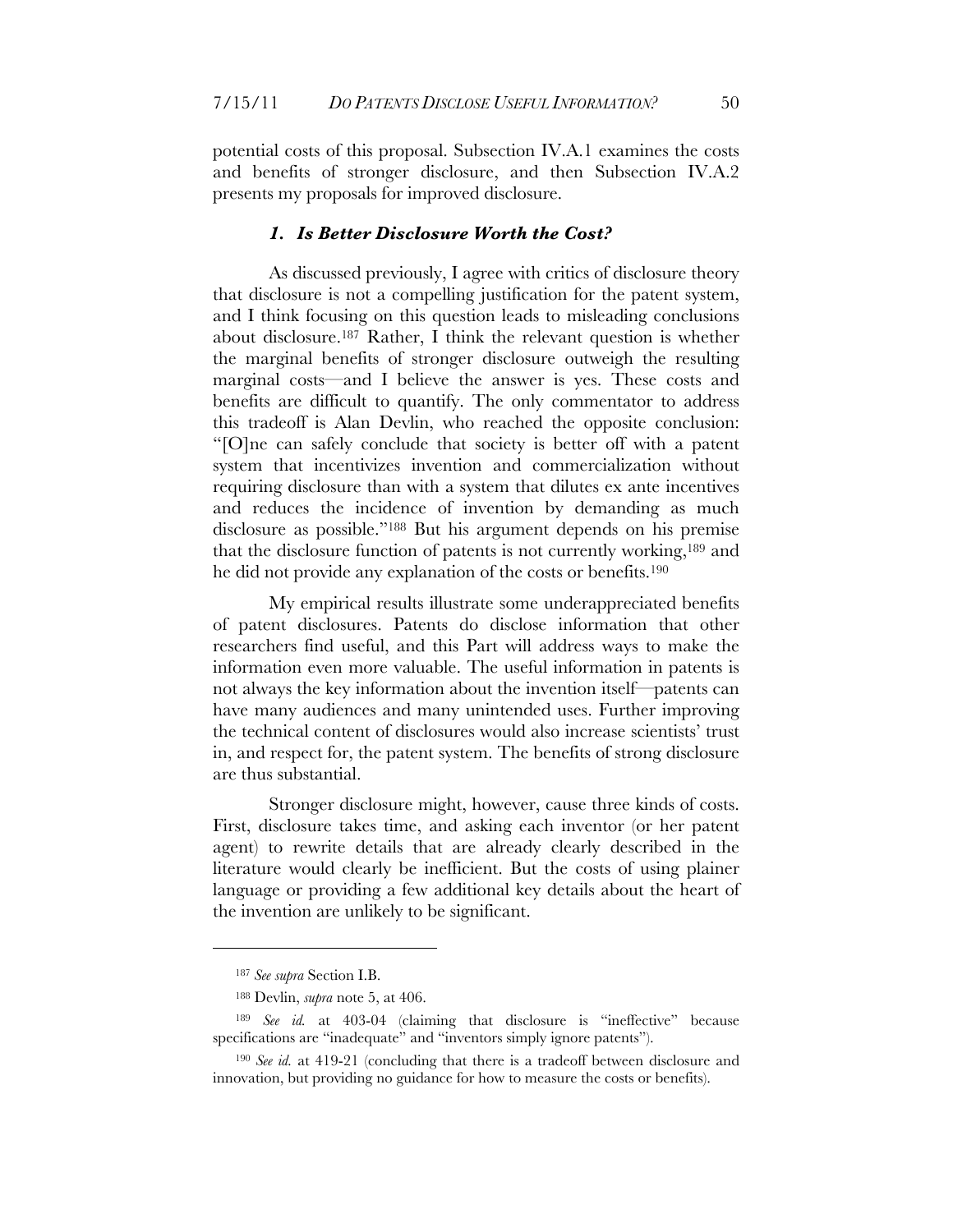potential costs of this proposal. Subsection IV.A.1 examines the costs and benefits of stronger disclosure, and then Subsection IV.A.2 presents my proposals for improved disclosure.

#### *1. Is Better Disclosure Worth the Cost?*

As discussed previously, I agree with critics of disclosure theory that disclosure is not a compelling justification for the patent system, and I think focusing on this question leads to misleading conclusions about disclosure. 187 Rather, I think the relevant question is whether the marginal benefits of stronger disclosure outweigh the resulting marginal costs—and I believe the answer is yes. These costs and benefits are difficult to quantify. The only commentator to address this tradeoff is Alan Devlin, who reached the opposite conclusion: "[O]ne can safely conclude that society is better off with a patent system that incentivizes invention and commercialization without requiring disclosure than with a system that dilutes ex ante incentives and reduces the incidence of invention by demanding as much disclosure as possible."188 But his argument depends on his premise that the disclosure function of patents is not currently working,189 and he did not provide any explanation of the costs or benefits.190

My empirical results illustrate some underappreciated benefits of patent disclosures. Patents do disclose information that other researchers find useful, and this Part will address ways to make the information even more valuable. The useful information in patents is not always the key information about the invention itself—patents can have many audiences and many unintended uses. Further improving the technical content of disclosures would also increase scientists' trust in, and respect for, the patent system. The benefits of strong disclosure are thus substantial.

Stronger disclosure might, however, cause three kinds of costs. First, disclosure takes time, and asking each inventor (or her patent agent) to rewrite details that are already clearly described in the literature would clearly be inefficient. But the costs of using plainer language or providing a few additional key details about the heart of the invention are unlikely to be significant.

<sup>187</sup> *See supra* Section I.B.

<sup>188</sup> Devlin, *supra* note 5, at 406.

<sup>189</sup> *See id.* at 403-04 (claiming that disclosure is "ineffective" because specifications are "inadequate" and "inventors simply ignore patents").

<sup>190</sup> *See id.* at 419-21 (concluding that there is a tradeoff between disclosure and innovation, but providing no guidance for how to measure the costs or benefits).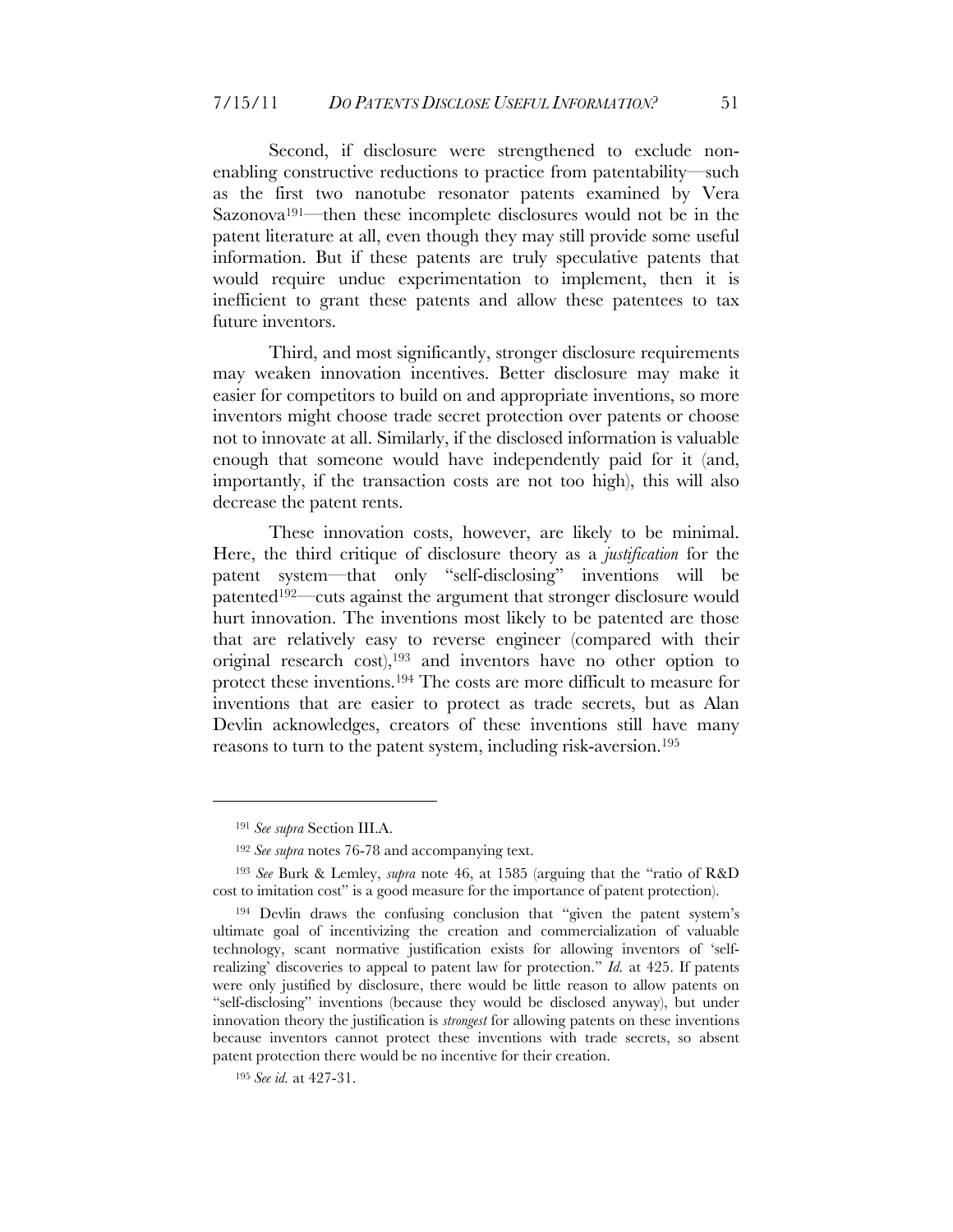Second, if disclosure were strengthened to exclude nonenabling constructive reductions to practice from patentability—such as the first two nanotube resonator patents examined by Vera Sazonova191—then these incomplete disclosures would not be in the patent literature at all, even though they may still provide some useful information. But if these patents are truly speculative patents that would require undue experimentation to implement, then it is inefficient to grant these patents and allow these patentees to tax future inventors.

Third, and most significantly, stronger disclosure requirements may weaken innovation incentives. Better disclosure may make it easier for competitors to build on and appropriate inventions, so more inventors might choose trade secret protection over patents or choose not to innovate at all. Similarly, if the disclosed information is valuable enough that someone would have independently paid for it (and, importantly, if the transaction costs are not too high), this will also decrease the patent rents.

These innovation costs, however, are likely to be minimal. Here, the third critique of disclosure theory as a *justification* for the patent system—that only "self-disclosing" inventions will be patented192—cuts against the argument that stronger disclosure would hurt innovation. The inventions most likely to be patented are those that are relatively easy to reverse engineer (compared with their original research cost),193 and inventors have no other option to protect these inventions.194 The costs are more difficult to measure for inventions that are easier to protect as trade secrets, but as Alan Devlin acknowledges, creators of these inventions still have many reasons to turn to the patent system, including risk-aversion. 195

<sup>191</sup> *See supra* Section III.A.

<sup>192</sup> *See supra* notes 76-78 and accompanying text.

<sup>193</sup> *See* Burk & Lemley, *supra* note 46, at 1585 (arguing that the "ratio of R&D cost to imitation cost" is a good measure for the importance of patent protection).

<sup>194</sup> Devlin draws the confusing conclusion that "given the patent system's ultimate goal of incentivizing the creation and commercialization of valuable technology, scant normative justification exists for allowing inventors of 'selfrealizing' discoveries to appeal to patent law for protection." *Id.* at 425. If patents were only justified by disclosure, there would be little reason to allow patents on "self-disclosing" inventions (because they would be disclosed anyway), but under innovation theory the justification is *strongest* for allowing patents on these inventions because inventors cannot protect these inventions with trade secrets, so absent patent protection there would be no incentive for their creation.

<sup>195</sup> *See id.* at 427-31.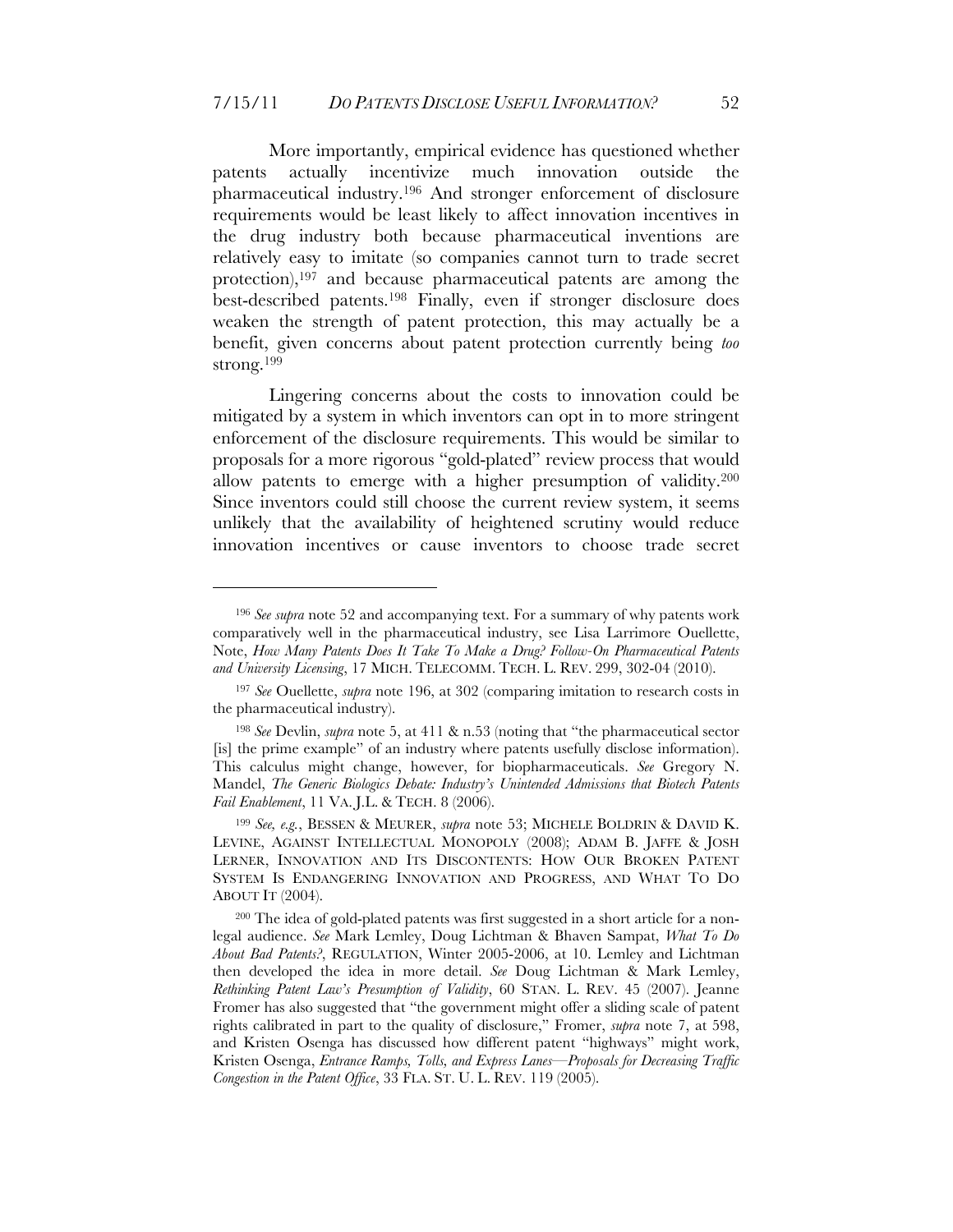More importantly, empirical evidence has questioned whether patents actually incentivize much innovation outside the pharmaceutical industry.196 And stronger enforcement of disclosure requirements would be least likely to affect innovation incentives in the drug industry both because pharmaceutical inventions are relatively easy to imitate (so companies cannot turn to trade secret protection), 197 and because pharmaceutical patents are among the best-described patents.198 Finally, even if stronger disclosure does weaken the strength of patent protection, this may actually be a benefit, given concerns about patent protection currently being *too* strong. 199

Lingering concerns about the costs to innovation could be mitigated by a system in which inventors can opt in to more stringent enforcement of the disclosure requirements. This would be similar to proposals for a more rigorous "gold-plated" review process that would allow patents to emerge with a higher presumption of validity.200 Since inventors could still choose the current review system, it seems unlikely that the availability of heightened scrutiny would reduce innovation incentives or cause inventors to choose trade secret

<sup>196</sup> *See supra* note 52 and accompanying text. For a summary of why patents work comparatively well in the pharmaceutical industry, see Lisa Larrimore Ouellette, Note, *How Many Patents Does It Take To Make a Drug? Follow-On Pharmaceutical Patents and University Licensing*, 17 MICH. TELECOMM. TECH. L. REV. 299, 302-04 (2010).

<sup>197</sup> *See* Ouellette, *supra* note 196, at 302 (comparing imitation to research costs in the pharmaceutical industry).

<sup>198</sup> *See* Devlin, *supra* note 5, at 411 & n.53 (noting that "the pharmaceutical sector [is] the prime example" of an industry where patents usefully disclose information). This calculus might change, however, for biopharmaceuticals. *See* Gregory N. Mandel, *The Generic Biologics Debate: Industry's Unintended Admissions that Biotech Patents Fail Enablement*, 11 VA. J.L. & TECH. 8 (2006).

<sup>199</sup> *See, e.g.*, BESSEN & MEURER, *supra* note 53; MICHELE BOLDRIN & DAVID K. LEVINE, AGAINST INTELLECTUAL MONOPOLY (2008); ADAM B. JAFFE & JOSH LERNER, INNOVATION AND ITS DISCONTENTS: HOW OUR BROKEN PATENT SYSTEM IS ENDANGERING INNOVATION AND PROGRESS, AND WHAT TO DO ABOUT IT (2004).

<sup>200</sup> The idea of gold-plated patents was first suggested in a short article for a nonlegal audience. *See* Mark Lemley, Doug Lichtman & Bhaven Sampat, *What To Do About Bad Patents?*, REGULATION, Winter 2005-2006, at 10. Lemley and Lichtman then developed the idea in more detail. *See* Doug Lichtman & Mark Lemley, *Rethinking Patent Law's Presumption of Validity*, 60 STAN. L. REV. 45 (2007). Jeanne Fromer has also suggested that "the government might offer a sliding scale of patent rights calibrated in part to the quality of disclosure," Fromer, *supra* note 7, at 598, and Kristen Osenga has discussed how different patent "highways" might work, Kristen Osenga, *Entrance Ramps, Tolls, and Express Lanes—Proposals for Decreasing Traffic Congestion in the Patent Office*, 33 FLA. ST. U. L. REV. 119 (2005).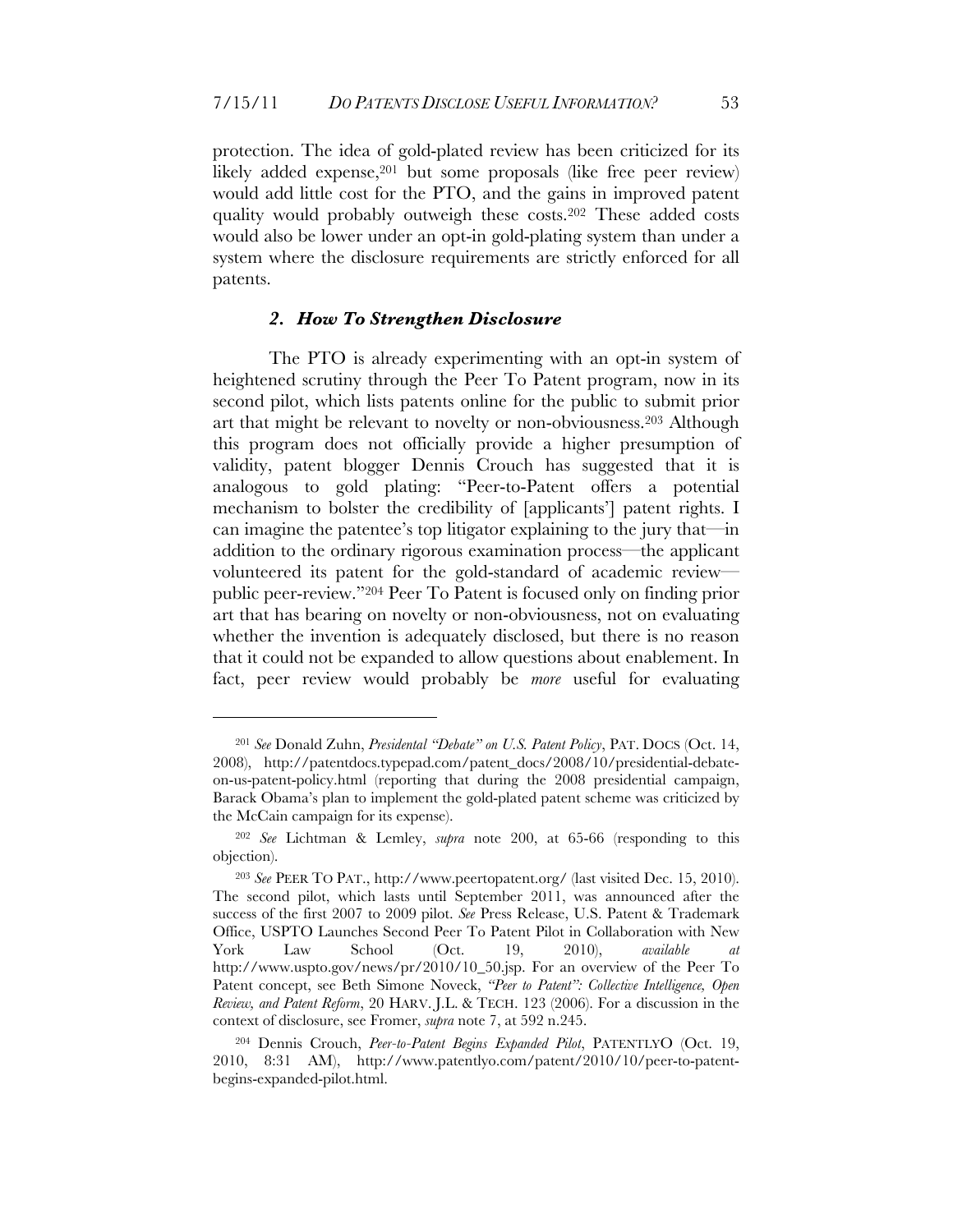protection. The idea of gold-plated review has been criticized for its likely added expense,<sup>201</sup> but some proposals (like free peer review) would add little cost for the PTO, and the gains in improved patent quality would probably outweigh these costs.202 These added costs would also be lower under an opt-in gold-plating system than under a system where the disclosure requirements are strictly enforced for all patents.

#### *2. How To Strengthen Disclosure*

The PTO is already experimenting with an opt-in system of heightened scrutiny through the Peer To Patent program, now in its second pilot, which lists patents online for the public to submit prior art that might be relevant to novelty or non-obviousness.203 Although this program does not officially provide a higher presumption of validity, patent blogger Dennis Crouch has suggested that it is analogous to gold plating: "Peer-to-Patent offers a potential mechanism to bolster the credibility of [applicants'] patent rights. I can imagine the patentee's top litigator explaining to the jury that—in addition to the ordinary rigorous examination process—the applicant volunteered its patent for the gold-standard of academic review public peer-review."204 Peer To Patent is focused only on finding prior art that has bearing on novelty or non-obviousness, not on evaluating whether the invention is adequately disclosed, but there is no reason that it could not be expanded to allow questions about enablement. In fact, peer review would probably be *more* useful for evaluating

<sup>201</sup> *See* Donald Zuhn, *Presidental "Debate" on U.S. Patent Policy*, PAT. DOCS (Oct. 14, 2008), http://patentdocs.typepad.com/patent\_docs/2008/10/presidential-debateon-us-patent-policy.html (reporting that during the 2008 presidential campaign, Barack Obama's plan to implement the gold-plated patent scheme was criticized by the McCain campaign for its expense).

<sup>202</sup> *See* Lichtman & Lemley, *supra* note 200, at 65-66 (responding to this objection).

<sup>203</sup> *See* PEER TO PAT., http://www.peertopatent.org/ (last visited Dec. 15, 2010). The second pilot, which lasts until September 2011, was announced after the success of the first 2007 to 2009 pilot. *See* Press Release, U.S. Patent & Trademark Office, USPTO Launches Second Peer To Patent Pilot in Collaboration with New York Law School (Oct. 19, 2010), *available at*  http://www.uspto.gov/news/pr/2010/10\_50.jsp. For an overview of the Peer To Patent concept, see Beth Simone Noveck, *"Peer to Patent": Collective Intelligence, Open Review, and Patent Reform*, 20 HARV. J.L. & TECH. 123 (2006). For a discussion in the context of disclosure, see Fromer, *supra* note 7, at 592 n.245.

<sup>204</sup> Dennis Crouch, *Peer-to-Patent Begins Expanded Pilot*, PATENTLYO (Oct. 19, 2010, 8:31 AM), http://www.patentlyo.com/patent/2010/10/peer-to-patentbegins-expanded-pilot.html.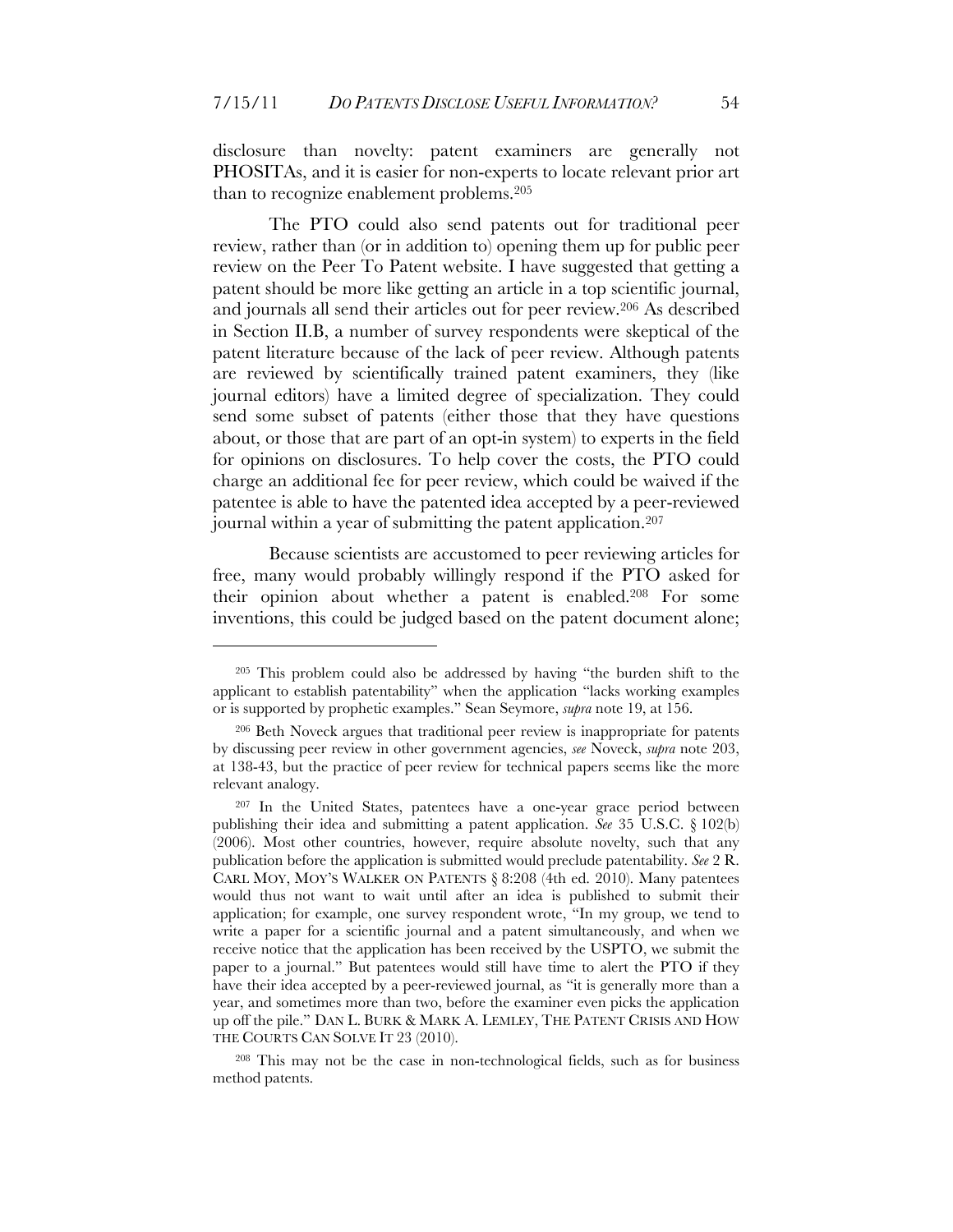disclosure than novelty: patent examiners are generally not PHOSITAs, and it is easier for non-experts to locate relevant prior art than to recognize enablement problems.205

The PTO could also send patents out for traditional peer review, rather than (or in addition to) opening them up for public peer review on the Peer To Patent website. I have suggested that getting a patent should be more like getting an article in a top scientific journal, and journals all send their articles out for peer review.206 As described in Section II.B, a number of survey respondents were skeptical of the patent literature because of the lack of peer review. Although patents are reviewed by scientifically trained patent examiners, they (like journal editors) have a limited degree of specialization. They could send some subset of patents (either those that they have questions about, or those that are part of an opt-in system) to experts in the field for opinions on disclosures. To help cover the costs, the PTO could charge an additional fee for peer review, which could be waived if the patentee is able to have the patented idea accepted by a peer-reviewed journal within a year of submitting the patent application.207

Because scientists are accustomed to peer reviewing articles for free, many would probably willingly respond if the PTO asked for their opinion about whether a patent is enabled.208 For some inventions, this could be judged based on the patent document alone;

 $\overline{a}$ 

208 This may not be the case in non-technological fields, such as for business method patents.

<sup>205</sup> This problem could also be addressed by having "the burden shift to the applicant to establish patentability" when the application "lacks working examples or is supported by prophetic examples." Sean Seymore, *supra* note 19, at 156.

<sup>206</sup> Beth Noveck argues that traditional peer review is inappropriate for patents by discussing peer review in other government agencies, *see* Noveck, *supra* note 203, at 138-43, but the practice of peer review for technical papers seems like the more relevant analogy.

<sup>207</sup> In the United States, patentees have a one-year grace period between publishing their idea and submitting a patent application. *See* 35 U.S.C. § 102(b) (2006). Most other countries, however, require absolute novelty, such that any publication before the application is submitted would preclude patentability. *See* 2 R. CARL MOY, MOY'S WALKER ON PATENTS § 8:208 (4th ed. 2010). Many patentees would thus not want to wait until after an idea is published to submit their application; for example, one survey respondent wrote, "In my group, we tend to write a paper for a scientific journal and a patent simultaneously, and when we receive notice that the application has been received by the USPTO, we submit the paper to a journal." But patentees would still have time to alert the PTO if they have their idea accepted by a peer-reviewed journal, as "it is generally more than a year, and sometimes more than two, before the examiner even picks the application up off the pile." DAN L. BURK & MARK A. LEMLEY, THE PATENT CRISIS AND HOW THE COURTS CAN SOLVE IT 23 (2010).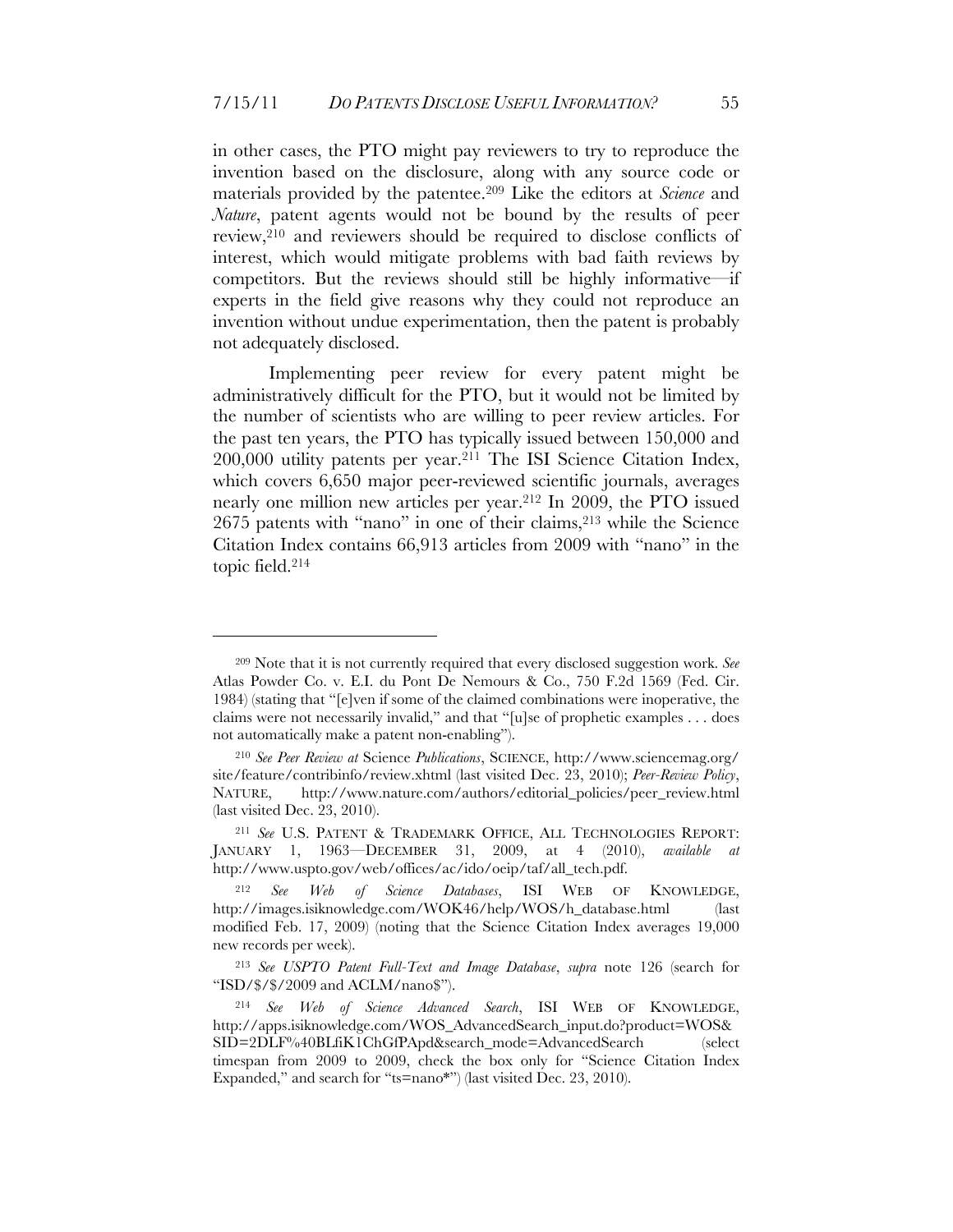in other cases, the PTO might pay reviewers to try to reproduce the invention based on the disclosure, along with any source code or materials provided by the patentee.209 Like the editors at *Science* and *Nature*, patent agents would not be bound by the results of peer review,210 and reviewers should be required to disclose conflicts of interest, which would mitigate problems with bad faith reviews by competitors. But the reviews should still be highly informative—if experts in the field give reasons why they could not reproduce an invention without undue experimentation, then the patent is probably not adequately disclosed.

Implementing peer review for every patent might be administratively difficult for the PTO, but it would not be limited by the number of scientists who are willing to peer review articles. For the past ten years, the PTO has typically issued between 150,000 and 200,000 utility patents per year.211 The ISI Science Citation Index, which covers 6,650 major peer-reviewed scientific journals, averages nearly one million new articles per year.212 In 2009, the PTO issued 2675 patents with "nano" in one of their claims,213 while the Science Citation Index contains 66,913 articles from 2009 with "nano" in the topic field.214

<sup>209</sup> Note that it is not currently required that every disclosed suggestion work. *See* Atlas Powder Co. v. E.I. du Pont De Nemours & Co., 750 F.2d 1569 (Fed. Cir. 1984) (stating that "[e]ven if some of the claimed combinations were inoperative, the claims were not necessarily invalid," and that "[u]se of prophetic examples . . . does not automatically make a patent non-enabling").

<sup>210</sup> *See Peer Review at* Science *Publications*, SCIENCE, http://www.sciencemag.org/ site/feature/contribinfo/review.xhtml (last visited Dec. 23, 2010); *Peer-Review Policy*, NATURE, http://www.nature.com/authors/editorial\_policies/peer\_review.html (last visited Dec. 23, 2010).

<sup>211</sup> *See* U.S. PATENT & TRADEMARK OFFICE, ALL TECHNOLOGIES REPORT: JANUARY 1, 1963—DECEMBER 31, 2009, at 4 (2010), *available at* http://www.uspto.gov/web/offices/ac/ido/oeip/taf/all\_tech.pdf.

<sup>212</sup> *See Web of Science Databases*, ISI WEB OF KNOWLEDGE, http://images.isiknowledge.com/WOK46/help/WOS/h\_database.html (last modified Feb. 17, 2009) (noting that the Science Citation Index averages 19,000 new records per week).

<sup>213</sup> *See USPTO Patent Full-Text and Image Database*, *supra* note 126 (search for "ISD/\$/\$/2009 and ACLM/nano\$").

<sup>214</sup> *See Web of Science Advanced Search*, ISI WEB OF KNOWLEDGE, http://apps.isiknowledge.com/WOS\_AdvancedSearch\_input.do?product=WOS& SID=2DLF%40BLfiK1ChGfPApd&search\_mode=AdvancedSearch (select timespan from 2009 to 2009, check the box only for "Science Citation Index Expanded," and search for "ts=nano\*") (last visited Dec. 23, 2010).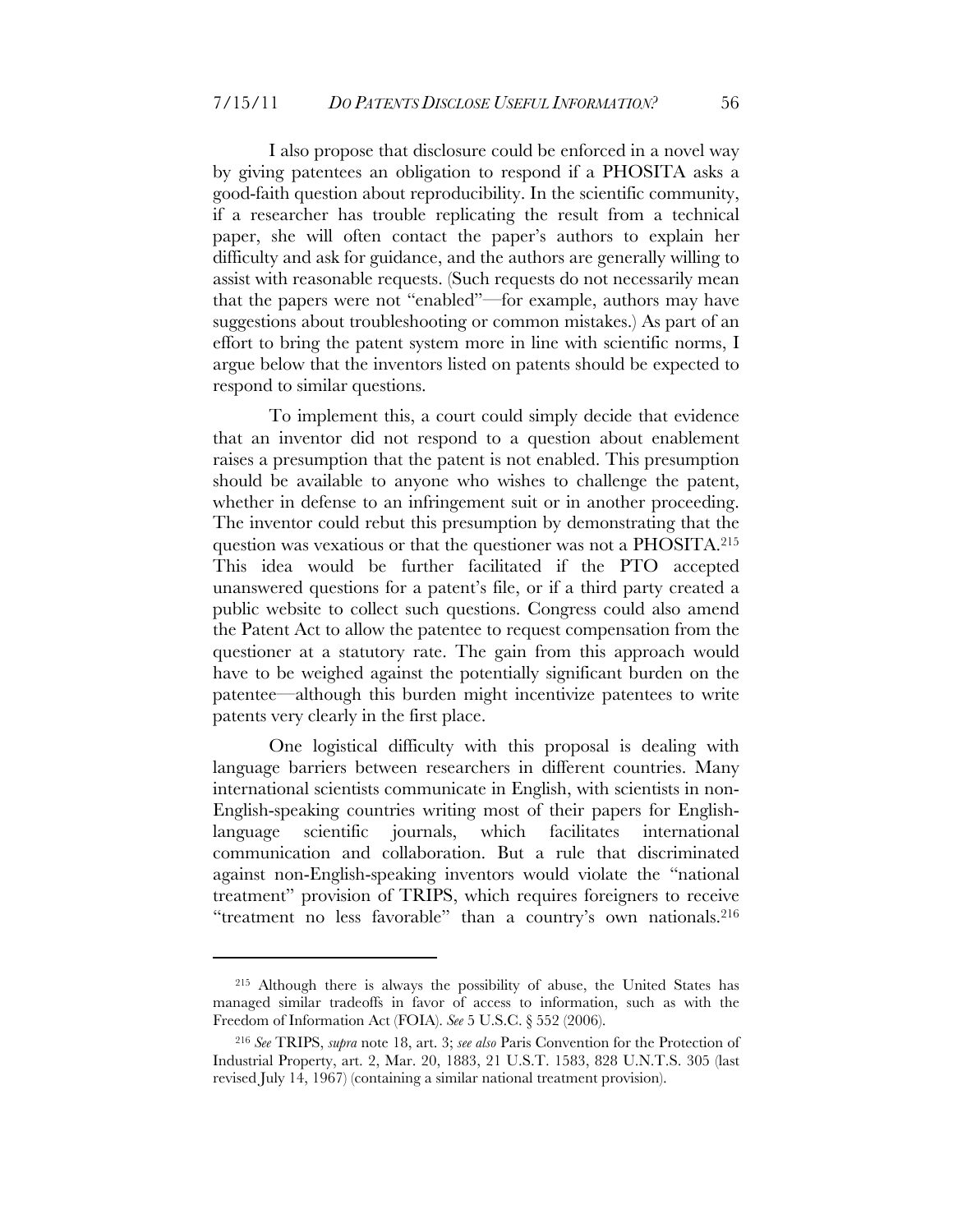I also propose that disclosure could be enforced in a novel way by giving patentees an obligation to respond if a PHOSITA asks a good-faith question about reproducibility. In the scientific community, if a researcher has trouble replicating the result from a technical paper, she will often contact the paper's authors to explain her difficulty and ask for guidance, and the authors are generally willing to assist with reasonable requests. (Such requests do not necessarily mean that the papers were not "enabled"—for example, authors may have suggestions about troubleshooting or common mistakes.) As part of an effort to bring the patent system more in line with scientific norms, I argue below that the inventors listed on patents should be expected to respond to similar questions.

To implement this, a court could simply decide that evidence that an inventor did not respond to a question about enablement raises a presumption that the patent is not enabled. This presumption should be available to anyone who wishes to challenge the patent, whether in defense to an infringement suit or in another proceeding. The inventor could rebut this presumption by demonstrating that the question was vexatious or that the questioner was not a PHOSITA.215 This idea would be further facilitated if the PTO accepted unanswered questions for a patent's file, or if a third party created a public website to collect such questions. Congress could also amend the Patent Act to allow the patentee to request compensation from the questioner at a statutory rate. The gain from this approach would have to be weighed against the potentially significant burden on the patentee—although this burden might incentivize patentees to write patents very clearly in the first place.

One logistical difficulty with this proposal is dealing with language barriers between researchers in different countries. Many international scientists communicate in English, with scientists in non-English-speaking countries writing most of their papers for Englishlanguage scientific journals, which facilitates international communication and collaboration. But a rule that discriminated against non-English-speaking inventors would violate the "national treatment" provision of TRIPS, which requires foreigners to receive "treatment no less favorable" than a country's own nationals.216

<sup>215</sup> Although there is always the possibility of abuse, the United States has managed similar tradeoffs in favor of access to information, such as with the Freedom of Information Act (FOIA). *See* 5 U.S.C. § 552 (2006).

<sup>216</sup> *See* TRIPS, *supra* note 18, art. 3; *see also* Paris Convention for the Protection of Industrial Property, art. 2, Mar. 20, 1883, 21 U.S.T. 1583, 828 U.N.T.S. 305 (last revised July 14, 1967) (containing a similar national treatment provision).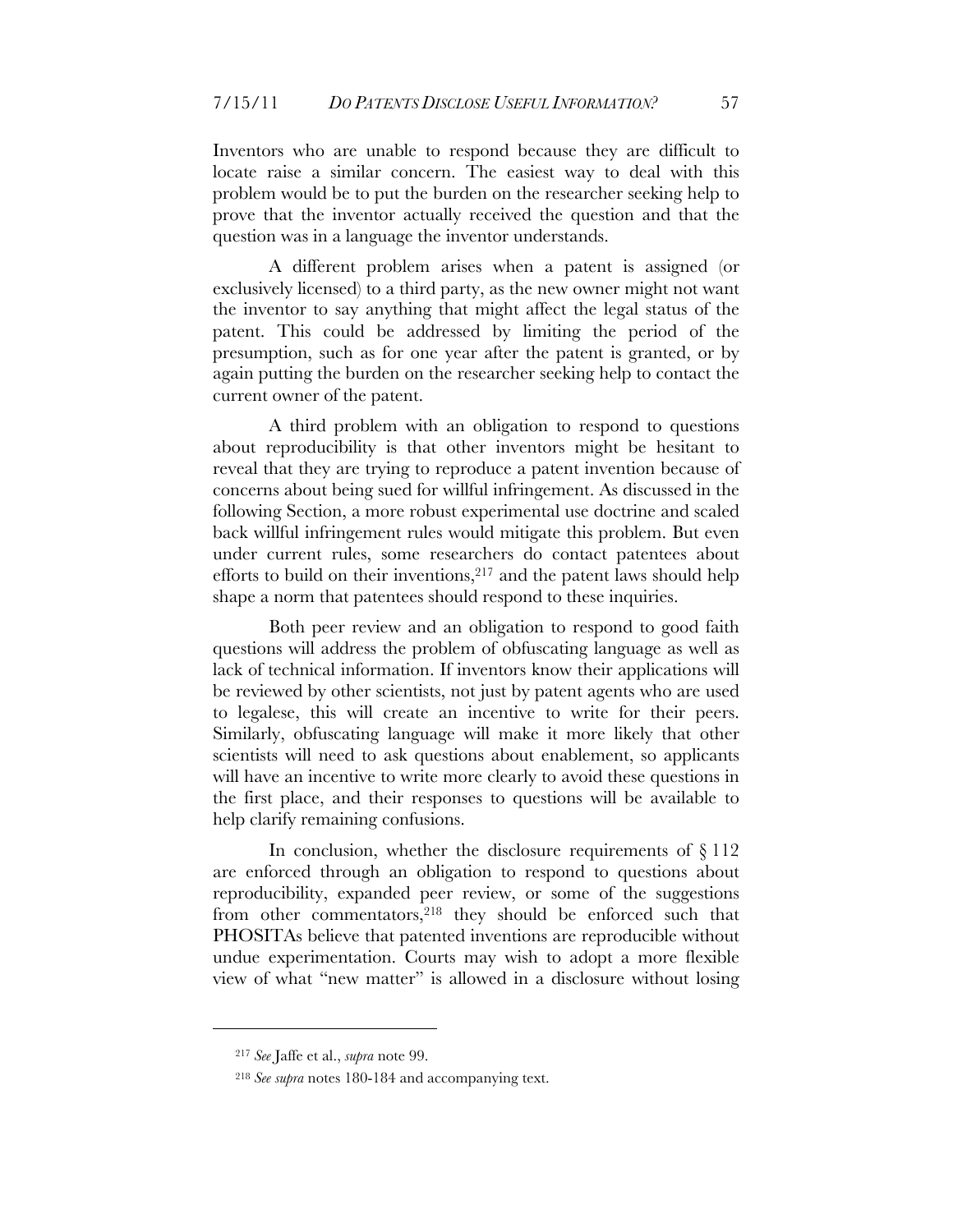Inventors who are unable to respond because they are difficult to locate raise a similar concern. The easiest way to deal with this problem would be to put the burden on the researcher seeking help to prove that the inventor actually received the question and that the question was in a language the inventor understands.

A different problem arises when a patent is assigned (or exclusively licensed) to a third party, as the new owner might not want the inventor to say anything that might affect the legal status of the patent. This could be addressed by limiting the period of the presumption, such as for one year after the patent is granted, or by again putting the burden on the researcher seeking help to contact the current owner of the patent.

A third problem with an obligation to respond to questions about reproducibility is that other inventors might be hesitant to reveal that they are trying to reproduce a patent invention because of concerns about being sued for willful infringement. As discussed in the following Section, a more robust experimental use doctrine and scaled back willful infringement rules would mitigate this problem. But even under current rules, some researchers do contact patentees about efforts to build on their inventions, $217$  and the patent laws should help shape a norm that patentees should respond to these inquiries.

Both peer review and an obligation to respond to good faith questions will address the problem of obfuscating language as well as lack of technical information. If inventors know their applications will be reviewed by other scientists, not just by patent agents who are used to legalese, this will create an incentive to write for their peers. Similarly, obfuscating language will make it more likely that other scientists will need to ask questions about enablement, so applicants will have an incentive to write more clearly to avoid these questions in the first place, and their responses to questions will be available to help clarify remaining confusions.

In conclusion, whether the disclosure requirements of  $\S 112$ are enforced through an obligation to respond to questions about reproducibility, expanded peer review, or some of the suggestions from other commentators,<sup>218</sup> they should be enforced such that PHOSITAs believe that patented inventions are reproducible without undue experimentation. Courts may wish to adopt a more flexible view of what "new matter" is allowed in a disclosure without losing

<sup>217</sup> *See* Jaffe et al., *supra* note 99.

<sup>218</sup> *See supra* notes 180-184 and accompanying text.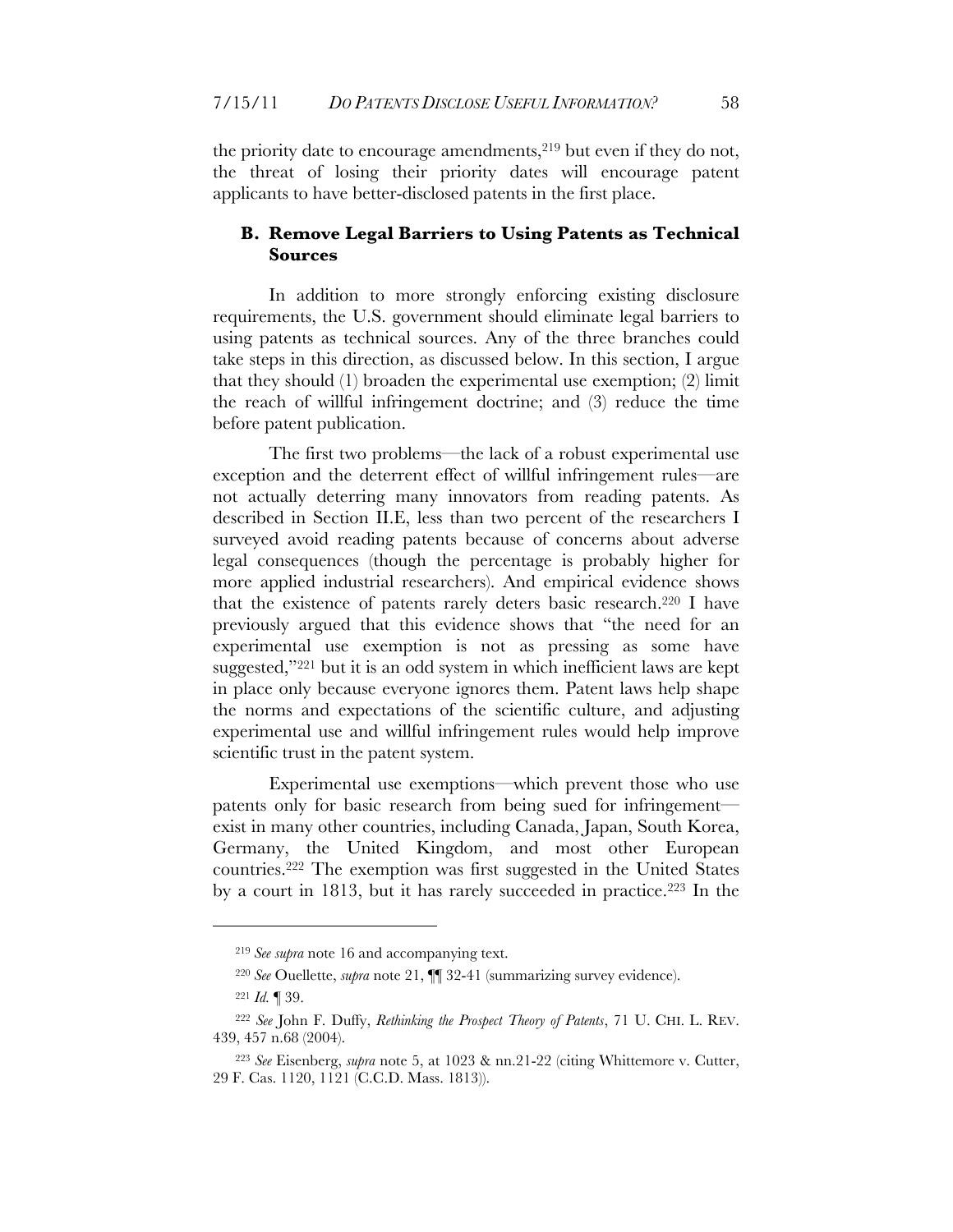the priority date to encourage amendments,<sup>219</sup> but even if they do not, the threat of losing their priority dates will encourage patent applicants to have better-disclosed patents in the first place.

#### **B. Remove Legal Barriers to Using Patents as Technical Sources**

In addition to more strongly enforcing existing disclosure requirements, the U.S. government should eliminate legal barriers to using patents as technical sources. Any of the three branches could take steps in this direction, as discussed below. In this section, I argue that they should (1) broaden the experimental use exemption; (2) limit the reach of willful infringement doctrine; and (3) reduce the time before patent publication.

The first two problems—the lack of a robust experimental use exception and the deterrent effect of willful infringement rules—are not actually deterring many innovators from reading patents. As described in Section II.E, less than two percent of the researchers I surveyed avoid reading patents because of concerns about adverse legal consequences (though the percentage is probably higher for more applied industrial researchers). And empirical evidence shows that the existence of patents rarely deters basic research.220 I have previously argued that this evidence shows that "the need for an experimental use exemption is not as pressing as some have suggested,"221 but it is an odd system in which inefficient laws are kept in place only because everyone ignores them. Patent laws help shape the norms and expectations of the scientific culture, and adjusting experimental use and willful infringement rules would help improve scientific trust in the patent system.

Experimental use exemptions—which prevent those who use patents only for basic research from being sued for infringement exist in many other countries, including Canada, Japan, South Korea, Germany, the United Kingdom, and most other European countries.222 The exemption was first suggested in the United States by a court in 1813, but it has rarely succeeded in practice.223 In the

<sup>219</sup> *See supra* note 16 and accompanying text.

<sup>220</sup> *See* Ouellette, *supra* note 21, ¶¶ 32-41 (summarizing survey evidence).

<sup>221</sup> *Id.* ¶ 39.

<sup>222</sup> *See* John F. Duffy, *Rethinking the Prospect Theory of Patents*, 71 U. CHI. L. REV. 439, 457 n.68 (2004).

<sup>223</sup> *See* Eisenberg, *supra* note 5, at 1023 & nn.21-22 (citing Whittemore v. Cutter, 29 F. Cas. 1120, 1121 (C.C.D. Mass. 1813)).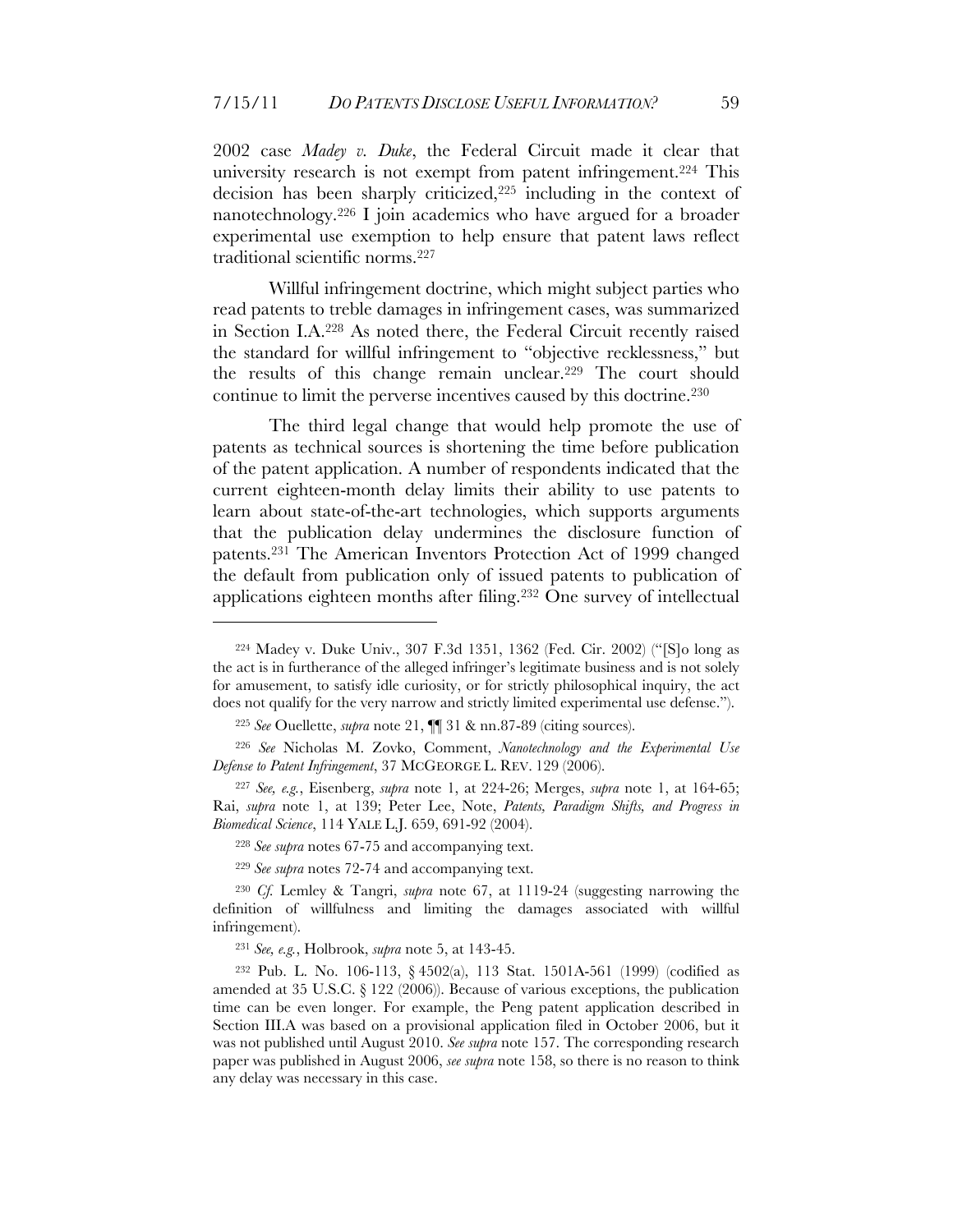2002 case *Madey v. Duke*, the Federal Circuit made it clear that university research is not exempt from patent infringement.224 This decision has been sharply criticized,225 including in the context of nanotechnology.226 I join academics who have argued for a broader experimental use exemption to help ensure that patent laws reflect traditional scientific norms.227

Willful infringement doctrine, which might subject parties who read patents to treble damages in infringement cases, was summarized in Section I.A.228 As noted there, the Federal Circuit recently raised the standard for willful infringement to "objective recklessness," but the results of this change remain unclear.229 The court should continue to limit the perverse incentives caused by this doctrine.230

The third legal change that would help promote the use of patents as technical sources is shortening the time before publication of the patent application. A number of respondents indicated that the current eighteen-month delay limits their ability to use patents to learn about state-of-the-art technologies, which supports arguments that the publication delay undermines the disclosure function of patents.231 The American Inventors Protection Act of 1999 changed the default from publication only of issued patents to publication of applications eighteen months after filing.232 One survey of intellectual

<sup>224</sup> Madey v. Duke Univ., 307 F.3d 1351, 1362 (Fed. Cir. 2002) ("[S]o long as the act is in furtherance of the alleged infringer's legitimate business and is not solely for amusement, to satisfy idle curiosity, or for strictly philosophical inquiry, the act does not qualify for the very narrow and strictly limited experimental use defense.").

<sup>225</sup> *See* Ouellette, *supra* note 21, ¶¶ 31 & nn.87-89 (citing sources).

<sup>226</sup> *See* Nicholas M. Zovko, Comment, *Nanotechnology and the Experimental Use Defense to Patent Infringement*, 37 MCGEORGE L. REV. 129 (2006).

<sup>227</sup> *See, e.g.*, Eisenberg, *supra* note 1, at 224-26; Merges, *supra* note 1, at 164-65; Rai, *supra* note 1, at 139; Peter Lee, Note, *Patents, Paradigm Shifts, and Progress in Biomedical Science*, 114 YALE L.J. 659, 691-92 (2004).

<sup>228</sup> *See supra* notes 67-75 and accompanying text.

<sup>229</sup> *See supra* notes 72-74 and accompanying text.

<sup>230</sup> *Cf.* Lemley & Tangri, *supra* note 67, at 1119-24 (suggesting narrowing the definition of willfulness and limiting the damages associated with willful infringement).

<sup>231</sup> *See, e.g.*, Holbrook, *supra* note 5, at 143-45.

<sup>232</sup> Pub. L. No. 106-113, § 4502(a), 113 Stat. 1501A-561 (1999) (codified as amended at 35 U.S.C. § 122 (2006)). Because of various exceptions, the publication time can be even longer. For example, the Peng patent application described in Section III.A was based on a provisional application filed in October 2006, but it was not published until August 2010. *See supra* note 157. The corresponding research paper was published in August 2006, *see supra* note 158, so there is no reason to think any delay was necessary in this case.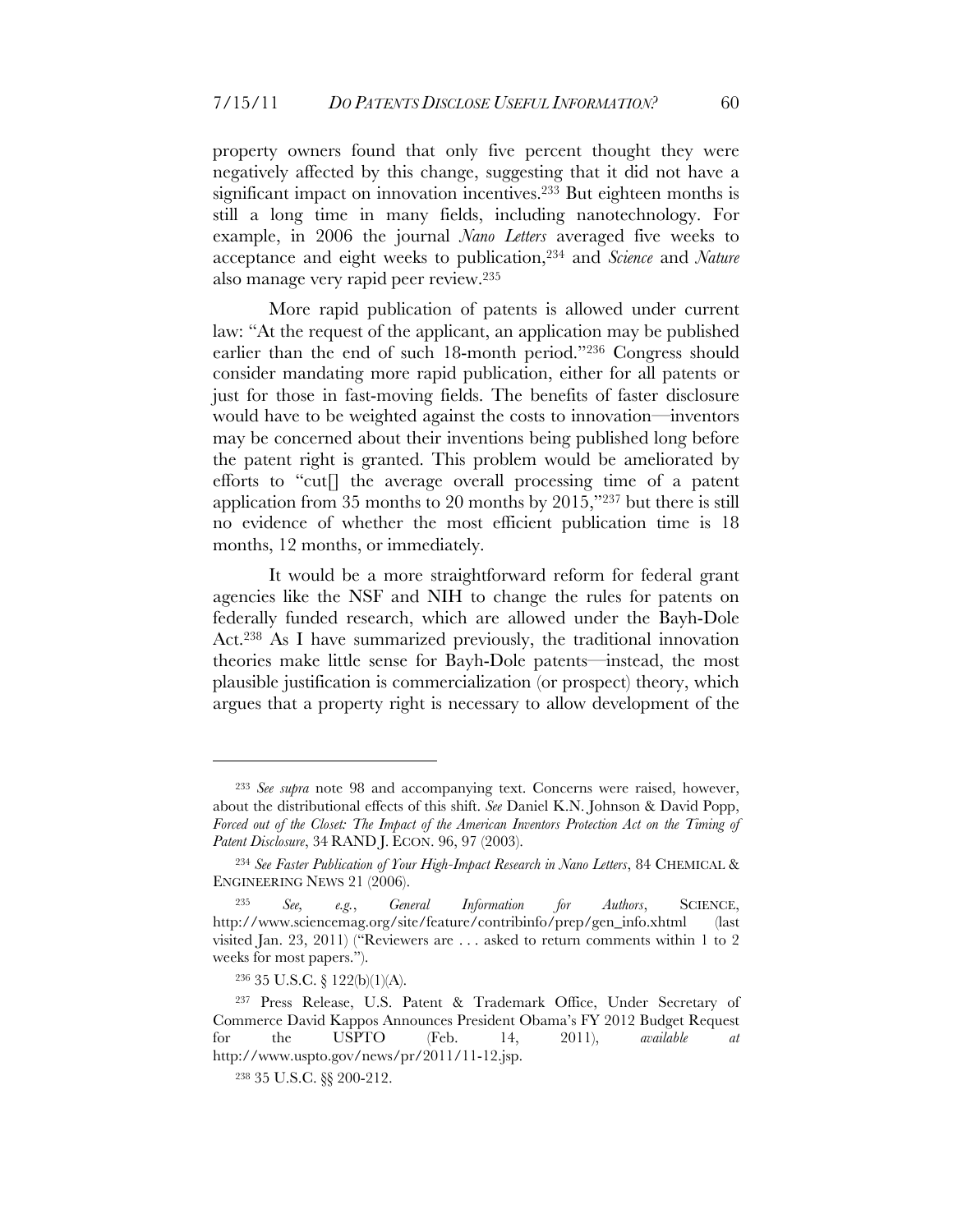property owners found that only five percent thought they were negatively affected by this change, suggesting that it did not have a significant impact on innovation incentives. <sup>233</sup> But eighteen months is still a long time in many fields, including nanotechnology. For example, in 2006 the journal *Nano Letters* averaged five weeks to acceptance and eight weeks to publication,234 and *Science* and *Nature* also manage very rapid peer review.235

More rapid publication of patents is allowed under current law: "At the request of the applicant, an application may be published earlier than the end of such 18-month period."236 Congress should consider mandating more rapid publication, either for all patents or just for those in fast-moving fields. The benefits of faster disclosure would have to be weighted against the costs to innovation—inventors may be concerned about their inventions being published long before the patent right is granted. This problem would be ameliorated by efforts to "cut[] the average overall processing time of a patent application from 35 months to 20 months by 2015,"237 but there is still no evidence of whether the most efficient publication time is 18 months, 12 months, or immediately.

It would be a more straightforward reform for federal grant agencies like the NSF and NIH to change the rules for patents on federally funded research, which are allowed under the Bayh-Dole Act.238 As I have summarized previously, the traditional innovation theories make little sense for Bayh-Dole patents—instead, the most plausible justification is commercialization (or prospect) theory, which argues that a property right is necessary to allow development of the

<sup>233</sup> *See supra* note 98 and accompanying text. Concerns were raised, however, about the distributional effects of this shift. *See* Daniel K.N. Johnson & David Popp, *Forced out of the Closet: The Impact of the American Inventors Protection Act on the Timing of Patent Disclosure*, 34 RAND J. ECON. 96, 97 (2003).

<sup>&</sup>lt;sup>234</sup> See Faster Publication of Your High-Impact Research in Nano Letters, 84 CHEMICAL & ENGINEERING NEWS 21 (2006).

<sup>235</sup> *See, e.g.*, *General Information for Authors*, SCIENCE, http://www.sciencemag.org/site/feature/contribinfo/prep/gen\_info.xhtml (last visited Jan. 23, 2011) ("Reviewers are . . . asked to return comments within 1 to 2 weeks for most papers.").

<sup>236 35</sup> U.S.C. § 122(b)(1)(A).

<sup>237</sup> Press Release, U.S. Patent & Trademark Office, Under Secretary of Commerce David Kappos Announces President Obama's FY 2012 Budget Request for the USPTO (Feb. 14, 2011), *available at* http://www.uspto.gov/news/pr/2011/11-12.jsp.

<sup>238 35</sup> U.S.C. §§ 200-212.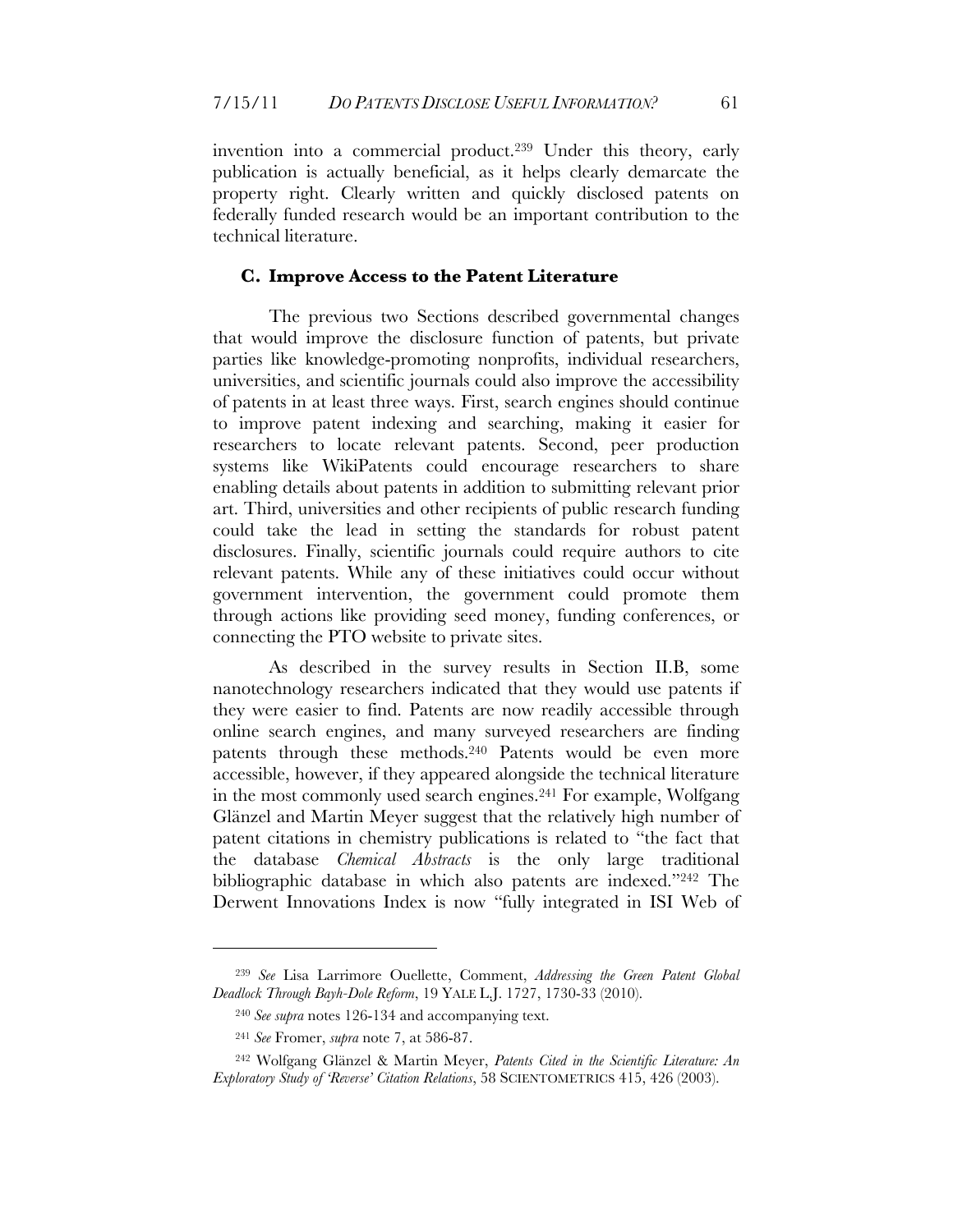invention into a commercial product.239 Under this theory, early publication is actually beneficial, as it helps clearly demarcate the property right. Clearly written and quickly disclosed patents on federally funded research would be an important contribution to the technical literature.

#### **C. Improve Access to the Patent Literature**

The previous two Sections described governmental changes that would improve the disclosure function of patents, but private parties like knowledge-promoting nonprofits, individual researchers, universities, and scientific journals could also improve the accessibility of patents in at least three ways. First, search engines should continue to improve patent indexing and searching, making it easier for researchers to locate relevant patents. Second, peer production systems like WikiPatents could encourage researchers to share enabling details about patents in addition to submitting relevant prior art. Third, universities and other recipients of public research funding could take the lead in setting the standards for robust patent disclosures. Finally, scientific journals could require authors to cite relevant patents. While any of these initiatives could occur without government intervention, the government could promote them through actions like providing seed money, funding conferences, or connecting the PTO website to private sites.

As described in the survey results in Section II.B, some nanotechnology researchers indicated that they would use patents if they were easier to find. Patents are now readily accessible through online search engines, and many surveyed researchers are finding patents through these methods.<sup>240</sup> Patents would be even more accessible, however, if they appeared alongside the technical literature in the most commonly used search engines.241 For example, Wolfgang Glänzel and Martin Meyer suggest that the relatively high number of patent citations in chemistry publications is related to "the fact that the database *Chemical Abstracts* is the only large traditional bibliographic database in which also patents are indexed."242 The Derwent Innovations Index is now "fully integrated in ISI Web of

<sup>239</sup> *See* Lisa Larrimore Ouellette, Comment, *Addressing the Green Patent Global Deadlock Through Bayh-Dole Reform*, 19 YALE L.J. 1727, 1730-33 (2010).

<sup>240</sup> *See supra* notes 126-134 and accompanying text.

<sup>241</sup> *See* Fromer, *supra* note 7, at 586-87.

<sup>242</sup> Wolfgang Glänzel & Martin Meyer, *Patents Cited in the Scientific Literature: An Exploratory Study of 'Reverse' Citation Relations*, 58 SCIENTOMETRICS 415, 426 (2003).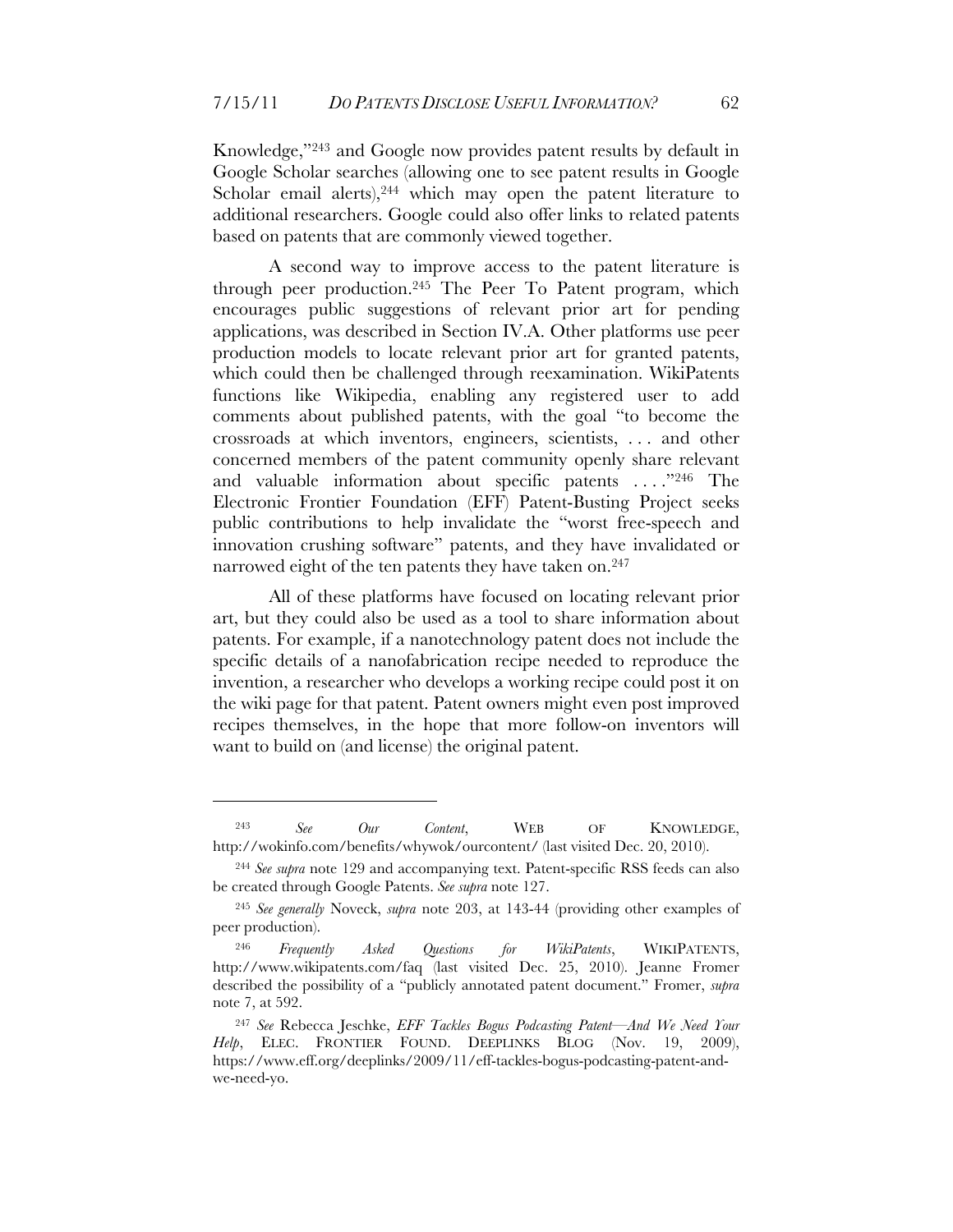Knowledge,"243 and Google now provides patent results by default in Google Scholar searches (allowing one to see patent results in Google Scholar email alerts),<sup>244</sup> which may open the patent literature to additional researchers. Google could also offer links to related patents based on patents that are commonly viewed together.

A second way to improve access to the patent literature is through peer production.245 The Peer To Patent program, which encourages public suggestions of relevant prior art for pending applications, was described in Section IV.A. Other platforms use peer production models to locate relevant prior art for granted patents, which could then be challenged through reexamination. WikiPatents functions like Wikipedia, enabling any registered user to add comments about published patents, with the goal "to become the crossroads at which inventors, engineers, scientists, . . . and other concerned members of the patent community openly share relevant and valuable information about specific patents . . . ."246 The Electronic Frontier Foundation (EFF) Patent-Busting Project seeks public contributions to help invalidate the "worst free-speech and innovation crushing software" patents, and they have invalidated or narrowed eight of the ten patents they have taken on.<sup>247</sup>

All of these platforms have focused on locating relevant prior art, but they could also be used as a tool to share information about patents. For example, if a nanotechnology patent does not include the specific details of a nanofabrication recipe needed to reproduce the invention, a researcher who develops a working recipe could post it on the wiki page for that patent. Patent owners might even post improved recipes themselves, in the hope that more follow-on inventors will want to build on (and license) the original patent.

<sup>243</sup> *See Our Content*, WEB OF KNOWLEDGE, http://wokinfo.com/benefits/whywok/ourcontent/ (last visited Dec. 20, 2010).

<sup>244</sup> *See supra* note 129 and accompanying text. Patent-specific RSS feeds can also be created through Google Patents. *See supra* note 127.

<sup>245</sup> *See generally* Noveck, *supra* note 203, at 143-44 (providing other examples of peer production).

<sup>246</sup> *Frequently Asked Questions for WikiPatents*, WIKIPATENTS, http://www.wikipatents.com/faq (last visited Dec. 25, 2010). Jeanne Fromer described the possibility of a "publicly annotated patent document." Fromer, *supra* note 7, at 592.

<sup>247</sup> *See* Rebecca Jeschke, *EFF Tackles Bogus Podcasting Patent—And We Need Your Help*, ELEC. FRONTIER FOUND. DEEPLINKS BLOG (Nov. 19, 2009), https://www.eff.org/deeplinks/2009/11/eff-tackles-bogus-podcasting-patent-andwe-need-yo.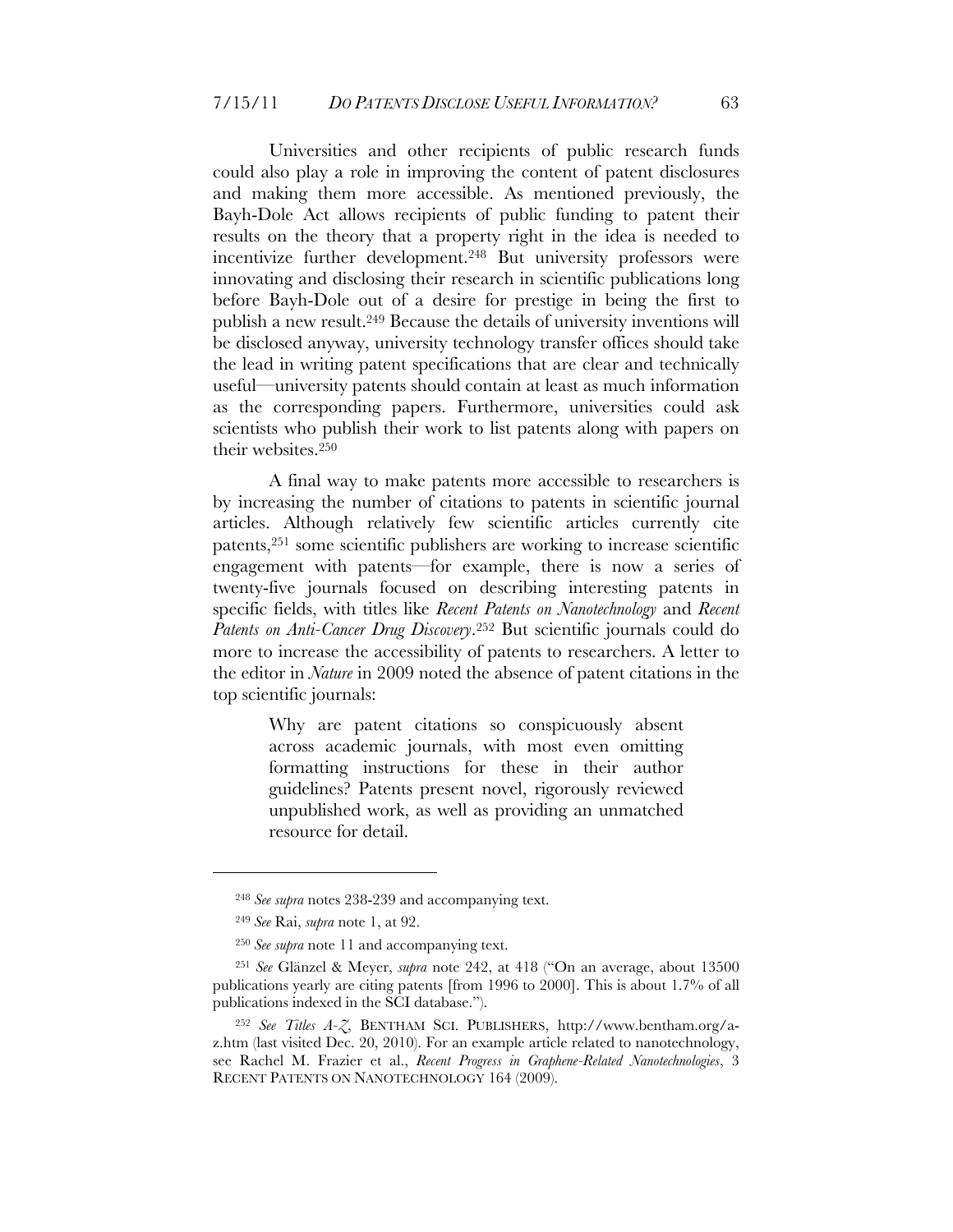Universities and other recipients of public research funds could also play a role in improving the content of patent disclosures and making them more accessible. As mentioned previously, the Bayh-Dole Act allows recipients of public funding to patent their results on the theory that a property right in the idea is needed to incentivize further development.<sup>248</sup> But university professors were innovating and disclosing their research in scientific publications long before Bayh-Dole out of a desire for prestige in being the first to publish a new result.249 Because the details of university inventions will be disclosed anyway, university technology transfer offices should take the lead in writing patent specifications that are clear and technically useful—university patents should contain at least as much information as the corresponding papers. Furthermore, universities could ask scientists who publish their work to list patents along with papers on their websites.250

A final way to make patents more accessible to researchers is by increasing the number of citations to patents in scientific journal articles. Although relatively few scientific articles currently cite patents,251 some scientific publishers are working to increase scientific engagement with patents—for example, there is now a series of twenty-five journals focused on describing interesting patents in specific fields, with titles like *Recent Patents on Nanotechnology* and *Recent Patents on Anti-Cancer Drug Discovery*.252 But scientific journals could do more to increase the accessibility of patents to researchers. A letter to the editor in *Nature* in 2009 noted the absence of patent citations in the top scientific journals:

> Why are patent citations so conspicuously absent across academic journals, with most even omitting formatting instructions for these in their author guidelines? Patents present novel, rigorously reviewed unpublished work, as well as providing an unmatched resource for detail.

<sup>248</sup> *See supra* notes 238-239 and accompanying text.

<sup>249</sup> *See* Rai, *supra* note 1, at 92.

<sup>250</sup> *See supra* note 11 and accompanying text.

<sup>251</sup> *See* Glänzel & Meyer, *supra* note 242, at 418 ("On an average, about 13500 publications yearly are citing patents [from 1996 to 2000]. This is about 1.7% of all publications indexed in the SCI database.").

<sup>252</sup> *See Titles A-Z*, BENTHAM SCI. PUBLISHERS, http://www.bentham.org/az.htm (last visited Dec. 20, 2010). For an example article related to nanotechnology, see Rachel M. Frazier et al., *Recent Progress in Graphene-Related Nanotechnologies*, 3 RECENT PATENTS ON NANOTECHNOLOGY 164 (2009).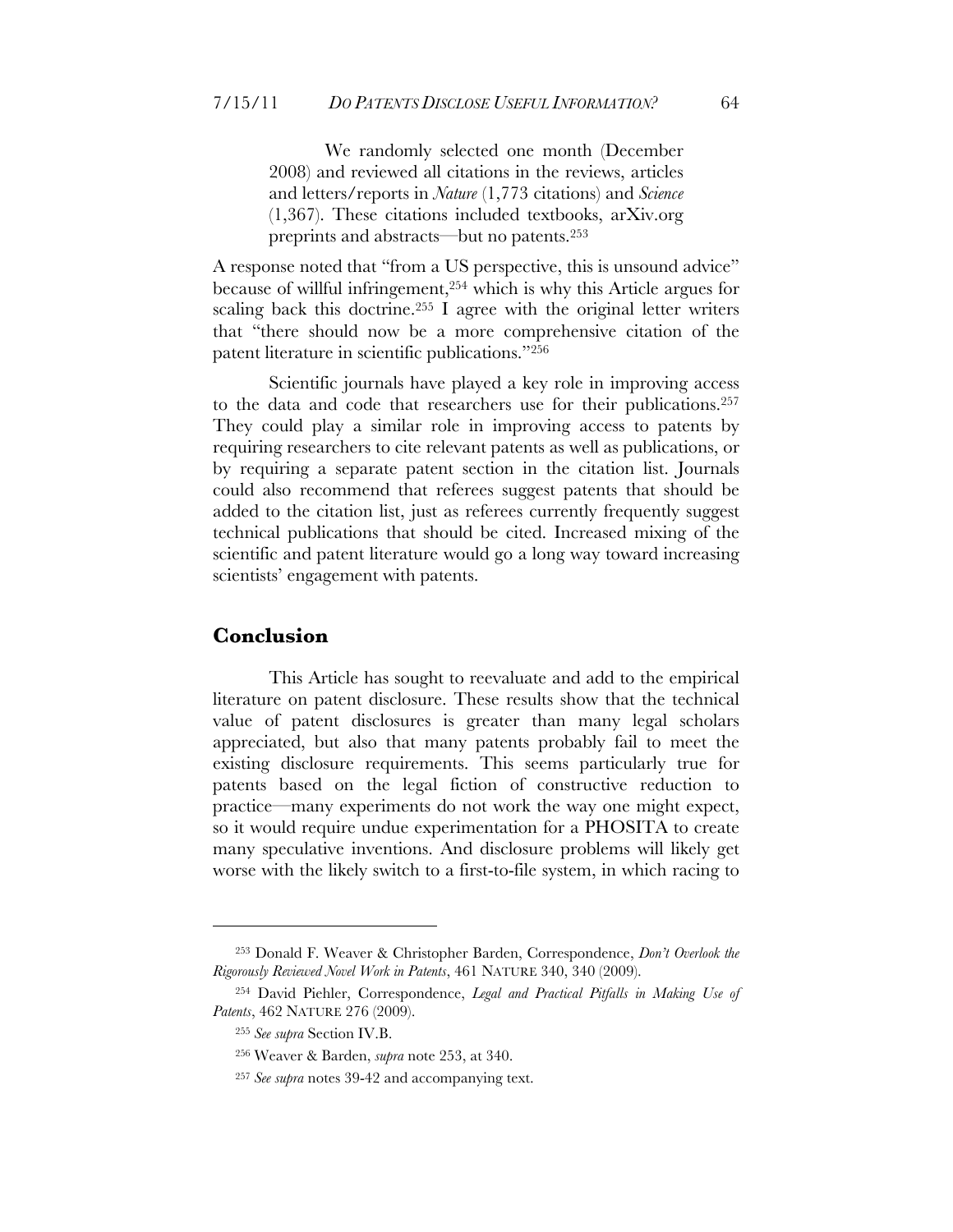We randomly selected one month (December 2008) and reviewed all citations in the reviews, articles and letters/reports in *Nature* (1,773 citations) and *Science* (1,367). These citations included textbooks, arXiv.org preprints and abstracts—but no patents.253

A response noted that "from a US perspective, this is unsound advice" because of willful infringement,254 which is why this Article argues for scaling back this doctrine.<sup>255</sup> I agree with the original letter writers that "there should now be a more comprehensive citation of the patent literature in scientific publications."256

Scientific journals have played a key role in improving access to the data and code that researchers use for their publications.257 They could play a similar role in improving access to patents by requiring researchers to cite relevant patents as well as publications, or by requiring a separate patent section in the citation list. Journals could also recommend that referees suggest patents that should be added to the citation list, just as referees currently frequently suggest technical publications that should be cited. Increased mixing of the scientific and patent literature would go a long way toward increasing scientists' engagement with patents.

#### **Conclusion**

 $\overline{a}$ 

This Article has sought to reevaluate and add to the empirical literature on patent disclosure. These results show that the technical value of patent disclosures is greater than many legal scholars appreciated, but also that many patents probably fail to meet the existing disclosure requirements. This seems particularly true for patents based on the legal fiction of constructive reduction to practice—many experiments do not work the way one might expect, so it would require undue experimentation for a PHOSITA to create many speculative inventions. And disclosure problems will likely get worse with the likely switch to a first-to-file system, in which racing to

<sup>253</sup> Donald F. Weaver & Christopher Barden, Correspondence, *Don't Overlook the Rigorously Reviewed Novel Work in Patents*, 461 NATURE 340, 340 (2009).

<sup>254</sup> David Piehler, Correspondence, *Legal and Practical Pitfalls in Making Use of Patents*, 462 NATURE 276 (2009).

<sup>255</sup> *See supra* Section IV.B.

<sup>256</sup> Weaver & Barden, *supra* note 253, at 340.

<sup>257</sup> *See supra* notes 39-42 and accompanying text.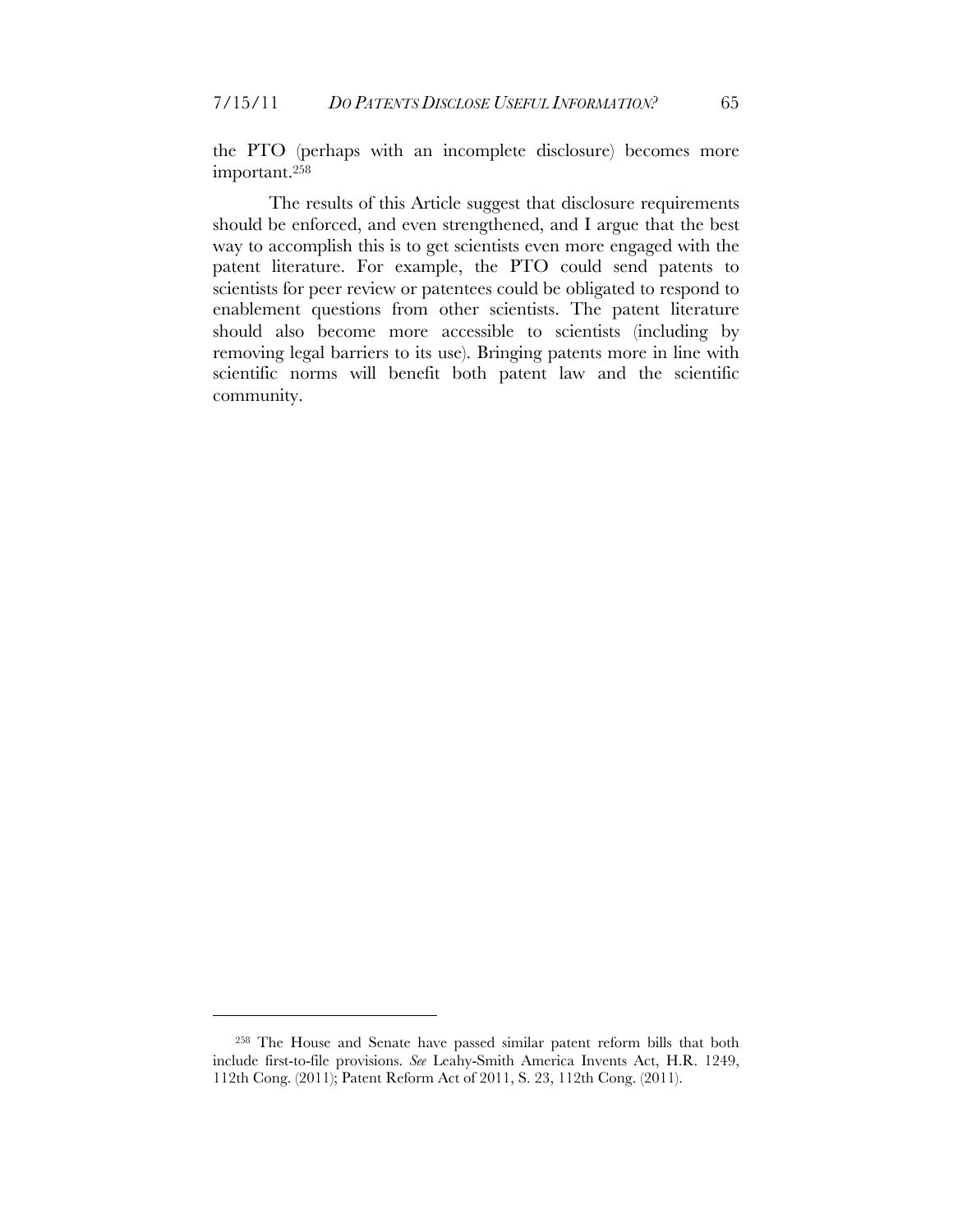the PTO (perhaps with an incomplete disclosure) becomes more important.258

The results of this Article suggest that disclosure requirements should be enforced, and even strengthened, and I argue that the best way to accomplish this is to get scientists even more engaged with the patent literature. For example, the PTO could send patents to scientists for peer review or patentees could be obligated to respond to enablement questions from other scientists. The patent literature should also become more accessible to scientists (including by removing legal barriers to its use). Bringing patents more in line with scientific norms will benefit both patent law and the scientific community.

<sup>258</sup> The House and Senate have passed similar patent reform bills that both include first-to-file provisions. *See* Leahy-Smith America Invents Act, H.R. 1249, 112th Cong. (2011); Patent Reform Act of 2011, S. 23, 112th Cong. (2011).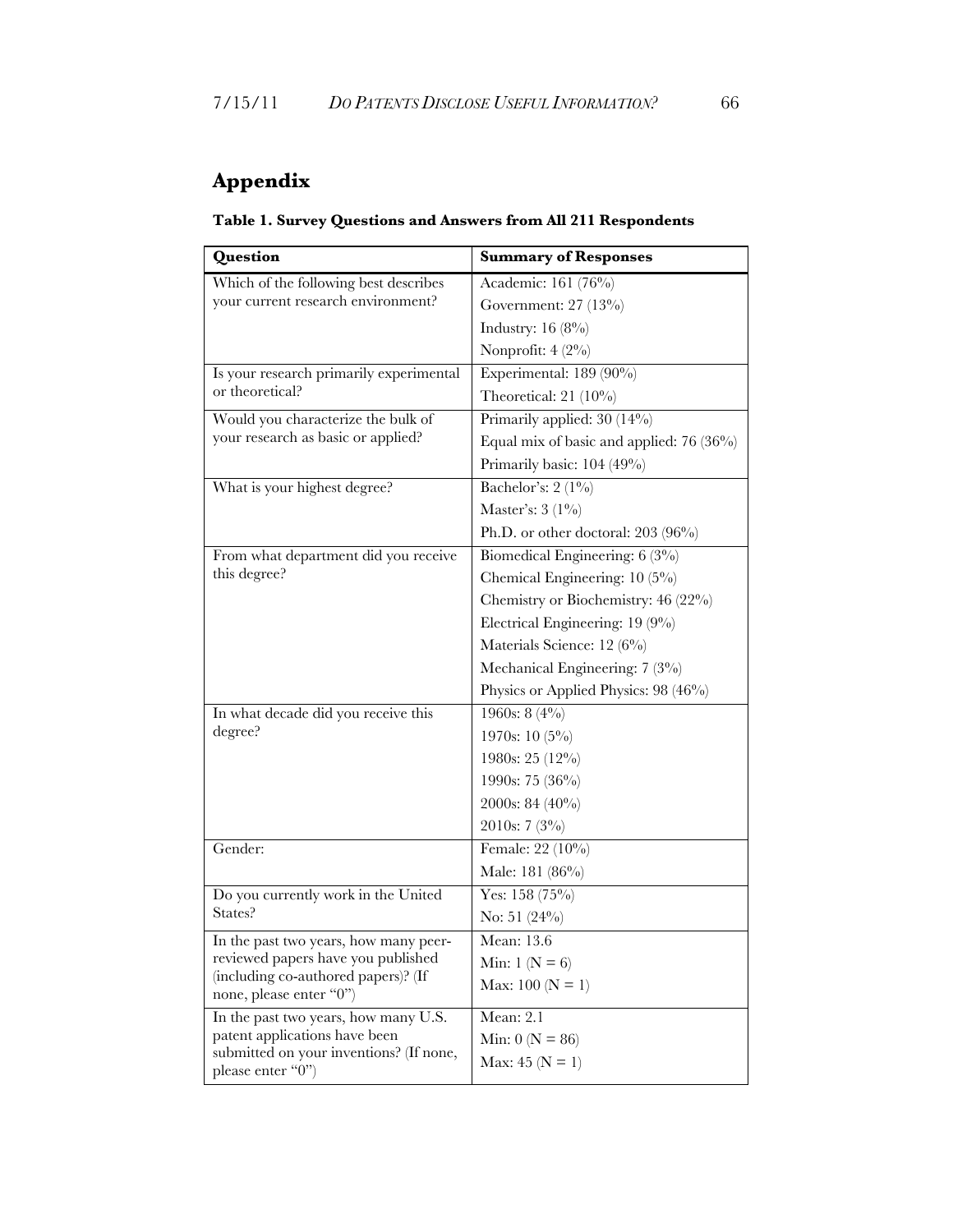## **Appendix**

| Table 1. Survey Questions and Answers from All 211 Respondents                                                                                                                                                                                                                                                                                            |                             |  |  |
|-----------------------------------------------------------------------------------------------------------------------------------------------------------------------------------------------------------------------------------------------------------------------------------------------------------------------------------------------------------|-----------------------------|--|--|
| Question                                                                                                                                                                                                                                                                                                                                                  | <b>Summary of Responses</b> |  |  |
| $1$ $\mathbf{v}$ $\mathbf{v}$ $\mathbf{v}$ $\mathbf{v}$ $\mathbf{v}$ $\mathbf{v}$ $\mathbf{v}$ $\mathbf{v}$ $\mathbf{v}$ $\mathbf{v}$ $\mathbf{v}$ $\mathbf{v}$ $\mathbf{v}$ $\mathbf{v}$ $\mathbf{v}$ $\mathbf{v}$ $\mathbf{v}$ $\mathbf{v}$ $\mathbf{v}$ $\mathbf{v}$ $\mathbf{v}$ $\mathbf{v}$ $\mathbf{v}$ $\mathbf{v}$<br>$\cdots$ $\cdots$ $\cdots$ |                             |  |  |

| Which of the following best describes                          | Academic: 161 (76%)                        |  |  |
|----------------------------------------------------------------|--------------------------------------------|--|--|
| your current research environment?                             | Government: 27 (13%)                       |  |  |
|                                                                | Industry: $16(8\%)$                        |  |  |
|                                                                | Nonprofit: 4 (2%)                          |  |  |
| Is your research primarily experimental                        | Experimental: 189 (90%)                    |  |  |
| or theoretical?                                                | Theoretical: $21(10\%)$                    |  |  |
| Would you characterize the bulk of                             | Primarily applied: 30 (14%)                |  |  |
| your research as basic or applied?                             | Equal mix of basic and applied: $76(36\%)$ |  |  |
|                                                                | Primarily basic: 104 (49%)                 |  |  |
| What is your highest degree?                                   | Bachelor's: $2(1\%)$                       |  |  |
|                                                                | Master's: $3(1\%)$                         |  |  |
|                                                                | Ph.D. or other doctoral: 203 (96%)         |  |  |
| From what department did you receive                           | Biomedical Engineering: 6 (3%)             |  |  |
| this degree?                                                   | Chemical Engineering: 10 (5%)              |  |  |
|                                                                | Chemistry or Biochemistry: 46 (22%)        |  |  |
|                                                                | Electrical Engineering: 19 (9%)            |  |  |
|                                                                | Materials Science: 12 (6%)                 |  |  |
|                                                                | Mechanical Engineering: 7 (3%)             |  |  |
|                                                                | Physics or Applied Physics: 98 (46%)       |  |  |
| In what decade did you receive this                            | 1960s: 8 $(4\%)$                           |  |  |
| degree?                                                        | 1970s: 10 (5%)                             |  |  |
|                                                                | 1980s: 25 (12%)                            |  |  |
|                                                                | 1990s: 75 (36%)                            |  |  |
|                                                                | 2000s: 84 (40%)                            |  |  |
|                                                                | $2010s: 7(3\%)$                            |  |  |
| Gender:                                                        | Female: 22 (10%)                           |  |  |
|                                                                | Male: 181 (86%)                            |  |  |
| Do you currently work in the United                            | Yes: $158(75%)$                            |  |  |
| States?                                                        | No: $51(24%)$                              |  |  |
| In the past two years, how many peer-                          | Mean: 13.6                                 |  |  |
| reviewed papers have you published                             | Min: $1 (N = 6)$                           |  |  |
| (including co-authored papers)? (If<br>none, please enter "0") | Max: 100 ( $N = 1$ )                       |  |  |
| In the past two years, how many U.S.                           | Mean: 2.1                                  |  |  |
| patent applications have been                                  | Min: $0 (N = 86)$                          |  |  |
| submitted on your inventions? (If none,                        | Max: 45 ( $N = 1$ )                        |  |  |
| please enter "0")                                              |                                            |  |  |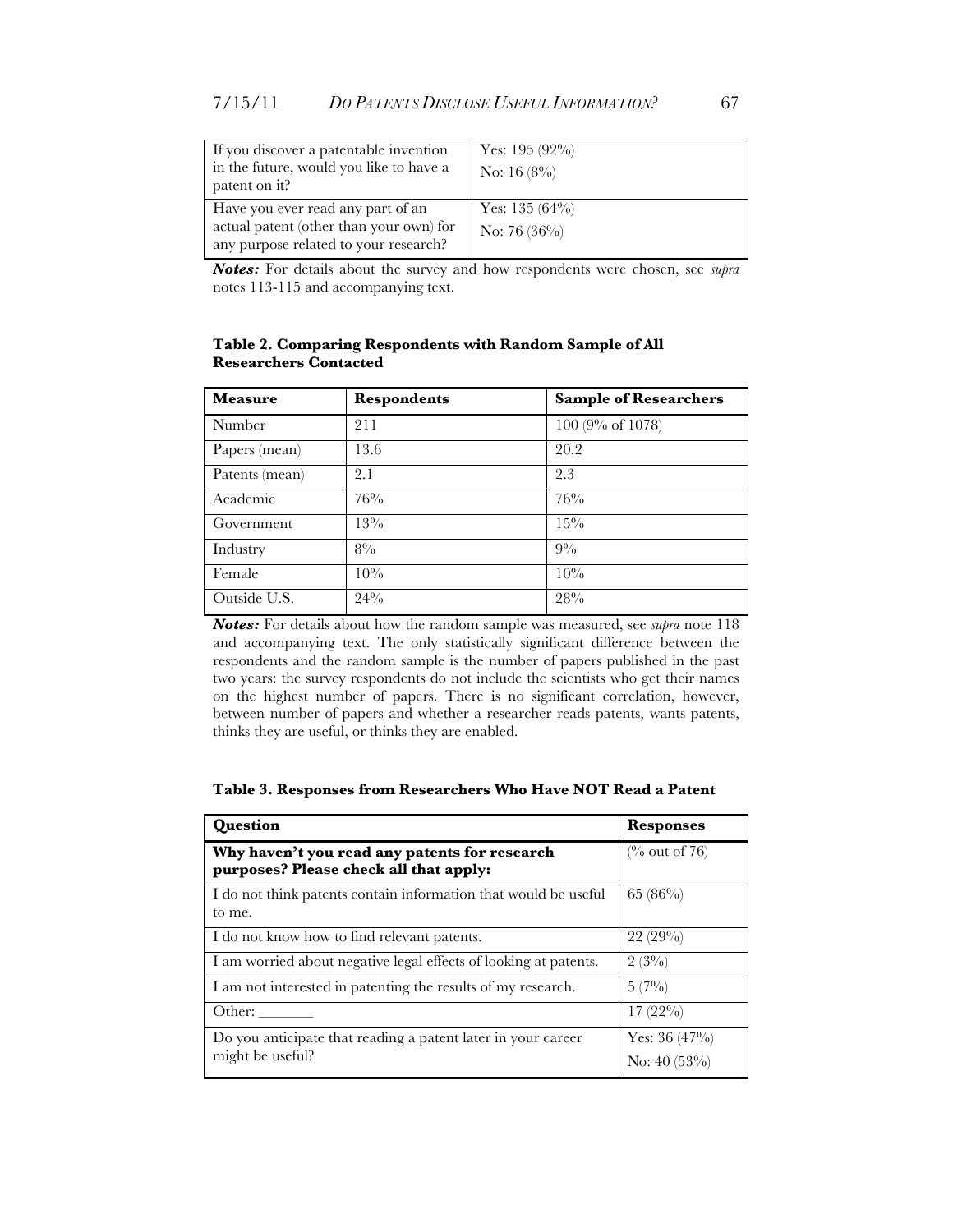| If you discover a patentable invention<br>in the future, would you like to have a<br>patent on it?                    | Yes: 195 $(92\%)$<br>No: 16 $(8\%)$  |
|-----------------------------------------------------------------------------------------------------------------------|--------------------------------------|
| Have you ever read any part of an<br>actual patent (other than your own) for<br>any purpose related to your research? | Yes: 135 $(64\%)$<br>No: 76 $(36\%)$ |

*Notes:* For details about the survey and how respondents were chosen, see *supra* notes 113-115 and accompanying text.

| <b>Measure</b> | <b>Respondents</b> | <b>Sample of Researchers</b> |
|----------------|--------------------|------------------------------|
| Number         | 211                | 100 (9% of 1078)             |
| Papers (mean)  | 13.6               | 20.2                         |
| Patents (mean) | 2.1                | 2.3                          |
| Academic       | 76%                | 76%                          |
| Government     | 13%                | $15\%$                       |
| Industry       | $8\%$              | $9\%$                        |
| Female         | 10%                | $10\%$                       |
| Outside U.S.   | 24%                | 28%                          |

**Table 2. Comparing Respondents with Random Sample of All Researchers Contacted**

*Notes:* For details about how the random sample was measured, see *supra* note 118 and accompanying text. The only statistically significant difference between the respondents and the random sample is the number of papers published in the past two years: the survey respondents do not include the scientists who get their names on the highest number of papers. There is no significant correlation, however, between number of papers and whether a researcher reads patents, wants patents, thinks they are useful, or thinks they are enabled.

| Question                                                                                | <b>Responses</b>                  |
|-----------------------------------------------------------------------------------------|-----------------------------------|
| Why haven't you read any patents for research<br>purposes? Please check all that apply: | $\frac{6}{6}$ out of 76)          |
| I do not think patents contain information that would be useful<br>to me.               | 65 $(86\%)$                       |
| I do not know how to find relevant patents.                                             | 22(29%)                           |
| I am worried about negative legal effects of looking at patents.                        | $2(3\%)$                          |
| I am not interested in patenting the results of my research.                            | $5(7\%)$                          |
| Other:                                                                                  | $17(22\%)$                        |
| Do you anticipate that reading a patent later in your career<br>might be useful?        | Yes: $36(47\%)$<br>No: $40(53\%)$ |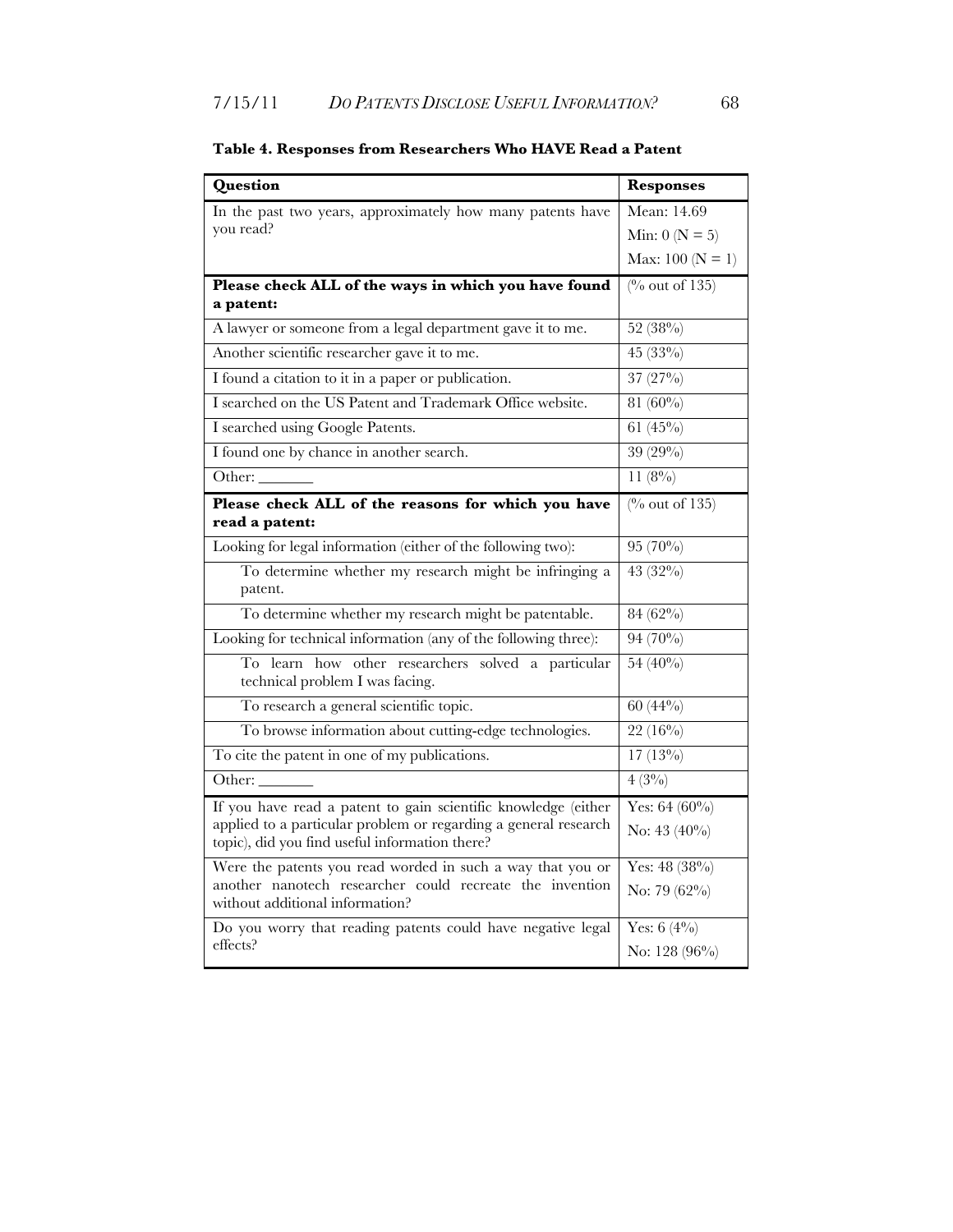| Question                                                                                                          | <b>Responses</b>          |
|-------------------------------------------------------------------------------------------------------------------|---------------------------|
| In the past two years, approximately how many patents have                                                        | Mean: 14.69               |
| you read?                                                                                                         | Min: $0 (N = 5)$          |
|                                                                                                                   | Max: $100 (N = 1)$        |
| Please check ALL of the ways in which you have found                                                              | $\frac{0}{0}$ out of 135) |
| a patent:                                                                                                         |                           |
| A lawyer or someone from a legal department gave it to me.                                                        | 52 (38%)                  |
| Another scientific researcher gave it to me.                                                                      | 45 (33%)                  |
| I found a citation to it in a paper or publication.                                                               | $37(27\%)$                |
| I searched on the US Patent and Trademark Office website.                                                         | 81 $(60\%)$               |
| I searched using Google Patents.                                                                                  | 61 $(45\%)$               |
| I found one by chance in another search.                                                                          | 39 (29%)                  |
| Other:                                                                                                            | $11(8\%)$                 |
| Please check ALL of the reasons for which you have                                                                | $\frac{0}{0}$ out of 135) |
| read a patent:                                                                                                    |                           |
| Looking for legal information (either of the following two):                                                      | 95 (70%)                  |
| To determine whether my research might be infringing a<br>patent.                                                 | 43 (32%)                  |
| To determine whether my research might be patentable.                                                             | 84 (62%)                  |
| Looking for technical information (any of the following three):                                                   | 94 (70%)                  |
| To learn how other researchers solved a particular<br>technical problem I was facing.                             | 54 (40%)                  |
| To research a general scientific topic.                                                                           | $60(44\%)$                |
| To browse information about cutting-edge technologies.                                                            | $22(16\%)$                |
| To cite the patent in one of my publications.                                                                     | $17(13\%)$                |
| Other:                                                                                                            | $4(3\%)$                  |
| If you have read a patent to gain scientific knowledge (either                                                    | Yes: $64(60\%)$           |
| applied to a particular problem or regarding a general research<br>topic), did you find useful information there? | No: 43 (40%)              |
| Were the patents you read worded in such a way that you or                                                        | Yes: 48 (38%)             |
| another nanotech researcher could recreate the invention<br>without additional information?                       | No: 79 (62%)              |
| Do you worry that reading patents could have negative legal                                                       | Yes: $6(4\%)$             |
| effects?                                                                                                          | No: 128 (96%)             |

### **Table 4. Responses from Researchers Who HAVE Read a Patent**